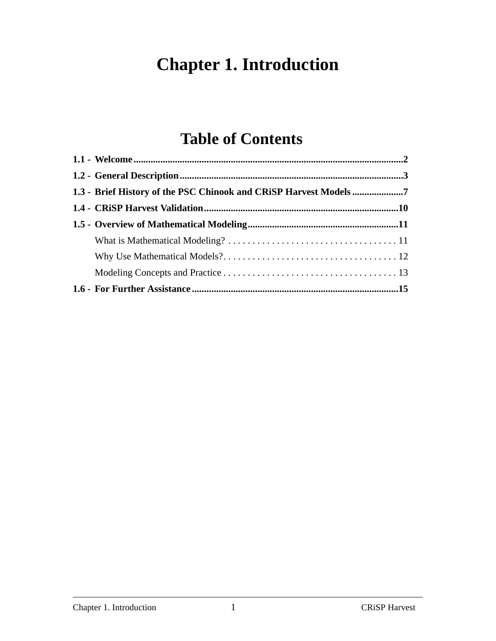# **Chapter 1. Introduction**

# **Table of Contents**

| 1.3 - Brief History of the PSC Chinook and CRiSP Harvest Models7 |  |
|------------------------------------------------------------------|--|
|                                                                  |  |
|                                                                  |  |
|                                                                  |  |
|                                                                  |  |
|                                                                  |  |
|                                                                  |  |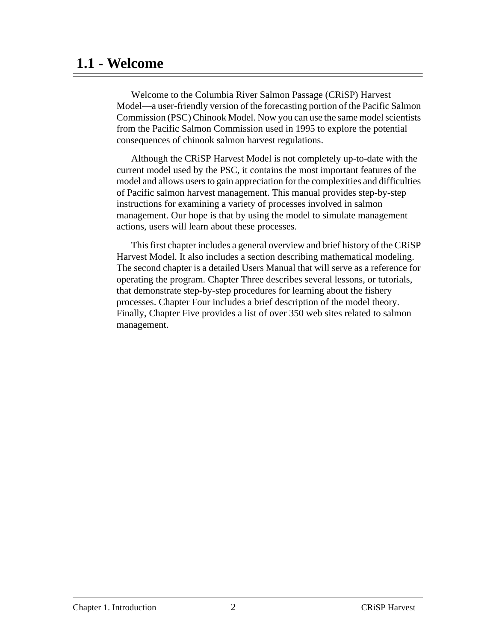### **1.1 - Welcome**

Welcome to the Columbia River Salmon Passage (CRiSP) Harvest Model—a user-friendly version of the forecasting portion of the Pacific Salmon Commission (PSC) Chinook Model. Now you can use the same model scientists from the Pacific Salmon Commission used in 1995 to explore the potential consequences of chinook salmon harvest regulations.

Although the CRiSP Harvest Model is not completely up-to-date with the current model used by the PSC, it contains the most important features of the model and allows users to gain appreciation for the complexities and difficulties of Pacific salmon harvest management. This manual provides step-by-step instructions for examining a variety of processes involved in salmon management. Our hope is that by using the model to simulate management actions, users will learn about these processes.

This first chapter includes a general overview and brief history of the CRiSP Harvest Model. It also includes a section describing mathematical modeling. The second chapter is a detailed Users Manual that will serve as a reference for operating the program. Chapter Three describes several lessons, or tutorials, that demonstrate step-by-step procedures for learning about the fishery processes. Chapter Four includes a brief description of the model theory. Finally, Chapter Five provides a list of over 350 web sites related to salmon management.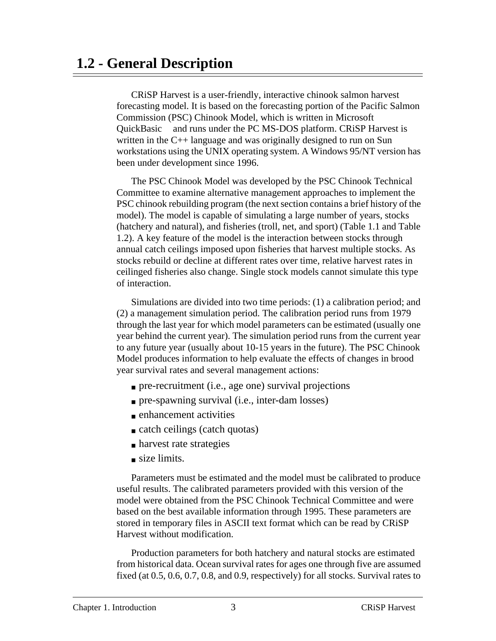### **1.2 - General Description**

CRiSP Harvest is a user-friendly, interactive chinook salmon harvest forecasting model. It is based on the forecasting portion of the Pacific Salmon Commission (PSC) Chinook Model, which is written in Microsoft QuickBasic<sup>™</sup> and runs under the PC MS-DOS platform. CRiSP Harvest is written in the C++ language and was originally designed to run on Sun workstations using the UNIX operating system. A Windows 95/NT version has been under development since 1996.

The PSC Chinook Model was developed by the PSC Chinook Technical Committee to examine alternative management approaches to implement the PSC chinook rebuilding program (the next section contains a brief history of the model). The model is capable of simulating a large number of years, stocks (hatchery and natural), and fisheries (troll, net, and sport) ([Table 1.1](#page-4-0) and [Table](#page-5-0) [1.2](#page-5-0)). A key feature of the model is the interaction between stocks through annual catch ceilings imposed upon fisheries that harvest multiple stocks. As stocks rebuild or decline at different rates over time, relative harvest rates in ceilinged fisheries also change. Single stock models cannot simulate this type of interaction.

Simulations are divided into two time periods: (1) a calibration period; and (2) a management simulation period. The calibration period runs from 1979 through the last year for which model parameters can be estimated (usually one year behind the current year). The simulation period runs from the current year to any future year (usually about 10-15 years in the future). The PSC Chinook Model produces information to help evaluate the effects of changes in brood year survival rates and several management actions:

- pre-recruitment (i.e., age one) survival projections
- pre-spawning survival (i.e., inter-dam losses)
- enhancement activities
- catch ceilings (catch quotas)
- harvest rate strategies
- size limits.

Parameters must be estimated and the model must be calibrated to produce useful results. The calibrated parameters provided with this version of the model were obtained from the PSC Chinook Technical Committee and were based on the best available information through 1995. These parameters are stored in temporary files in ASCII text format which can be read by CRiSP Harvest without modification.

Production parameters for both hatchery and natural stocks are estimated from historical data. Ocean survival rates for ages one through five are assumed fixed (at 0.5, 0.6, 0.7, 0.8, and 0.9, respectively) for all stocks. Survival rates to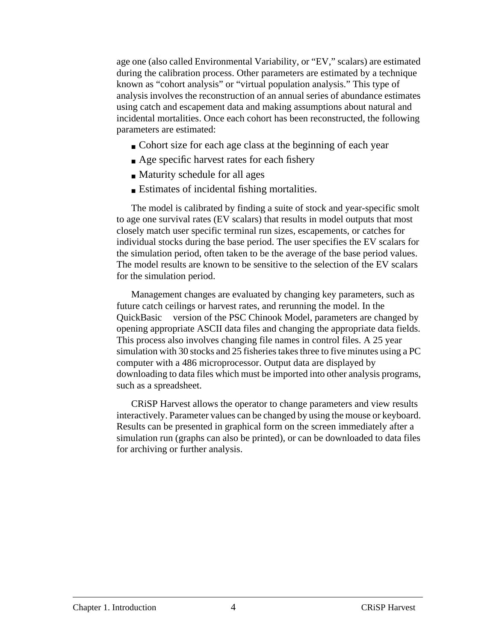age one (also called Environmental Variability, or "EV," scalars) are estimated during the calibration process. Other parameters are estimated by a technique known as "cohort analysis" or "virtual population analysis." This type of analysis involves the reconstruction of an annual series of abundance estimates using catch and escapement data and making assumptions about natural and incidental mortalities. Once each cohort has been reconstructed, the following parameters are estimated:

- Cohort size for each age class at the beginning of each year
- Age specific harvest rates for each fishery
- Maturity schedule for all ages
- Estimates of incidental fishing mortalities.

The model is calibrated by finding a suite of stock and year-specific smolt to age one survival rates (EV scalars) that results in model outputs that most closely match user specific terminal run sizes, escapements, or catches for individual stocks during the base period. The user specifies the EV scalars for the simulation period, often taken to be the average of the base period values. The model results are known to be sensitive to the selection of the EV scalars for the simulation period.

Management changes are evaluated by changing key parameters, such as future catch ceilings or harvest rates, and rerunning the model. In the QuickBasic<sup>TM</sup> version of the PSC Chinook Model, parameters are changed by opening appropriate ASCII data files and changing the appropriate data fields. This process also involves changing file names in control files. A 25 year simulation with 30 stocks and 25 fisheries takes three to five minutes using a PC computer with a 486 microprocessor. Output data are displayed by downloading to data files which must be imported into other analysis programs, such as a spreadsheet.

CRiSP Harvest allows the operator to change parameters and view results interactively. Parameter values can be changed by using the mouse or keyboard. Results can be presented in graphical form on the screen immediately after a simulation run (graphs can also be printed), or can be downloaded to data files for archiving or further analysis.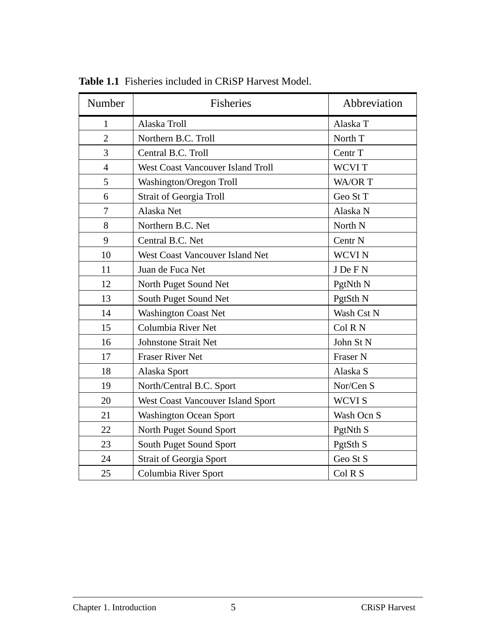| Number         | Fisheries                                | Abbreviation        |
|----------------|------------------------------------------|---------------------|
| 1              | Alaska Troll                             | Alaska T            |
| $\overline{2}$ | Northern B.C. Troll                      | North T             |
| 3              | Central B.C. Troll                       | Centr T             |
| $\overline{4}$ | <b>West Coast Vancouver Island Troll</b> | <b>WCVIT</b>        |
| 5              | Washington/Oregon Troll                  | WA/OR T             |
| 6              | <b>Strait of Georgia Troll</b>           | Geo St T            |
| $\overline{7}$ | Alaska Net                               | Alaska N            |
| 8              | Northern B.C. Net                        | North <sub>N</sub>  |
| 9              | Central B.C. Net                         | Centr <sub>N</sub>  |
| 10             | West Coast Vancouver Island Net          | <b>WCVIN</b>        |
| 11             | Juan de Fuca Net                         | J De F N            |
| 12             | North Puget Sound Net                    | PgtNth <sub>N</sub> |
| 13             | South Puget Sound Net                    | PgtSth N            |
| 14             | <b>Washington Coast Net</b>              | Wash Cst N          |
| 15             | Columbia River Net                       | Col R N             |
| 16             | <b>Johnstone Strait Net</b>              | John St N           |
| 17             | <b>Fraser River Net</b>                  | Fraser N            |
| 18             | Alaska Sport                             | Alaska S            |
| 19             | North/Central B.C. Sport                 | Nor/Cen S           |
| 20             | West Coast Vancouver Island Sport        | WCVI S              |
| 21             | <b>Washington Ocean Sport</b>            | Wash Ocn S          |
| 22             | North Puget Sound Sport                  | PgtNth S            |
| 23             | South Puget Sound Sport                  | PgtSth <sub>S</sub> |
| 24             | Strait of Georgia Sport                  | Geo St S            |
| 25             | Columbia River Sport                     | Col R S             |

<span id="page-4-0"></span>**Table 1.1** Fisheries included in CRiSP Harvest Model.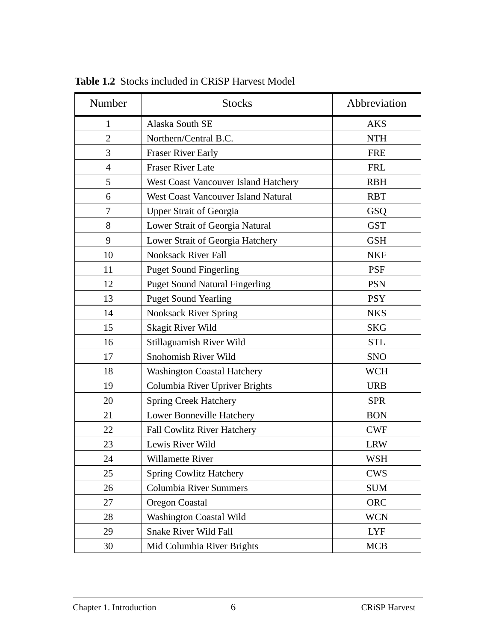| Number         | <b>Stocks</b>                              | Abbreviation |
|----------------|--------------------------------------------|--------------|
| 1              | Alaska South SE                            | <b>AKS</b>   |
| $\overline{2}$ | Northern/Central B.C.                      | <b>NTH</b>   |
| 3              | <b>Fraser River Early</b>                  | <b>FRE</b>   |
| $\overline{4}$ | <b>Fraser River Late</b>                   | <b>FRL</b>   |
| 5              | West Coast Vancouver Island Hatchery       | <b>RBH</b>   |
| 6              | <b>West Coast Vancouver Island Natural</b> | <b>RBT</b>   |
| 7              | <b>Upper Strait of Georgia</b>             | GSQ          |
| 8              | Lower Strait of Georgia Natural            | <b>GST</b>   |
| 9              | Lower Strait of Georgia Hatchery           | <b>GSH</b>   |
| 10             | <b>Nooksack River Fall</b>                 | <b>NKF</b>   |
| 11             | <b>Puget Sound Fingerling</b>              | <b>PSF</b>   |
| 12             | <b>Puget Sound Natural Fingerling</b>      | <b>PSN</b>   |
| 13             | <b>Puget Sound Yearling</b>                | <b>PSY</b>   |
| 14             | <b>Nooksack River Spring</b>               | <b>NKS</b>   |
| 15             | <b>Skagit River Wild</b>                   | <b>SKG</b>   |
| 16             | Stillaguamish River Wild                   | <b>STL</b>   |
| 17             | Snohomish River Wild                       | <b>SNO</b>   |
| 18             | <b>Washington Coastal Hatchery</b>         | <b>WCH</b>   |
| 19             | Columbia River Upriver Brights             | <b>URB</b>   |
| 20             | <b>Spring Creek Hatchery</b>               | <b>SPR</b>   |
| 21             | Lower Bonneville Hatchery                  | <b>BON</b>   |
| 22             | <b>Fall Cowlitz River Hatchery</b>         | <b>CWF</b>   |
| 23             | Lewis River Wild                           | <b>LRW</b>   |
| 24             | Willamette River                           | WSH          |
| 25             | <b>Spring Cowlitz Hatchery</b>             | <b>CWS</b>   |
| 26             | Columbia River Summers                     | <b>SUM</b>   |
| 27             | <b>Oregon Coastal</b>                      | <b>ORC</b>   |
| 28             | Washington Coastal Wild                    | <b>WCN</b>   |
| 29             | <b>Snake River Wild Fall</b>               | <b>LYF</b>   |
| 30             | Mid Columbia River Brights                 | <b>MCB</b>   |

<span id="page-5-0"></span>**Table 1.2** Stocks included in CRiSP Harvest Model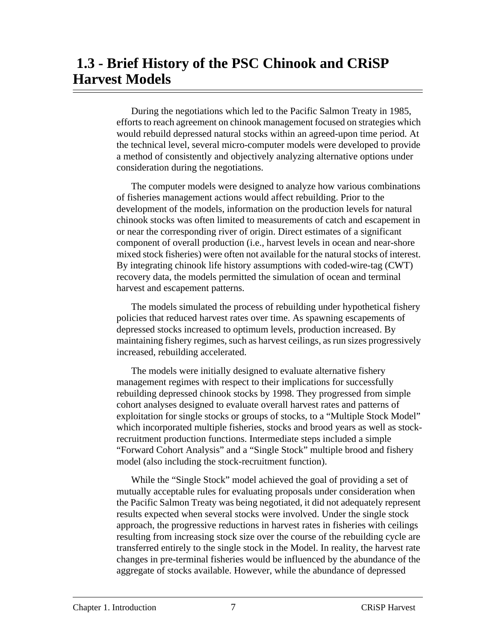## **1.3 - Brief History of the PSC Chinook and CRiSP Harvest Models**

During the negotiations which led to the Pacific Salmon Treaty in 1985, efforts to reach agreement on chinook management focused on strategies which would rebuild depressed natural stocks within an agreed-upon time period. At the technical level, several micro-computer models were developed to provide a method of consistently and objectively analyzing alternative options under consideration during the negotiations.

The computer models were designed to analyze how various combinations of fisheries management actions would affect rebuilding. Prior to the development of the models, information on the production levels for natural chinook stocks was often limited to measurements of catch and escapement in or near the corresponding river of origin. Direct estimates of a significant component of overall production (i.e., harvest levels in ocean and near-shore mixed stock fisheries) were often not available for the natural stocks of interest. By integrating chinook life history assumptions with coded-wire-tag (CWT) recovery data, the models permitted the simulation of ocean and terminal harvest and escapement patterns.

The models simulated the process of rebuilding under hypothetical fishery policies that reduced harvest rates over time. As spawning escapements of depressed stocks increased to optimum levels, production increased. By maintaining fishery regimes, such as harvest ceilings, as run sizes progressively increased, rebuilding accelerated.

The models were initially designed to evaluate alternative fishery management regimes with respect to their implications for successfully rebuilding depressed chinook stocks by 1998. They progressed from simple cohort analyses designed to evaluate overall harvest rates and patterns of exploitation for single stocks or groups of stocks, to a "Multiple Stock Model" which incorporated multiple fisheries, stocks and brood years as well as stockrecruitment production functions. Intermediate steps included a simple "Forward Cohort Analysis" and a "Single Stock" multiple brood and fishery model (also including the stock-recruitment function).

While the "Single Stock" model achieved the goal of providing a set of mutually acceptable rules for evaluating proposals under consideration when the Pacific Salmon Treaty was being negotiated, it did not adequately represent results expected when several stocks were involved. Under the single stock approach, the progressive reductions in harvest rates in fisheries with ceilings resulting from increasing stock size over the course of the rebuilding cycle are transferred entirely to the single stock in the Model. In reality, the harvest rate changes in pre-terminal fisheries would be influenced by the abundance of the aggregate of stocks available. However, while the abundance of depressed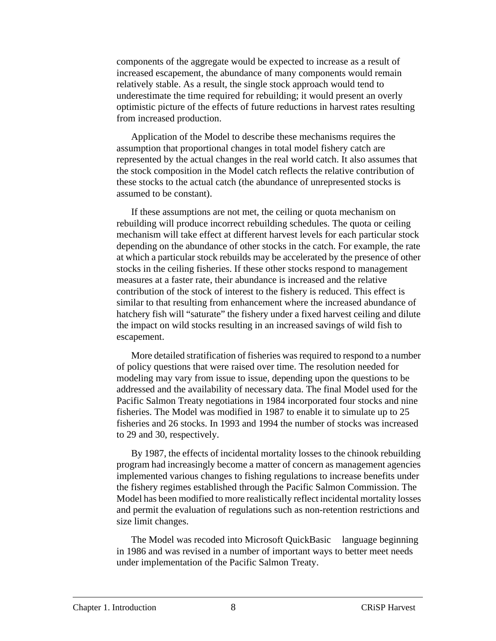components of the aggregate would be expected to increase as a result of increased escapement, the abundance of many components would remain relatively stable. As a result, the single stock approach would tend to underestimate the time required for rebuilding; it would present an overly optimistic picture of the effects of future reductions in harvest rates resulting from increased production.

Application of the Model to describe these mechanisms requires the assumption that proportional changes in total model fishery catch are represented by the actual changes in the real world catch. It also assumes that the stock composition in the Model catch reflects the relative contribution of these stocks to the actual catch (the abundance of unrepresented stocks is assumed to be constant).

If these assumptions are not met, the ceiling or quota mechanism on rebuilding will produce incorrect rebuilding schedules. The quota or ceiling mechanism will take effect at different harvest levels for each particular stock depending on the abundance of other stocks in the catch. For example, the rate at which a particular stock rebuilds may be accelerated by the presence of other stocks in the ceiling fisheries. If these other stocks respond to management measures at a faster rate, their abundance is increased and the relative contribution of the stock of interest to the fishery is reduced. This effect is similar to that resulting from enhancement where the increased abundance of hatchery fish will "saturate" the fishery under a fixed harvest ceiling and dilute the impact on wild stocks resulting in an increased savings of wild fish to escapement.

More detailed stratification of fisheries was required to respond to a number of policy questions that were raised over time. The resolution needed for modeling may vary from issue to issue, depending upon the questions to be addressed and the availability of necessary data. The final Model used for the Pacific Salmon Treaty negotiations in 1984 incorporated four stocks and nine fisheries. The Model was modified in 1987 to enable it to simulate up to 25 fisheries and 26 stocks. In 1993 and 1994 the number of stocks was increased to 29 and 30, respectively.

By 1987, the effects of incidental mortality losses to the chinook rebuilding program had increasingly become a matter of concern as management agencies implemented various changes to fishing regulations to increase benefits under the fishery regimes established through the Pacific Salmon Commission. The Model has been modified to more realistically reflect incidental mortality losses and permit the evaluation of regulations such as non-retention restrictions and size limit changes.

The Model was recoded into Microsoft QuickBasic<sup> $TM$ </sup> language beginning in 1986 and was revised in a number of important ways to better meet needs under implementation of the Pacific Salmon Treaty.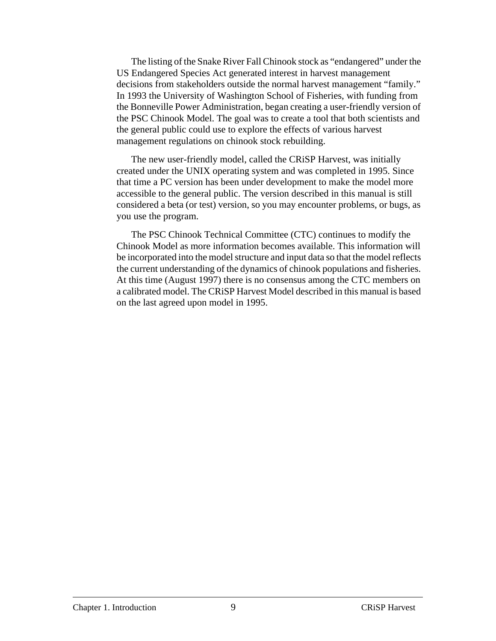The listing of the Snake River Fall Chinook stock as "endangered" under the US Endangered Species Act generated interest in harvest management decisions from stakeholders outside the normal harvest management "family." In 1993 the University of Washington School of Fisheries, with funding from the Bonneville Power Administration, began creating a user-friendly version of the PSC Chinook Model. The goal was to create a tool that both scientists and the general public could use to explore the effects of various harvest management regulations on chinook stock rebuilding.

The new user-friendly model, called the CRiSP Harvest, was initially created under the UNIX operating system and was completed in 1995. Since that time a PC version has been under development to make the model more accessible to the general public. The version described in this manual is still considered a beta (or test) version, so you may encounter problems, or bugs, as you use the program.

The PSC Chinook Technical Committee (CTC) continues to modify the Chinook Model as more information becomes available. This information will be incorporated into the model structure and input data so that the model reflects the current understanding of the dynamics of chinook populations and fisheries. At this time (August 1997) there is no consensus among the CTC members on a calibrated model. The CRiSP Harvest Model described in this manual is based on the last agreed upon model in 1995.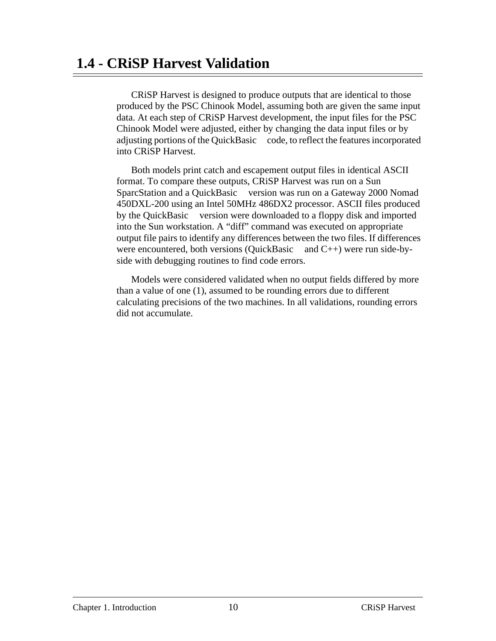CRiSP Harvest is designed to produce outputs that are identical to those produced by the PSC Chinook Model, assuming both are given the same input data. At each step of CRiSP Harvest development, the input files for the PSC Chinook Model were adjusted, either by changing the data input files or by adjusting portions of the QuickBasic™ code, to reflect the features incorporated into CRiSP Harvest.

Both models print catch and escapement output files in identical ASCII format. To compare these outputs, CRiSP Harvest was run on a Sun SparcStation and a QuickBasic™ version was run on a Gateway 2000 Nomad 450DXL-200 using an Intel 50MHz 486DX2 processor. ASCII files produced by the QuickBasic<sup>TM</sup> version were downloaded to a floppy disk and imported into the Sun workstation. A "diff" command was executed on appropriate output file pairs to identify any differences between the two files. If differences were encountered, both versions (QuickBasic<sup> $TM$ </sup> and C++) were run side-byside with debugging routines to find code errors.

Models were considered validated when no output fields differed by more than a value of one (1), assumed to be rounding errors due to different calculating precisions of the two machines. In all validations, rounding errors did not accumulate.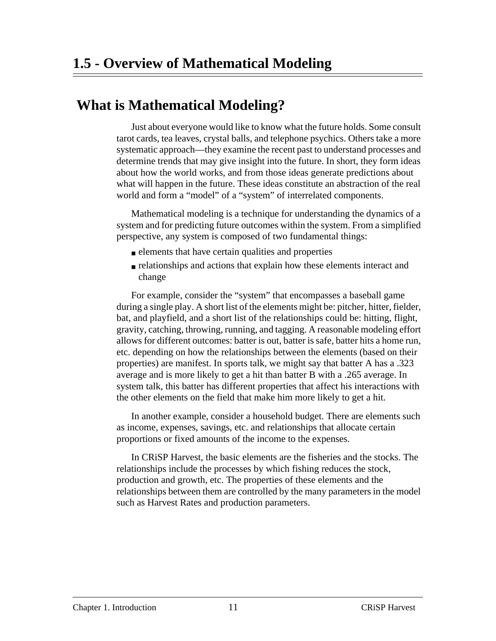### **What is Mathematical Modeling?**

Just about everyone would like to know what the future holds. Some consult tarot cards, tea leaves, crystal balls, and telephone psychics. Others take a more systematic approach—they examine the recent past to understand processes and determine trends that may give insight into the future. In short, they form ideas about how the world works, and from those ideas generate predictions about what will happen in the future. These ideas constitute an abstraction of the real world and form a "model" of a "system" of interrelated components.

Mathematical modeling is a technique for understanding the dynamics of a system and for predicting future outcomes within the system. From a simplified perspective, any system is composed of two fundamental things:

- elements that have certain qualities and properties
- relationships and actions that explain how these elements interact and change

For example, consider the "system" that encompasses a baseball game during a single play. A short list of the elements might be: pitcher, hitter, fielder, bat, and playfield, and a short list of the relationships could be: hitting, flight, gravity, catching, throwing, running, and tagging. A reasonable modeling effort allows for different outcomes: batter is out, batter is safe, batter hits a home run, etc. depending on how the relationships between the elements (based on their properties) are manifest. In sports talk, we might say that batter A has a .323 average and is more likely to get a hit than batter B with a .265 average. In system talk, this batter has different properties that affect his interactions with the other elements on the field that make him more likely to get a hit.

In another example, consider a household budget. There are elements such as income, expenses, savings, etc. and relationships that allocate certain proportions or fixed amounts of the income to the expenses.

In CRiSP Harvest, the basic elements are the fisheries and the stocks. The relationships include the processes by which fishing reduces the stock, production and growth, etc. The properties of these elements and the relationships between them are controlled by the many parameters in the model such as Harvest Rates and production parameters.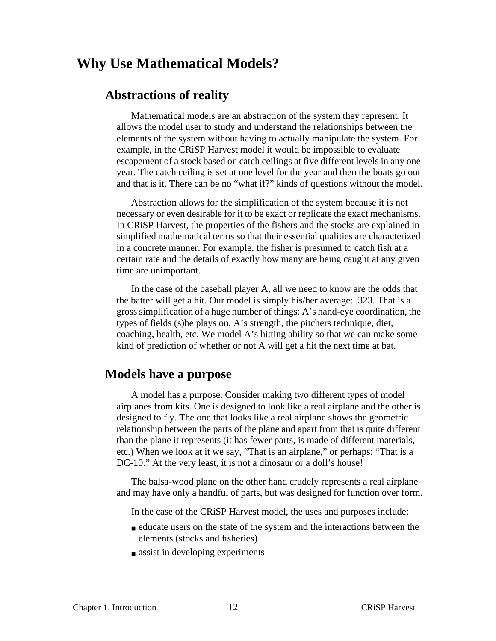### **Why Use Mathematical Models?**

### **Abstractions of reality**

Mathematical models are an abstraction of the system they represent. It allows the model user to study and understand the relationships between the elements of the system without having to actually manipulate the system. For example, in the CRiSP Harvest model it would be impossible to evaluate escapement of a stock based on catch ceilings at five different levels in any one year. The catch ceiling is set at one level for the year and then the boats go out and that is it. There can be no "what if?" kinds of questions without the model.

Abstraction allows for the simplification of the system because it is not necessary or even desirable for it to be exact or replicate the exact mechanisms. In CRiSP Harvest, the properties of the fishers and the stocks are explained in simplified mathematical terms so that their essential qualities are characterized in a concrete manner. For example, the fisher is presumed to catch fish at a certain rate and the details of exactly how many are being caught at any given time are unimportant.

In the case of the baseball player A, all we need to know are the odds that the batter will get a hit. Our model is simply his/her average: .323. That is a gross simplification of a huge number of things: A's hand-eye coordination, the types of fields (s)he plays on, A's strength, the pitchers technique, diet, coaching, health, etc. We model A's hitting ability so that we can make some kind of prediction of whether or not A will get a hit the next time at bat.

#### **Models have a purpose**

A model has a purpose. Consider making two different types of model airplanes from kits. One is designed to look like a real airplane and the other is designed to fly. The one that looks like a real airplane shows the geometric relationship between the parts of the plane and apart from that is quite different than the plane it represents (it has fewer parts, is made of different materials, etc.) When we look at it we say, "That is an airplane," or perhaps: "That is a DC-10." At the very least, it is not a dinosaur or a doll's house!

The balsa-wood plane on the other hand crudely represents a real airplane and may have only a handful of parts, but was designed for function over form.

In the case of the CRiSP Harvest model, the uses and purposes include:

- educate users on the state of the system and the interactions between the elements (stocks and fisheries)
- assist in developing experiments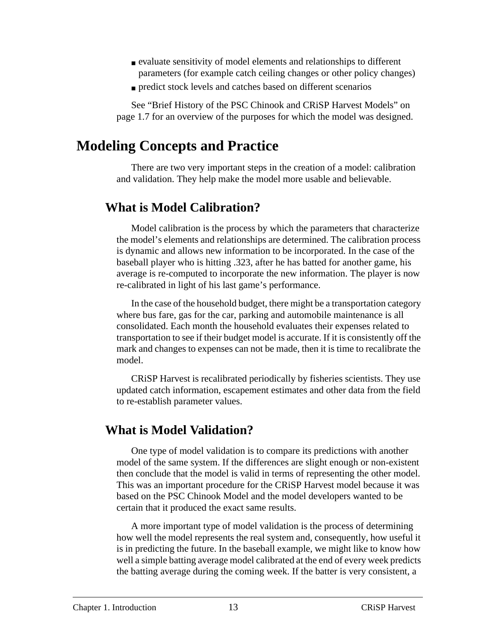- evaluate sensitivity of model elements and relationships to different parameters (for example catch ceiling changes or other policy changes)
- predict stock levels and catches based on different scenarios

See "Brief History of the PSC Chinook and CRiSP Harvest Models" on page 1.7 for an overview of the purposes for which the model was designed.

### **Modeling Concepts and Practice**

There are two very important steps in the creation of a model: calibration and validation. They help make the model more usable and believable.

### **What is Model Calibration?**

Model calibration is the process by which the parameters that characterize the model's elements and relationships are determined. The calibration process is dynamic and allows new information to be incorporated. In the case of the baseball player who is hitting .323, after he has batted for another game, his average is re-computed to incorporate the new information. The player is now re-calibrated in light of his last game's performance.

In the case of the household budget, there might be a transportation category where bus fare, gas for the car, parking and automobile maintenance is all consolidated. Each month the household evaluates their expenses related to transportation to see if their budget model is accurate. If it is consistently off the mark and changes to expenses can not be made, then it is time to recalibrate the model.

CRiSP Harvest is recalibrated periodically by fisheries scientists. They use updated catch information, escapement estimates and other data from the field to re-establish parameter values.

### **What is Model Validation?**

One type of model validation is to compare its predictions with another model of the same system. If the differences are slight enough or non-existent then conclude that the model is valid in terms of representing the other model. This was an important procedure for the CRiSP Harvest model because it was based on the PSC Chinook Model and the model developers wanted to be certain that it produced the exact same results.

A more important type of model validation is the process of determining how well the model represents the real system and, consequently, how useful it is in predicting the future. In the baseball example, we might like to know how well a simple batting average model calibrated at the end of every week predicts the batting average during the coming week. If the batter is very consistent, a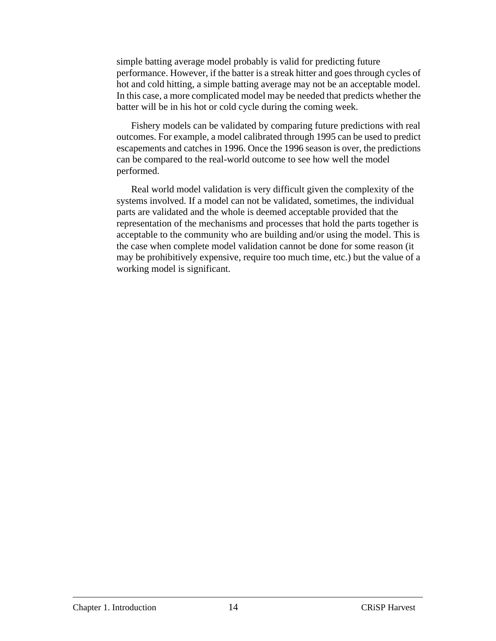simple batting average model probably is valid for predicting future performance. However, if the batter is a streak hitter and goes through cycles of hot and cold hitting, a simple batting average may not be an acceptable model. In this case, a more complicated model may be needed that predicts whether the batter will be in his hot or cold cycle during the coming week.

Fishery models can be validated by comparing future predictions with real outcomes. For example, a model calibrated through 1995 can be used to predict escapements and catches in 1996. Once the 1996 season is over, the predictions can be compared to the real-world outcome to see how well the model performed.

Real world model validation is very difficult given the complexity of the systems involved. If a model can not be validated, sometimes, the individual parts are validated and the whole is deemed acceptable provided that the representation of the mechanisms and processes that hold the parts together is acceptable to the community who are building and/or using the model. This is the case when complete model validation cannot be done for some reason (it may be prohibitively expensive, require too much time, etc.) but the value of a working model is significant.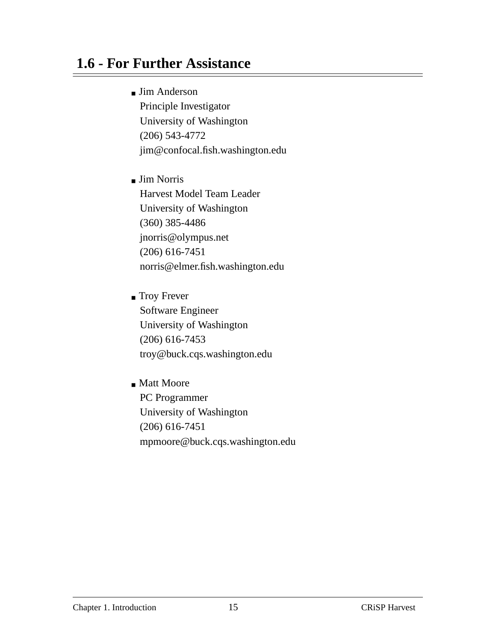# **1.6 - For Further Assistance**

■ Jim Anderson

Principle Investigator University of Washington (206) 543-4772 jim@confocal.fish.washington.edu

- Jim Norris Harvest Model Team Leader University of Washington (360) 385-4486 jnorris@olympus.net (206) 616-7451 norris@elmer.fish.washington.edu
- Troy Frever Software Engineer University of Washington (206) 616-7453 troy@buck.cqs.washington.edu
- Matt Moore PC Programmer University of Washington (206) 616-7451 mpmoore@buck.cqs.washington.edu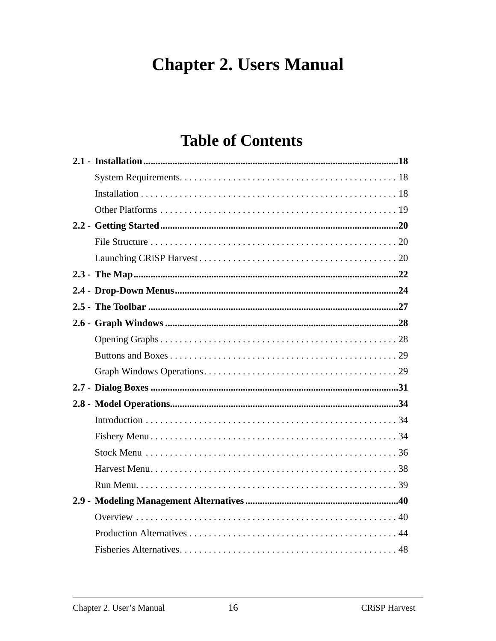# **Chapter 2. Users Manual**

# **Table of Contents**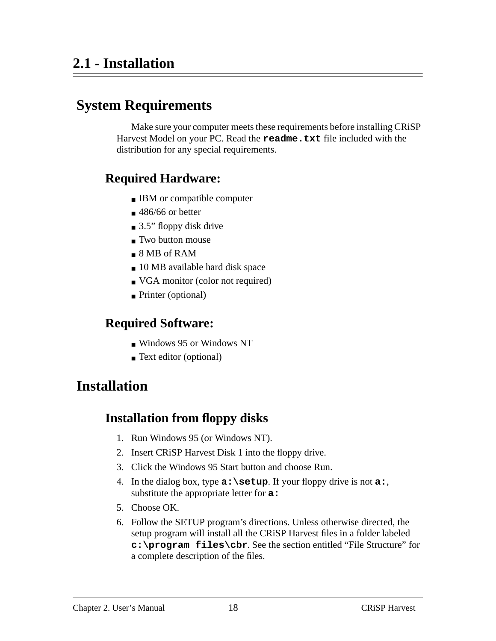# **System Requirements**

Make sure your computer meets these requirements before installing CRiSP Harvest Model on your PC. Read the **readme.txt** file included with the distribution for any special requirements.

### **Required Hardware:**

- IBM or compatible computer
- $\blacksquare$  486/66 or better
- $\Box$  3.5" floppy disk drive
- Two button mouse
- 8 MB of RAM
- 10 MB available hard disk space
- VGA monitor (color not required)
- Printer (optional)

### **Required Software:**

- Windows 95 or Windows NT
- Text editor (optional)

# **Installation**

### **Installation from floppy disks**

- 1. Run Windows 95 (or Windows NT).
- 2. Insert CRiSP Harvest Disk 1 into the floppy drive.
- 3. Click the Windows 95 Start button and choose Run.
- 4. In the dialog box, type **a:\setup**. If your floppy drive is not **a:**, substitute the appropriate letter for **a:**
- 5. Choose OK.
- 6. Follow the SETUP program's directions. Unless otherwise directed, the setup program will install all the CRiSP Harvest files in a folder labeled **c:\program files\cbr**. See the section entitled "File Structure" for a complete description of the files.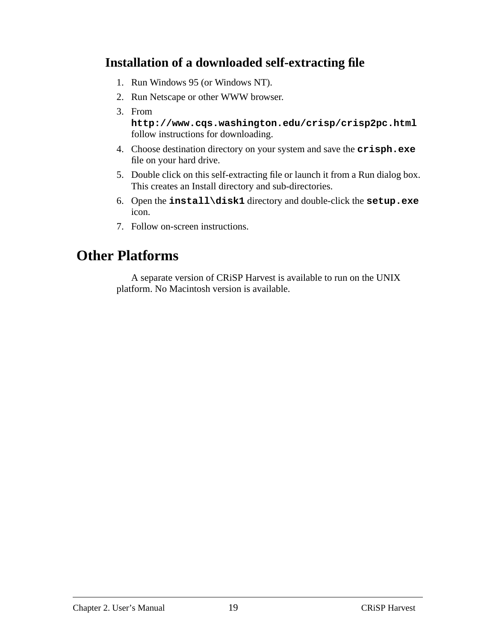### **Installation of a downloaded self-extracting file**

- 1. Run Windows 95 (or Windows NT).
- 2. Run Netscape or other WWW browser.
- 3. From

**http://www.cqs.washington.edu/crisp/crisp2pc.html** follow instructions for downloading.

- 4. Choose destination directory on your system and save the **crisph.exe** file on your hard drive.
- 5. Double click on this self-extracting file or launch it from a Run dialog box. This creates an Install directory and sub-directories.
- 6. Open the **install\disk1** directory and double-click the **setup.exe** icon.
- 7. Follow on-screen instructions.

## **Other Platforms**

A separate version of CRiSP Harvest is available to run on the UNIX platform. No Macintosh version is available.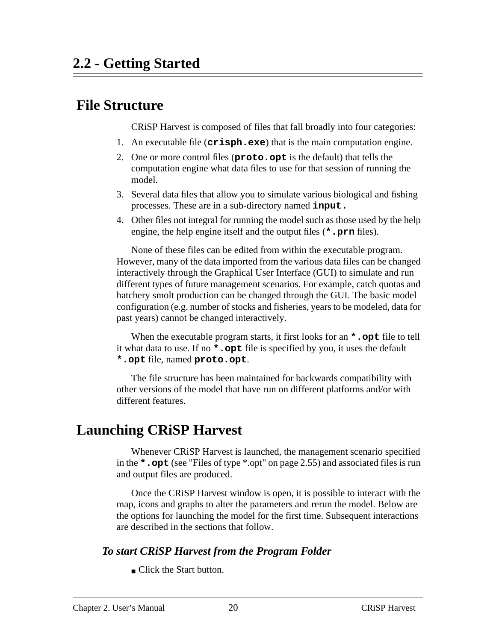### <span id="page-19-0"></span> **File Structure**

CRiSP Harvest is composed of files that fall broadly into four categories:

- 1. An executable file (**crisph.exe**) that is the main computation engine.
- 2. One or more control files (**proto.opt** is the default) that tells the computation engine what data files to use for that session of running the model.
- 3. Several data files that allow you to simulate various biological and fishing processes. These are in a sub-directory named **input.**
- 4. Other files not integral for running the model such as those used by the help engine, the help engine itself and the output files (**\*.prn** files).

None of these files can be edited from within the executable program. However, many of the data imported from the various data files can be changed interactively through the Graphical User Interface (GUI) to simulate and run different types of future management scenarios. For example, catch quotas and hatchery smolt production can be changed through the GUI. The basic model configuration (e.g. number of stocks and fisheries, years to be modeled, data for past years) cannot be changed interactively.

When the executable program starts, it first looks for an **\*.opt** file to tell it what data to use. If no **\*.opt** file is specified by you, it uses the default **\*.opt** file, named **proto.opt**.

The file structure has been maintained for backwards compatibility with other versions of the model that have run on different platforms and/or with different features.

# **Launching CRiSP Harvest**

Whenever CRiSP Harvest is launched, the management scenario specified in the **\*.opt** (see ["Files of type \\*.opt" on page 2.55\)](#page-54-0) and associated files is run and output files are produced.

Once the CRiSP Harvest window is open, it is possible to interact with the map, icons and graphs to alter the parameters and rerun the model. Below are the options for launching the model for the first time. Subsequent interactions are described in the sections that follow.

#### *To start CRiSP Harvest from the Program Folder*

■ Click the Start button.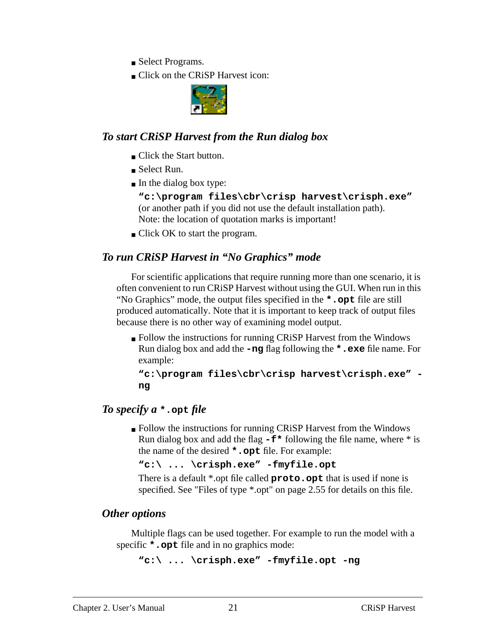- Select Programs.
- Click on the CRiSP Harvest icon:



#### *To start CRiSP Harvest from the Run dialog box*

- Click the Start button.
- Select Run.
- In the dialog box type:

**"c:\program files\cbr\crisp harvest\crisph.exe"** (or another path if you did not use the default installation path). Note: the location of quotation marks is important!

■ Click OK to start the program.

### *To run CRiSP Harvest in "No Graphics" mode*

For scientific applications that require running more than one scenario, it is often convenient to run CRiSP Harvest without using the GUI. When run in this "No Graphics" mode, the output files specified in the **\*.opt** file are still produced automatically. Note that it is important to keep track of output files because there is no other way of examining model output.

■ Follow the instructions for running CRiSP Harvest from the Windows Run dialog box and add the **-ng** flag following the **\*.exe** file name. For example:

```
"c:\program files\cbr\crisp harvest\crisph.exe" -
ng
```
### *To specify a* **\*.opt** *file*

■ Follow the instructions for running CRiSP Harvest from the Windows Run dialog box and add the flag  $-\mathbf{f}^*$  following the file name, where  $*$  is the name of the desired **\*.opt** file. For example:

**"c:\ ... \crisph.exe" -fmyfile.opt**

There is a default \*.opt file called **proto.opt** that is used if none is specified. See ["Files of type \\*.opt" on page 2.55](#page-54-0) for details on this file.

#### *Other options*

Multiple flags can be used together. For example to run the model with a specific **\*.opt** file and in no graphics mode:

```
"c:\ ... \crisph.exe" -fmyfile.opt -ng
```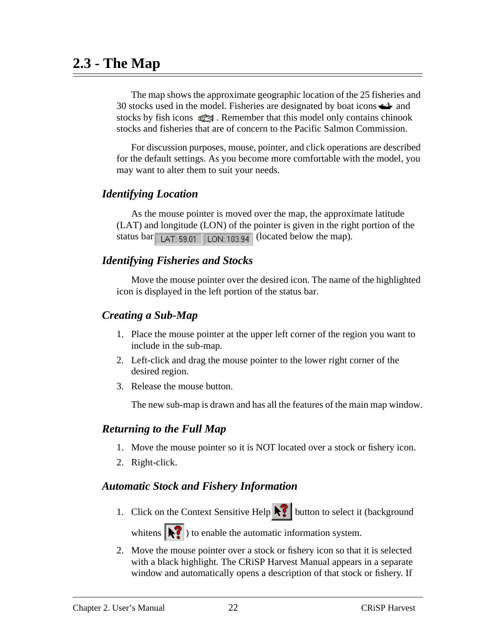### <span id="page-21-0"></span>**2.3 - The Map**

The map shows the approximate geographic location of the 25 fisheries and 30 stocks used in the model. Fisheries are designated by boat icons  $\rightarrow$  and stocks by fish icons  $\mathbb{R}^n$ . Remember that this model only contains chinook stocks and fisheries that are of concern to the Pacific Salmon Commission.

For discussion purposes, mouse, pointer, and click operations are described for the default settings. As you become more comfortable with the model, you may want to alter them to suit your needs.

#### *Identifying Location*

As the mouse pointer is moved over the map, the approximate latitude (LAT) and longitude (LON) of the pointer is given in the right portion of the status bar  $\sqrt{\frac{|\text{AT}|}{\text{B3.01}} \sqrt{\frac{|\text{ON}|}{103.94}}}$  (located below the map).

#### *Identifying Fisheries and Stocks*

Move the mouse pointer over the desired icon. The name of the highlighted icon is displayed in the left portion of the status bar.

#### *Creating a Sub-Map*

- 1. Place the mouse pointer at the upper left corner of the region you want to include in the sub-map.
- 2. Left-click and drag the mouse pointer to the lower right corner of the desired region.
- 3. Release the mouse button.

The new sub-map is drawn and has all the features of the main map window.

#### *Returning to the Full Map*

- 1. Move the mouse pointer so it is NOT located over a stock or fishery icon.
- 2. Right-click.

#### *Automatic Stock and Fishery Information*

1. Click on the Context Sensitive Help  $\left\| \cdot \right\|$  button to select it (background

whitens  $\left| \bullet \right\rangle$  to enable the automatic information system.

2. Move the mouse pointer over a stock or fishery icon so that it is selected with a black highlight. The CRiSP Harvest Manual appears in a separate window and automatically opens a description of that stock or fishery. If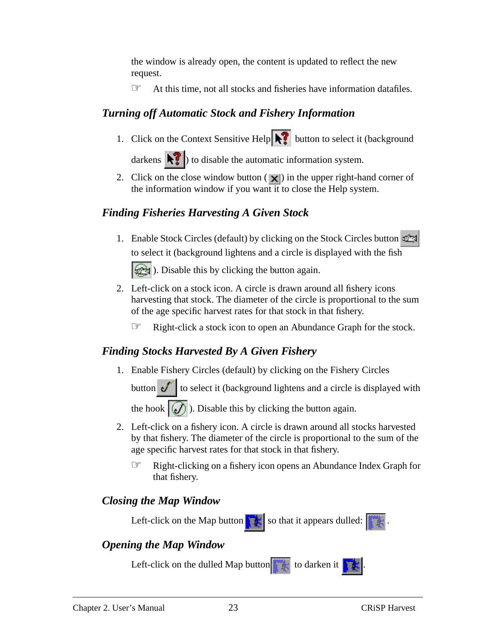the window is already open, the content is updated to reflect the new request.

☞ At this time, not all stocks and fisheries have information datafiles.

### *Turning off Automatic Stock and Fishery Information*

1. Click on the Context Sensitive Help  $\sum$  button to select it (background

darkens  $\left\| \cdot \right\|$  to disable the automatic information system.

2. Click on the close window button  $(|\mathbf{x}|)$  in the upper right-hand corner of the information window if you want it to close the Help system.

### *Finding Fisheries Harvesting A Given Stock*

- 1. Enable Stock Circles (default) by clicking on the Stock Circles button to select it (background lightens and a circle is displayed with the fish **External**). Disable this by clicking the button again.
- 2. Left-click on a stock icon. A circle is drawn around all fishery icons harvesting that stock. The diameter of the circle is proportional to the sum of the age specific harvest rates for that stock in that fishery.
	- ☞ Right-click a stock icon to open an Abundance Graph for the stock.

### *Finding Stocks Harvested By A Given Fishery*

1. Enable Fishery Circles (default) by clicking on the Fishery Circles

button  $\mathcal{F}$  to select it (background lightens and a circle is displayed with

the hook  $\left| \mathcal{J} \right|$ . Disable this by clicking the button again.

- 2. Left-click on a fishery icon. A circle is drawn around all stocks harvested by that fishery. The diameter of the circle is proportional to the sum of the age specific harvest rates for that stock in that fishery.
	- ☞ Right-clicking on a fishery icon opens an Abundance Index Graph for that fishery.

#### *Closing the Map Window*

Left-click on the Map button  $\|\cdot\|$  so that it appears dulled:

### *Opening the Map Window*

Left-click on the dulled Map button  $\mathbf{t}$  to darken it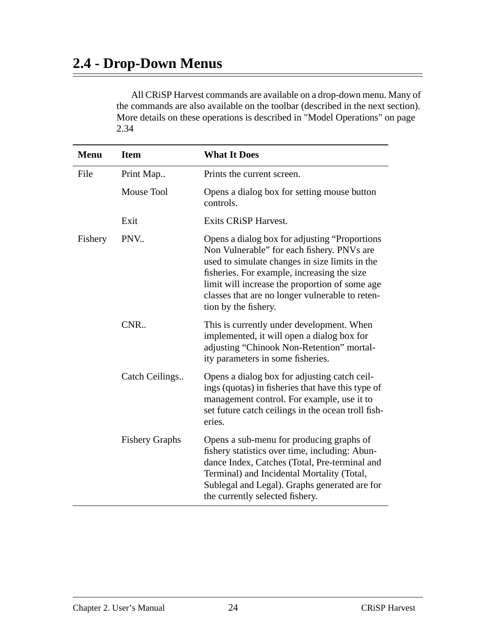# <span id="page-23-0"></span>**2.4 - Drop-Down Menus**

All CRiSP Harvest commands are available on a drop-down menu. Many of the commands are also available on the toolbar (described in the next section). More details on these operations is described in ["Model Operations" on page](#page-33-0) [2.34](#page-33-0)

| <b>Menu</b> | <b>Item</b>           | <b>What It Does</b>                                                                                                                                                                                                                                                                                                        |
|-------------|-----------------------|----------------------------------------------------------------------------------------------------------------------------------------------------------------------------------------------------------------------------------------------------------------------------------------------------------------------------|
| File        | Print Map             | Prints the current screen.                                                                                                                                                                                                                                                                                                 |
|             | Mouse Tool            | Opens a dialog box for setting mouse button<br>controls.                                                                                                                                                                                                                                                                   |
|             | Exit                  | <b>Exits CRiSP Harvest.</b>                                                                                                                                                                                                                                                                                                |
| Fishery     | PNV                   | Opens a dialog box for adjusting "Proportions"<br>Non Vulnerable" for each fishery. PNVs are<br>used to simulate changes in size limits in the<br>fisheries. For example, increasing the size<br>limit will increase the proportion of some age<br>classes that are no longer vulnerable to reten-<br>tion by the fishery. |
|             | CNR.                  | This is currently under development. When<br>implemented, it will open a dialog box for<br>adjusting "Chinook Non-Retention" mortal-<br>ity parameters in some fisheries.                                                                                                                                                  |
|             | Catch Ceilings        | Opens a dialog box for adjusting catch ceil-<br>ings (quotas) in fisheries that have this type of<br>management control. For example, use it to<br>set future catch ceilings in the ocean troll fish-<br>eries.                                                                                                            |
|             | <b>Fishery Graphs</b> | Opens a sub-menu for producing graphs of<br>fishery statistics over time, including: Abun-<br>dance Index, Catches (Total, Pre-terminal and<br>Terminal) and Incidental Mortality (Total,<br>Sublegal and Legal). Graphs generated are for<br>the currently selected fishery.                                              |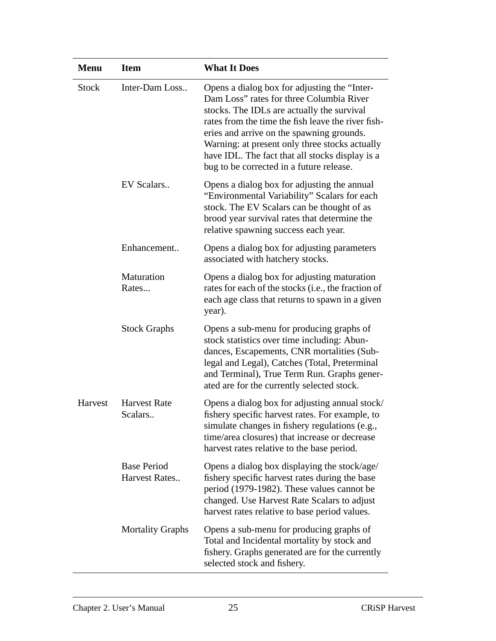| <b>Menu</b>  | <b>Item</b>                         | <b>What It Does</b>                                                                                                                                                                                                                                                                                                                                                                        |
|--------------|-------------------------------------|--------------------------------------------------------------------------------------------------------------------------------------------------------------------------------------------------------------------------------------------------------------------------------------------------------------------------------------------------------------------------------------------|
| <b>Stock</b> | Inter-Dam Loss                      | Opens a dialog box for adjusting the "Inter-<br>Dam Loss" rates for three Columbia River<br>stocks. The IDLs are actually the survival<br>rates from the time the fish leave the river fish-<br>eries and arrive on the spawning grounds.<br>Warning: at present only three stocks actually<br>have IDL. The fact that all stocks display is a<br>bug to be corrected in a future release. |
|              | EV Scalars                          | Opens a dialog box for adjusting the annual<br>"Environmental Variability" Scalars for each<br>stock. The EV Scalars can be thought of as<br>brood year survival rates that determine the<br>relative spawning success each year.                                                                                                                                                          |
|              | Enhancement                         | Opens a dialog box for adjusting parameters<br>associated with hatchery stocks.                                                                                                                                                                                                                                                                                                            |
|              | Maturation<br>Rates                 | Opens a dialog box for adjusting maturation<br>rates for each of the stocks (i.e., the fraction of<br>each age class that returns to spawn in a given<br>year).                                                                                                                                                                                                                            |
|              | <b>Stock Graphs</b>                 | Opens a sub-menu for producing graphs of<br>stock statistics over time including: Abun-<br>dances, Escapements, CNR mortalities (Sub-<br>legal and Legal), Catches (Total, Preterminal<br>and Terminal), True Term Run. Graphs gener-<br>ated are for the currently selected stock.                                                                                                        |
| Harvest      | <b>Harvest Rate</b><br>Scalars      | Opens a dialog box for adjusting annual stock/<br>fishery specific harvest rates. For example, to<br>simulate changes in fishery regulations (e.g.,<br>time/area closures) that increase or decrease<br>harvest rates relative to the base period.                                                                                                                                         |
|              | <b>Base Period</b><br>Harvest Rates | Opens a dialog box displaying the stock/age/<br>fishery specific harvest rates during the base<br>period (1979-1982). These values cannot be<br>changed. Use Harvest Rate Scalars to adjust<br>harvest rates relative to base period values.                                                                                                                                               |
|              | <b>Mortality Graphs</b>             | Opens a sub-menu for producing graphs of<br>Total and Incidental mortality by stock and<br>fishery. Graphs generated are for the currently<br>selected stock and fishery.                                                                                                                                                                                                                  |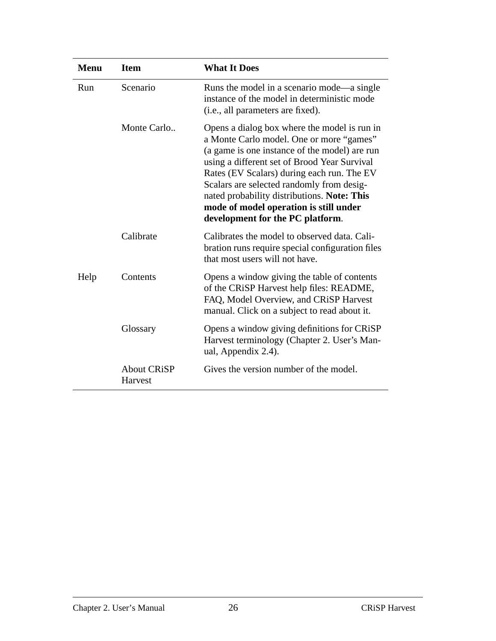| <b>Menu</b> | <b>Item</b>                   | <b>What It Does</b>                                                                                                                                                                                                                                                                                                                                                                                               |
|-------------|-------------------------------|-------------------------------------------------------------------------------------------------------------------------------------------------------------------------------------------------------------------------------------------------------------------------------------------------------------------------------------------------------------------------------------------------------------------|
| Run         | Scenario                      | Runs the model in a scenario mode—a single<br>instance of the model in deterministic mode<br>(i.e., all parameters are fixed).                                                                                                                                                                                                                                                                                    |
|             | Monte Carlo                   | Opens a dialog box where the model is run in<br>a Monte Carlo model. One or more "games"<br>(a game is one instance of the model) are run<br>using a different set of Brood Year Survival<br>Rates (EV Scalars) during each run. The EV<br>Scalars are selected randomly from desig-<br>nated probability distributions. Note: This<br>mode of model operation is still under<br>development for the PC platform. |
|             | Calibrate                     | Calibrates the model to observed data. Cali-<br>bration runs require special configuration files<br>that most users will not have.                                                                                                                                                                                                                                                                                |
| Help        | Contents                      | Opens a window giving the table of contents<br>of the CRiSP Harvest help files: README,<br>FAQ, Model Overview, and CRiSP Harvest<br>manual. Click on a subject to read about it.                                                                                                                                                                                                                                 |
|             | Glossary                      | Opens a window giving definitions for CRiSP<br>Harvest terminology (Chapter 2. User's Man-<br>ual, Appendix 2.4).                                                                                                                                                                                                                                                                                                 |
|             | <b>About CRiSP</b><br>Harvest | Gives the version number of the model.                                                                                                                                                                                                                                                                                                                                                                            |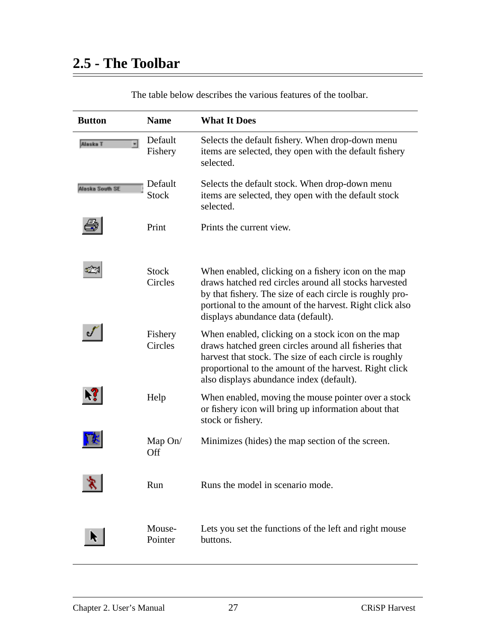$\overline{a}$ 

<span id="page-26-0"></span>

| <b>Button</b>                        | <b>Name</b>             | <b>What It Does</b>                                                                                                                                                                                                                                                        |
|--------------------------------------|-------------------------|----------------------------------------------------------------------------------------------------------------------------------------------------------------------------------------------------------------------------------------------------------------------------|
| $\overline{\phantom{a}}$<br>Aleska T | Default<br>Fishery      | Selects the default fishery. When drop-down menu<br>items are selected, they open with the default fishery<br>selected.                                                                                                                                                    |
| Alaska South SE                      | Default<br><b>Stock</b> | Selects the default stock. When drop-down menu<br>items are selected, they open with the default stock<br>selected.                                                                                                                                                        |
|                                      | Print                   | Prints the current view.                                                                                                                                                                                                                                                   |
|                                      | <b>Stock</b><br>Circles | When enabled, clicking on a fishery icon on the map<br>draws hatched red circles around all stocks harvested<br>by that fishery. The size of each circle is roughly pro-<br>portional to the amount of the harvest. Right click also<br>displays abundance data (default). |
|                                      | Fishery<br>Circles      | When enabled, clicking on a stock icon on the map<br>draws hatched green circles around all fisheries that<br>harvest that stock. The size of each circle is roughly<br>proportional to the amount of the harvest. Right click<br>also displays abundance index (default). |
|                                      | Help                    | When enabled, moving the mouse pointer over a stock<br>or fishery icon will bring up information about that<br>stock or fishery.                                                                                                                                           |
|                                      | Map $On/$<br>Off        | Minimizes (hides) the map section of the screen.                                                                                                                                                                                                                           |
|                                      | Run                     | Runs the model in scenario mode.                                                                                                                                                                                                                                           |
|                                      | Mouse-<br>Pointer       | Lets you set the functions of the left and right mouse<br>buttons.                                                                                                                                                                                                         |

The table below describes the various features of the toolbar.

÷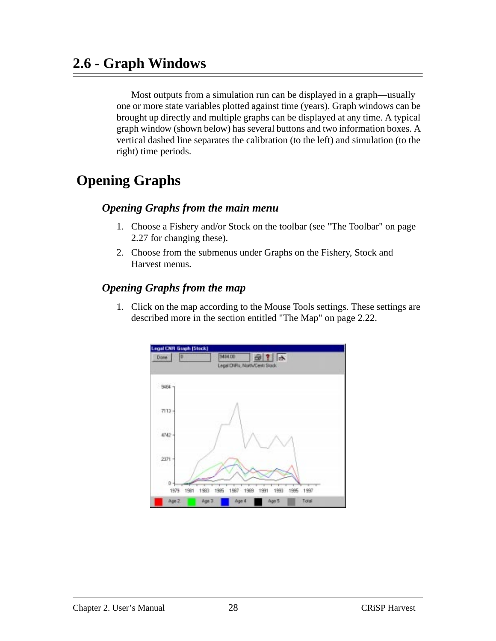# <span id="page-27-0"></span>**2.6 - Graph Windows**

Most outputs from a simulation run can be displayed in a graph—usually one or more state variables plotted against time (years). Graph windows can be brought up directly and multiple graphs can be displayed at any time. A typical graph window (shown below) has several buttons and two information boxes. A vertical dashed line separates the calibration (to the left) and simulation (to the right) time periods.

# **Opening Graphs**

#### *Opening Graphs from the main menu*

- 1. Choose a Fishery and/or Stock on the toolbar (see ["The Toolbar" on page](#page-26-0) [2.27](#page-26-0) for changing these).
- 2. Choose from the submenus under Graphs on the Fishery, Stock and Harvest menus.

#### *Opening Graphs from the map*

1. Click on the map according to the Mouse Tools settings. These settings are described more in the section entitled ["The Map" on page 2.22.](#page-21-0)

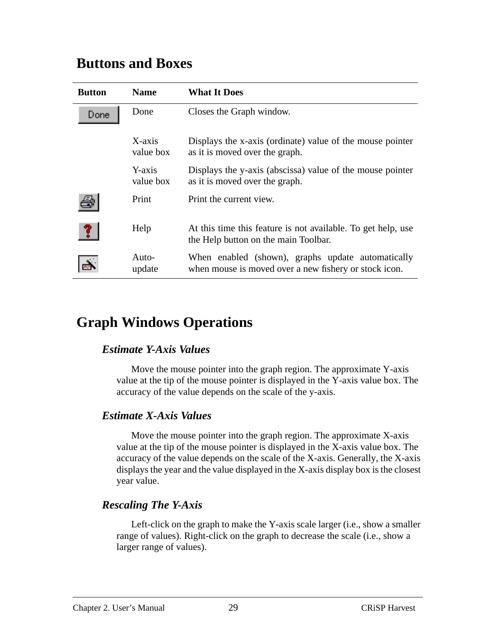### **Buttons and Boxes**

| <b>Button</b> | <b>Name</b>         | <b>What It Does</b>                                                                                        |
|---------------|---------------------|------------------------------------------------------------------------------------------------------------|
| Done          | Done                | Closes the Graph window.                                                                                   |
|               | X-axis<br>value box | Displays the x-axis (ordinate) value of the mouse pointer<br>as it is moved over the graph.                |
|               | Y-axis<br>value box | Displays the y-axis (abscissa) value of the mouse pointer<br>as it is moved over the graph.                |
|               | Print               | Print the current view.                                                                                    |
|               | Help                | At this time this feature is not available. To get help, use<br>the Help button on the main Toolbar.       |
|               | Auto-<br>update     | When enabled (shown), graphs update automatically<br>when mouse is moved over a new fishery or stock icon. |

# **Graph Windows Operations**

#### *Estimate Y-Axis Values*

Move the mouse pointer into the graph region. The approximate Y-axis value at the tip of the mouse pointer is displayed in the Y-axis value box. The accuracy of the value depends on the scale of the y-axis.

#### *Estimate X-Axis Values*

Move the mouse pointer into the graph region. The approximate X-axis value at the tip of the mouse pointer is displayed in the X-axis value box. The accuracy of the value depends on the scale of the X-axis. Generally, the X-axis displays the year and the value displayed in the X-axis display box is the closest year value.

### *Rescaling The Y-Axis*

Left-click on the graph to make the Y-axis scale larger (i.e., show a smaller range of values). Right-click on the graph to decrease the scale (i.e., show a larger range of values).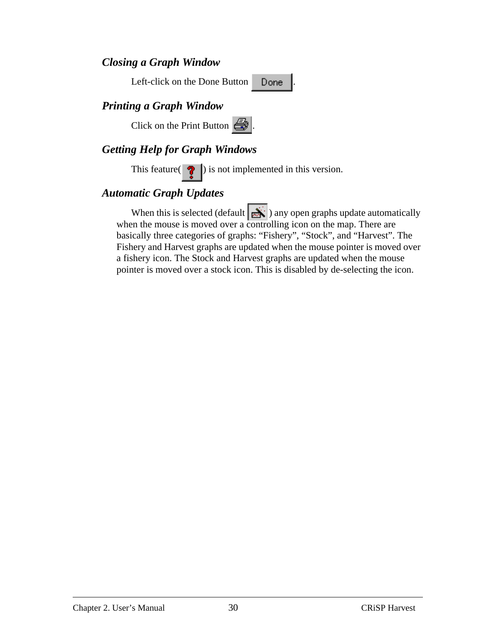#### *Closing a Graph Window*

Left-click on the Done Button . Done

### *Printing a Graph Window*

Click on the Print Button  $\mathbb{R}$ 

#### *Getting Help for Graph Windows*

This feature( $\bullet$ ) is not implemented in this version.

#### *Automatic Graph Updates*

When this is selected (default  $\sum$ ) any open graphs update automatically when the mouse is moved over a controlling icon on the map. There are basically three categories of graphs: "Fishery", "Stock", and "Harvest". The Fishery and Harvest graphs are updated when the mouse pointer is moved over a fishery icon. The Stock and Harvest graphs are updated when the mouse pointer is moved over a stock icon. This is disabled by de-selecting the icon.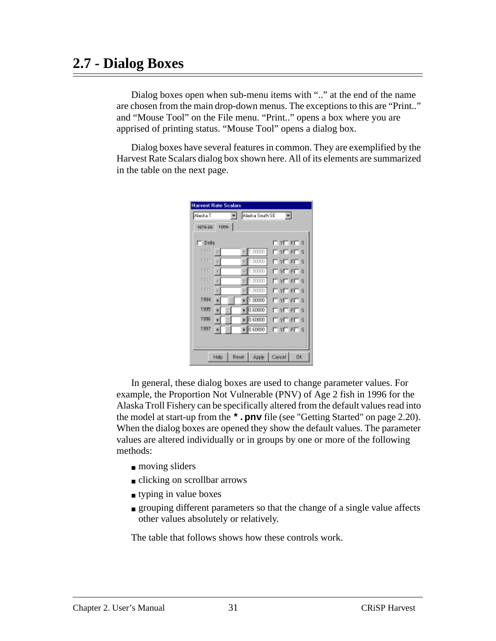## <span id="page-30-0"></span>**2.7 - Dialog Boxes**

Dialog boxes open when sub-menu items with ".." at the end of the name are chosen from the main drop-down menus. The exceptions to this are "Print.." and "Mouse Tool" on the File menu. "Print.." opens a box where you are apprised of printing status. "Mouse Tool" opens a dialog box.

Dialog boxes have several features in common. They are exemplified by the Harvest Rate Scalars dialog box shown here. All of its elements are summarized in the table on the next page.

| <b>Harvest Rate Scalars</b> |       |                 |                   |           |
|-----------------------------|-------|-----------------|-------------------|-----------|
| Alazka T                    |       | Aladka South SE | ×                 |           |
| 1979-00:                    | 1989- |                 |                   |           |
| $\Box$ Della                |       |                 | <b>FINE FE S</b>  |           |
|                             |       |                 |                   |           |
| 1933                        | ×     | 1.00000         | <b>LINE EL S</b>  |           |
| <b>1930</b>                 | ×     | 1.00000         | <b>LINE BLIS</b>  |           |
| 1931                        |       | 1.00000         | <b>FIYE EFT S</b> |           |
| 1937                        | ×     | 1.00000         | <b>FIYE EFT S</b> |           |
| 1933                        |       | 1.00000         | <b>LINE EL S</b>  |           |
| 1334                        |       | 1.00000         | <b>NEES</b>       |           |
| 1335                        |       | 0.60800         | <b>LINE EL S</b>  |           |
| 1335                        |       | $-0.50800$      | <b>LINE BLIS</b>  |           |
| 1337                        |       | 0.60800         | <b>MERES</b>      |           |
|                             |       |                 |                   |           |
|                             |       |                 |                   |           |
|                             | Help  | Reset<br>Apple  | Cancel            | <b>DK</b> |

In general, these dialog boxes are used to change parameter values. For example, the Proportion Not Vulnerable (PNV) of Age 2 fish in 1996 for the Alaska Troll Fishery can be specifically altered from the default values read into the model at start-up from the **\*.pnv** file (see ["Getting Started" on page 2.20](#page-19-0)). When the dialog boxes are opened they show the default values. The parameter values are altered individually or in groups by one or more of the following methods:

- moving sliders
- clicking on scrollbar arrows
- typing in value boxes
- grouping different parameters so that the change of a single value affects other values absolutely or relatively.

The table that follows shows how these controls work.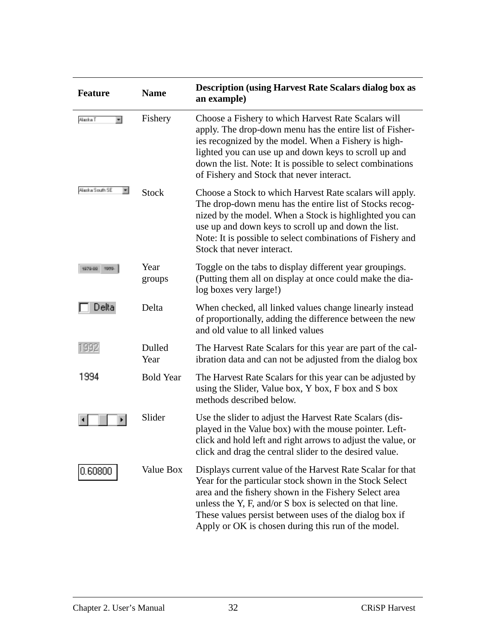| <b>Feature</b>        | <b>Name</b>      | <b>Description (using Harvest Rate Scalars dialog box as</b><br>an example)                                                                                                                                                                                                                                                                                |
|-----------------------|------------------|------------------------------------------------------------------------------------------------------------------------------------------------------------------------------------------------------------------------------------------------------------------------------------------------------------------------------------------------------------|
| Alazka T<br>$\bullet$ | Fishery          | Choose a Fishery to which Harvest Rate Scalars will<br>apply. The drop-down menu has the entire list of Fisher-<br>ies recognized by the model. When a Fishery is high-<br>lighted you can use up and down keys to scroll up and<br>down the list. Note: It is possible to select combinations<br>of Fishery and Stock that never interact.                |
| Alaska South SE<br>ᆂ  | <b>Stock</b>     | Choose a Stock to which Harvest Rate scalars will apply.<br>The drop-down menu has the entire list of Stocks recog-<br>nized by the model. When a Stock is highlighted you can<br>use up and down keys to scroll up and down the list.<br>Note: It is possible to select combinations of Fishery and<br>Stock that never interact.                         |
| 1979-001<br>1979.     | Year<br>groups   | Toggle on the tabs to display different year groupings.<br>(Putting them all on display at once could make the dia-<br>log boxes very large!)                                                                                                                                                                                                              |
| Delta                 | Delta            | When checked, all linked values change linearly instead<br>of proportionally, adding the difference between the new<br>and old value to all linked values                                                                                                                                                                                                  |
| 1992                  | Dulled<br>Year   | The Harvest Rate Scalars for this year are part of the cal-<br>ibration data and can not be adjusted from the dialog box                                                                                                                                                                                                                                   |
| 1994                  | <b>Bold Year</b> | The Harvest Rate Scalars for this year can be adjusted by<br>using the Slider, Value box, Y box, F box and S box<br>methods described below.                                                                                                                                                                                                               |
|                       | Slider           | Use the slider to adjust the Harvest Rate Scalars (dis-<br>played in the Value box) with the mouse pointer. Left-<br>click and hold left and right arrows to adjust the value, or<br>click and drag the central slider to the desired value.                                                                                                               |
| 0.60800               | Value Box        | Displays current value of the Harvest Rate Scalar for that<br>Year for the particular stock shown in the Stock Select<br>area and the fishery shown in the Fishery Select area<br>unless the Y, F, and/or S box is selected on that line.<br>These values persist between uses of the dialog box if<br>Apply or OK is chosen during this run of the model. |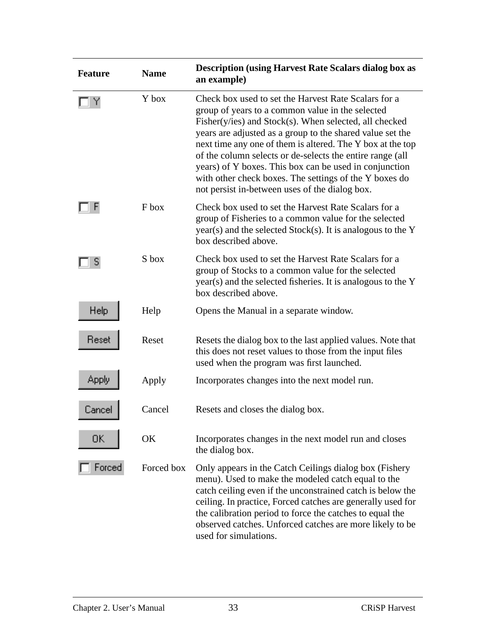| <b>Feature</b> | <b>Name</b> | <b>Description (using Harvest Rate Scalars dialog box as</b><br>an example)                                                                                                                                                                                                                                                                                                                                                                                                                                                           |
|----------------|-------------|---------------------------------------------------------------------------------------------------------------------------------------------------------------------------------------------------------------------------------------------------------------------------------------------------------------------------------------------------------------------------------------------------------------------------------------------------------------------------------------------------------------------------------------|
| Υ              | Y box       | Check box used to set the Harvest Rate Scalars for a<br>group of years to a common value in the selected<br>$Fisher(y/ies)$ and $Stock(s)$ . When selected, all checked<br>years are adjusted as a group to the shared value set the<br>next time any one of them is altered. The Y box at the top<br>of the column selects or de-selects the entire range (all<br>years) of Y boxes. This box can be used in conjunction<br>with other check boxes. The settings of the Y boxes do<br>not persist in-between uses of the dialog box. |
|                | F box       | Check box used to set the Harvest Rate Scalars for a<br>group of Fisheries to a common value for the selected<br>year(s) and the selected Stock(s). It is analogous to the Y<br>box described above.                                                                                                                                                                                                                                                                                                                                  |
| S              | S box       | Check box used to set the Harvest Rate Scalars for a<br>group of Stocks to a common value for the selected<br>year(s) and the selected fisheries. It is analogous to the Y<br>box described above.                                                                                                                                                                                                                                                                                                                                    |
| Help           | Help        | Opens the Manual in a separate window.                                                                                                                                                                                                                                                                                                                                                                                                                                                                                                |
| Reset          | Reset       | Resets the dialog box to the last applied values. Note that<br>this does not reset values to those from the input files<br>used when the program was first launched.                                                                                                                                                                                                                                                                                                                                                                  |
| Apply          | Apply       | Incorporates changes into the next model run.                                                                                                                                                                                                                                                                                                                                                                                                                                                                                         |
| Cancel         | Cancel      | Resets and closes the dialog box.                                                                                                                                                                                                                                                                                                                                                                                                                                                                                                     |
| ŪK.            | OK          | Incorporates changes in the next model run and closes<br>the dialog box.                                                                                                                                                                                                                                                                                                                                                                                                                                                              |
| Forced         | Forced box  | Only appears in the Catch Ceilings dialog box (Fishery<br>menu). Used to make the modeled catch equal to the<br>catch ceiling even if the unconstrained catch is below the<br>ceiling. In practice, Forced catches are generally used for<br>the calibration period to force the catches to equal the<br>observed catches. Unforced catches are more likely to be<br>used for simulations.                                                                                                                                            |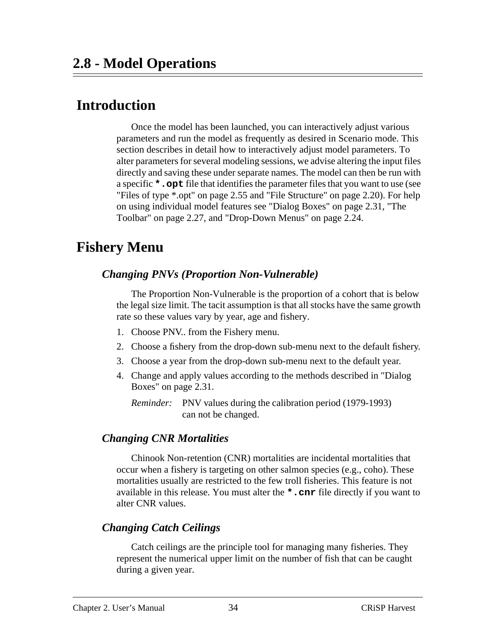# <span id="page-33-0"></span> **Introduction**

Once the model has been launched, you can interactively adjust various parameters and run the model as frequently as desired in Scenario mode. This section describes in detail how to interactively adjust model parameters. To alter parameters for several modeling sessions, we advise altering the input files directly and saving these under separate names. The model can then be run with a specific **\*.opt** file that identifies the parameter files that you want to use (see ["Files of type \\*.opt" on page 2.55](#page-54-0) and ["File Structure" on page 2.20\)](#page-19-0). For help on using individual model features see ["Dialog Boxes" on page 2.31](#page-30-0), ["The](#page-26-0) [Toolbar" on page 2.27,](#page-26-0) and ["Drop-Down Menus" on page 2.24.](#page-23-0)

## **Fishery Menu**

#### *Changing PNVs (Proportion Non-Vulnerable)*

The Proportion Non-Vulnerable is the proportion of a cohort that is below the legal size limit. The tacit assumption is that all stocks have the same growth rate so these values vary by year, age and fishery.

- 1. Choose PNV.. from the Fishery menu.
- 2. Choose a fishery from the drop-down sub-menu next to the default fishery.
- 3. Choose a year from the drop-down sub-menu next to the default year.
- 4. Change and apply values according to the methods described in ["Dialog](#page-30-0) [Boxes" on page 2.31](#page-30-0).

*Reminder:* PNV values during the calibration period (1979-1993) can not be changed.

#### *Changing CNR Mortalities*

Chinook Non-retention (CNR) mortalities are incidental mortalities that occur when a fishery is targeting on other salmon species (e.g., coho). These mortalities usually are restricted to the few troll fisheries. This feature is not available in this release. You must alter the **\*.cnr** file directly if you want to alter CNR values.

#### *Changing Catch Ceilings*

Catch ceilings are the principle tool for managing many fisheries. They represent the numerical upper limit on the number of fish that can be caught during a given year.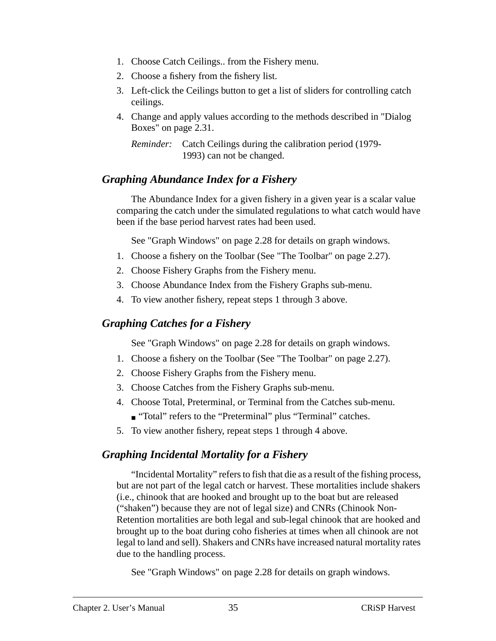- 1. Choose Catch Ceilings.. from the Fishery menu.
- 2. Choose a fishery from the fishery list.
- 3. Left-click the Ceilings button to get a list of sliders for controlling catch ceilings.
- 4. Change and apply values according to the methods described in ["Dialog](#page-30-0) [Boxes" on page 2.31](#page-30-0).

```
Reminder: Catch Ceilings during the calibration period (1979-
            1993) can not be changed.
```
#### *Graphing Abundance Index for a Fishery*

The Abundance Index for a given fishery in a given year is a scalar value comparing the catch under the simulated regulations to what catch would have been if the base period harvest rates had been used.

See ["Graph Windows" on page 2.28](#page-27-0) for details on graph windows.

- 1. Choose a fishery on the Toolbar (See ["The Toolbar" on page 2.27](#page-26-0)).
- 2. Choose Fishery Graphs from the Fishery menu.
- 3. Choose Abundance Index from the Fishery Graphs sub-menu.
- 4. To view another fishery, repeat steps 1 through 3 above.

#### *Graphing Catches for a Fishery*

See ["Graph Windows" on page 2.28](#page-27-0) for details on graph windows.

- 1. Choose a fishery on the Toolbar (See ["The Toolbar" on page 2.27](#page-26-0)).
- 2. Choose Fishery Graphs from the Fishery menu.
- 3. Choose Catches from the Fishery Graphs sub-menu.
- 4. Choose Total, Preterminal, or Terminal from the Catches sub-menu.
	- "Total" refers to the "Preterminal" plus "Terminal" catches.
- 5. To view another fishery, repeat steps 1 through 4 above.

#### *Graphing Incidental Mortality for a Fishery*

"Incidental Mortality" refers to fish that die as a result of the fishing process, but are not part of the legal catch or harvest. These mortalities include shakers (i.e., chinook that are hooked and brought up to the boat but are released ("shaken") because they are not of legal size) and CNRs (Chinook Non-Retention mortalities are both legal and sub-legal chinook that are hooked and brought up to the boat during coho fisheries at times when all chinook are not legal to land and sell). Shakers and CNRs have increased natural mortality rates due to the handling process.

See ["Graph Windows" on page 2.28](#page-27-0) for details on graph windows.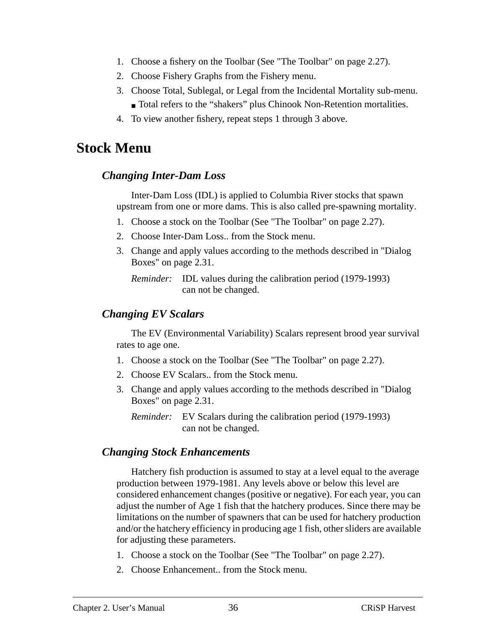- 1. Choose a fishery on the Toolbar (See ["The Toolbar" on page 2.27](#page-26-0)).
- 2. Choose Fishery Graphs from the Fishery menu.
- 3. Choose Total, Sublegal, or Legal from the Incidental Mortality sub-menu. ■ Total refers to the "shakers" plus Chinook Non-Retention mortalities.
- 4. To view another fishery, repeat steps 1 through 3 above.

### **Stock Menu**

#### *Changing Inter-Dam Loss*

Inter-Dam Loss (IDL) is applied to Columbia River stocks that spawn upstream from one or more dams. This is also called pre-spawning mortality.

- 1. Choose a stock on the Toolbar (See ["The Toolbar" on page 2.27\)](#page-26-0).
- 2. Choose Inter-Dam Loss.. from the Stock menu.
- 3. Change and apply values according to the methods described in ["Dialog](#page-30-0) [Boxes" on page 2.31](#page-30-0).

*Reminder:* IDL values during the calibration period (1979-1993) can not be changed.

#### *Changing EV Scalars*

The EV (Environmental Variability) Scalars represent brood year survival rates to age one.

- 1. Choose a stock on the Toolbar (See ["The Toolbar" on page 2.27\)](#page-26-0).
- 2. Choose EV Scalars.. from the Stock menu.
- 3. Change and apply values according to the methods described in ["Dialog](#page-30-0) [Boxes" on page 2.31](#page-30-0).

*Reminder:* EV Scalars during the calibration period (1979-1993) can not be changed.

#### *Changing Stock Enhancements*

Hatchery fish production is assumed to stay at a level equal to the average production between 1979-1981. Any levels above or below this level are considered enhancement changes (positive or negative). For each year, you can adjust the number of Age 1 fish that the hatchery produces. Since there may be limitations on the number of spawners that can be used for hatchery production and/or the hatchery efficiency in producing age 1 fish, other sliders are available for adjusting these parameters.

- 1. Choose a stock on the Toolbar (See ["The Toolbar" on page 2.27\)](#page-26-0).
- 2. Choose Enhancement.. from the Stock menu.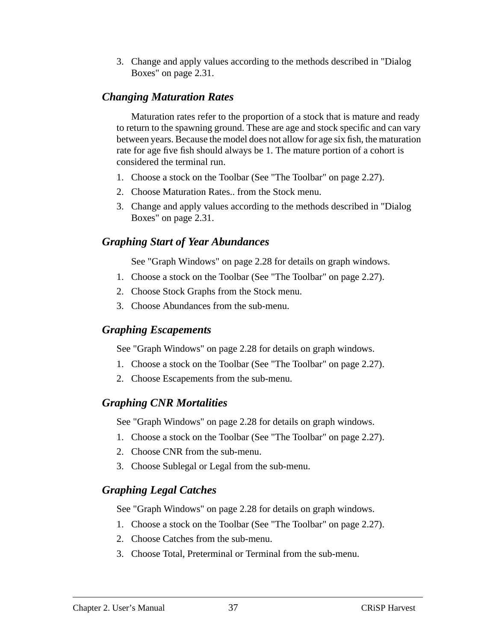3. Change and apply values according to the methods described in ["Dialog](#page-30-0) [Boxes" on page 2.31](#page-30-0).

#### *Changing Maturation Rates*

Maturation rates refer to the proportion of a stock that is mature and ready to return to the spawning ground. These are age and stock specific and can vary between years. Because the model does not allow for age six fish, the maturation rate for age five fish should always be 1. The mature portion of a cohort is considered the terminal run.

- 1. Choose a stock on the Toolbar (See ["The Toolbar" on page 2.27\)](#page-26-0).
- 2. Choose Maturation Rates.. from the Stock menu.
- 3. Change and apply values according to the methods described in ["Dialog](#page-30-0) [Boxes" on page 2.31](#page-30-0).

### *Graphing Start of Year Abundances*

See ["Graph Windows" on page 2.28](#page-27-0) for details on graph windows.

- 1. Choose a stock on the Toolbar (See ["The Toolbar" on page 2.27\)](#page-26-0).
- 2. Choose Stock Graphs from the Stock menu.
- 3. Choose Abundances from the sub-menu.

#### *Graphing Escapements*

See ["Graph Windows" on page 2.28](#page-27-0) for details on graph windows.

- 1. Choose a stock on the Toolbar (See ["The Toolbar" on page 2.27\)](#page-26-0).
- 2. Choose Escapements from the sub-menu.

### *Graphing CNR Mortalities*

See ["Graph Windows" on page 2.28](#page-27-0) for details on graph windows.

- 1. Choose a stock on the Toolbar (See ["The Toolbar" on page 2.27\)](#page-26-0).
- 2. Choose CNR from the sub-menu.
- 3. Choose Sublegal or Legal from the sub-menu.

### *Graphing Legal Catches*

See ["Graph Windows" on page 2.28](#page-27-0) for details on graph windows.

- 1. Choose a stock on the Toolbar (See ["The Toolbar" on page 2.27\)](#page-26-0).
- 2. Choose Catches from the sub-menu.
- 3. Choose Total, Preterminal or Terminal from the sub-menu.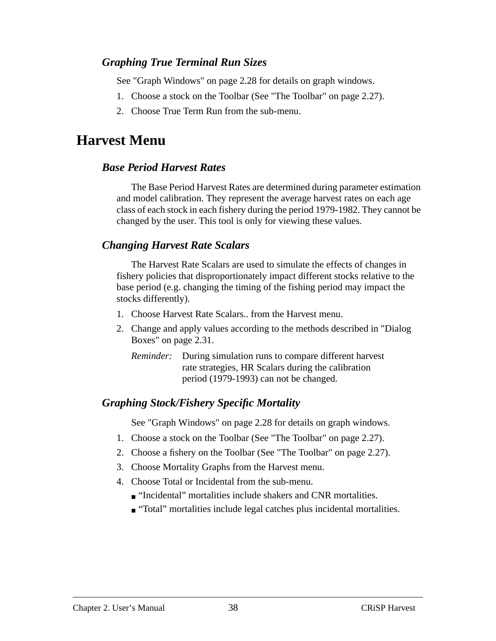### <span id="page-37-0"></span>*Graphing True Terminal Run Sizes*

See ["Graph Windows" on page 2.28](#page-27-0) for details on graph windows.

- 1. Choose a stock on the Toolbar (See ["The Toolbar" on page 2.27\)](#page-26-0).
- 2. Choose True Term Run from the sub-menu.

# **Harvest Menu**

### *Base Period Harvest Rates*

The Base Period Harvest Rates are determined during parameter estimation and model calibration. They represent the average harvest rates on each age class of each stock in each fishery during the period 1979-1982. They cannot be changed by the user. This tool is only for viewing these values.

## *Changing Harvest Rate Scalars*

The Harvest Rate Scalars are used to simulate the effects of changes in fishery policies that disproportionately impact different stocks relative to the base period (e.g. changing the timing of the fishing period may impact the stocks differently).

- 1. Choose Harvest Rate Scalars.. from the Harvest menu.
- 2. Change and apply values according to the methods described in ["Dialog](#page-30-0) [Boxes" on page 2.31](#page-30-0).
	- *Reminder:* During simulation runs to compare different harvest rate strategies, HR Scalars during the calibration period (1979-1993) can not be changed.

## *Graphing Stock/Fishery Specific Mortality*

See ["Graph Windows" on page 2.28](#page-27-0) for details on graph windows.

- 1. Choose a stock on the Toolbar (See ["The Toolbar" on page 2.27\)](#page-26-0).
- 2. Choose a fishery on the Toolbar (See ["The Toolbar" on page 2.27](#page-26-0)).
- 3. Choose Mortality Graphs from the Harvest menu.
- 4. Choose Total or Incidental from the sub-menu.
	- "Incidental" mortalities include shakers and CNR mortalities.
	- "Total" mortalities include legal catches plus incidental mortalities.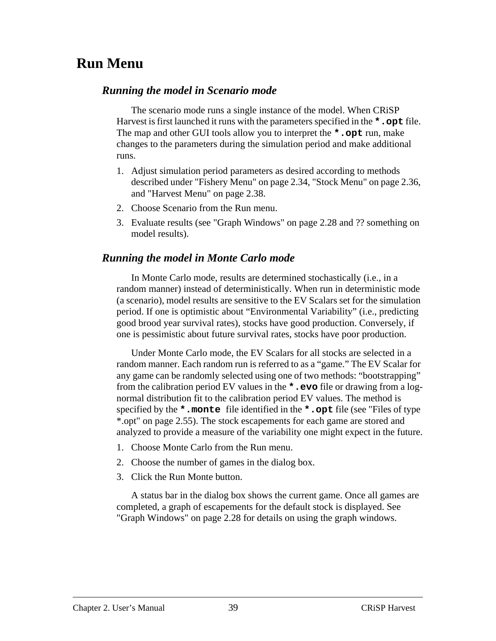# **Run Menu**

#### *Running the model in Scenario mode*

The scenario mode runs a single instance of the model. When CRiSP Harvest is first launched it runs with the parameters specified in the **\*.opt** file. The map and other GUI tools allow you to interpret the **\*.opt** run, make changes to the parameters during the simulation period and make additional runs.

- 1. Adjust simulation period parameters as desired according to methods described under ["Fishery Menu" on page 2.34](#page-33-0), ["Stock Menu" on page 2.36](#page-35-0), and ["Harvest Menu" on page 2.38](#page-37-0).
- 2. Choose Scenario from the Run menu.
- 3. Evaluate results (see ["Graph Windows" on page 2.28](#page-27-0) and ?? something on model results).

#### *Running the model in Monte Carlo mode*

In Monte Carlo mode, results are determined stochastically (i.e., in a random manner) instead of deterministically. When run in deterministic mode (a scenario), model results are sensitive to the EV Scalars set for the simulation period. If one is optimistic about "Environmental Variability" (i.e., predicting good brood year survival rates), stocks have good production. Conversely, if one is pessimistic about future survival rates, stocks have poor production.

Under Monte Carlo mode, the EV Scalars for all stocks are selected in a random manner. Each random run is referred to as a "game." The EV Scalar for any game can be randomly selected using one of two methods: "bootstrapping" from the calibration period EV values in the **\*.evo** file or drawing from a lognormal distribution fit to the calibration period EV values. The method is specified by the **\*.monte** file identified in the **\*.opt** file (see ["Files of type](#page-54-0) [\\*.opt" on page 2.55\)](#page-54-0). The stock escapements for each game are stored and analyzed to provide a measure of the variability one might expect in the future.

- 1. Choose Monte Carlo from the Run menu.
- 2. Choose the number of games in the dialog box.
- 3. Click the Run Monte button.

A status bar in the dialog box shows the current game. Once all games are completed, a graph of escapements for the default stock is displayed. See ["Graph Windows" on page 2.28](#page-27-0) for details on using the graph windows.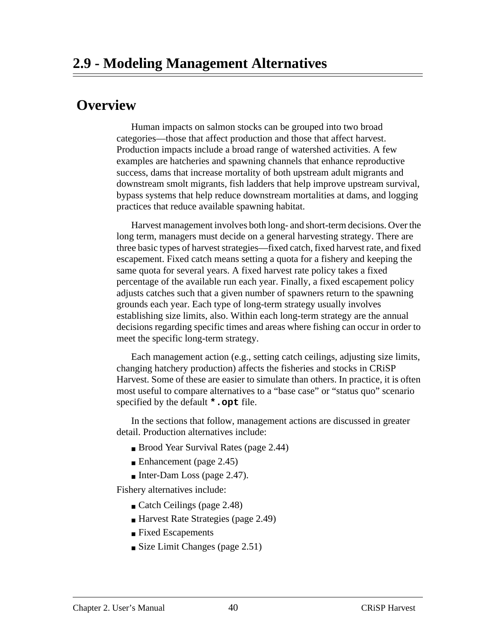# **Overview**

Human impacts on salmon stocks can be grouped into two broad categories—those that affect production and those that affect harvest. Production impacts include a broad range of watershed activities. A few examples are hatcheries and spawning channels that enhance reproductive success, dams that increase mortality of both upstream adult migrants and downstream smolt migrants, fish ladders that help improve upstream survival, bypass systems that help reduce downstream mortalities at dams, and logging practices that reduce available spawning habitat.

Harvest management involves both long- and short-term decisions. Over the long term, managers must decide on a general harvesting strategy. There are three basic types of harvest strategies—fixed catch, fixed harvest rate, and fixed escapement. Fixed catch means setting a quota for a fishery and keeping the same quota for several years. A fixed harvest rate policy takes a fixed percentage of the available run each year. Finally, a fixed escapement policy adjusts catches such that a given number of spawners return to the spawning grounds each year. Each type of long-term strategy usually involves establishing size limits, also. Within each long-term strategy are the annual decisions regarding specific times and areas where fishing can occur in order to meet the specific long-term strategy.

Each management action (e.g., setting catch ceilings, adjusting size limits, changing hatchery production) affects the fisheries and stocks in CRiSP Harvest. Some of these are easier to simulate than others. In practice, it is often most useful to compare alternatives to a "base case" or "status quo" scenario specified by the default **\*.opt** file.

In the sections that follow, management actions are discussed in greater detail. Production alternatives include:

- Brood Year Survival Rates ([page 2.44](#page-43-0))
- Enhancement [\(page 2.45\)](#page-44-0)
- Inter-Dam Loss [\(page 2.47](#page-46-0)).

Fishery alternatives include:

- Catch Ceilings ([page 2.48\)](#page-47-0)
- Harvest Rate Strategies [\(page 2.49\)](#page-48-0)
- Fixed Escapements
- Size Limit Changes ([page 2.51](#page-50-0))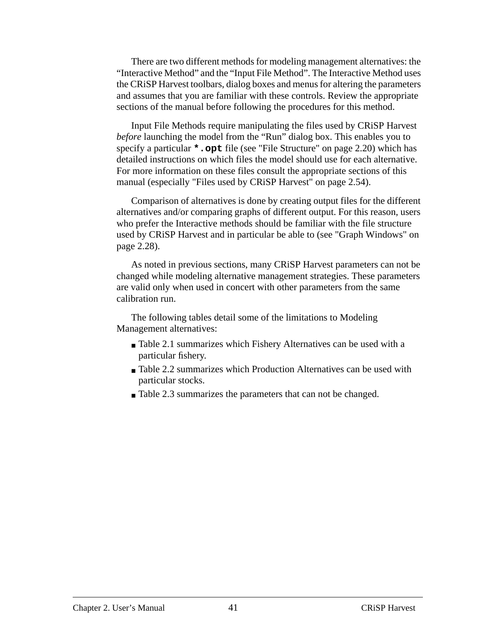There are two different methods for modeling management alternatives: the "Interactive Method" and the "Input File Method". The Interactive Method uses the CRiSP Harvest toolbars, dialog boxes and menus for altering the parameters and assumes that you are familiar with these controls. Review the appropriate sections of the manual before following the procedures for this method.

Input File Methods require manipulating the files used by CRiSP Harvest *before* launching the model from the "Run" dialog box. This enables you to specify a particular **\*.opt** file (see ["File Structure" on page 2.20](#page-19-0)) which has detailed instructions on which files the model should use for each alternative. For more information on these files consult the appropriate sections of this manual (especially ["Files used by CRiSP Harvest" on page 2.54](#page-53-0)).

Comparison of alternatives is done by creating output files for the different alternatives and/or comparing graphs of different output. For this reason, users who prefer the Interactive methods should be familiar with the file structure used by CRiSP Harvest and in particular be able to (see ["Graph Windows" on](#page-27-0) [page 2.28\)](#page-27-0).

As noted in previous sections, many CRiSP Harvest parameters can not be changed while modeling alternative management strategies. These parameters are valid only when used in concert with other parameters from the same calibration run.

The following tables detail some of the limitations to Modeling Management alternatives:

- [Table 2.1](#page-41-0) summarizes which Fishery Alternatives can be used with a particular fishery.
- [Table 2.2](#page-42-0) summarizes which Production Alternatives can be used with particular stocks.
- [Table 2.3](#page-43-0) summarizes the parameters that can not be changed.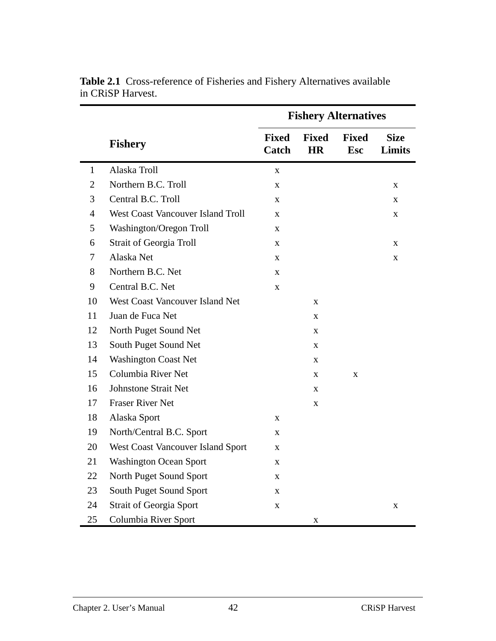|              |                                          | <b>Fishery Alternatives</b> |                           |                            |                       |
|--------------|------------------------------------------|-----------------------------|---------------------------|----------------------------|-----------------------|
|              | <b>Fishery</b>                           | <b>Fixed</b><br>Catch       | <b>Fixed</b><br><b>HR</b> | <b>Fixed</b><br><b>Esc</b> | <b>Size</b><br>Limits |
| $\mathbf{1}$ | Alaska Troll                             | X                           |                           |                            |                       |
| 2            | Northern B.C. Troll                      | X                           |                           |                            | X                     |
| 3            | Central B.C. Troll                       | $\mathbf X$                 |                           |                            | X                     |
| 4            | <b>West Coast Vancouver Island Troll</b> | X                           |                           |                            | $\mathbf X$           |
| 5            | Washington/Oregon Troll                  | $\mathbf X$                 |                           |                            |                       |
| 6            | <b>Strait of Georgia Troll</b>           | X                           |                           |                            | X                     |
| 7            | Alaska Net                               | X                           |                           |                            | $\mathbf X$           |
| 8            | Northern B.C. Net                        | X                           |                           |                            |                       |
| 9            | Central B.C. Net                         | $\mathbf X$                 |                           |                            |                       |
| 10           | West Coast Vancouver Island Net          |                             | X                         |                            |                       |
| 11           | Juan de Fuca Net                         |                             | $\mathbf X$               |                            |                       |
| 12           | North Puget Sound Net                    |                             | X                         |                            |                       |
| 13           | South Puget Sound Net                    |                             | $\mathbf X$               |                            |                       |
| 14           | <b>Washington Coast Net</b>              |                             | X                         |                            |                       |
| 15           | Columbia River Net                       |                             | X                         | $\mathbf X$                |                       |
| 16           | <b>Johnstone Strait Net</b>              |                             | X                         |                            |                       |
| 17           | <b>Fraser River Net</b>                  |                             | $\mathbf X$               |                            |                       |
| 18           | Alaska Sport                             | X                           |                           |                            |                       |
| 19           | North/Central B.C. Sport                 | $\mathbf X$                 |                           |                            |                       |
| 20           | West Coast Vancouver Island Sport        | $\mathbf X$                 |                           |                            |                       |
| 21           | <b>Washington Ocean Sport</b>            | X                           |                           |                            |                       |
| 22           | North Puget Sound Sport                  | $\mathbf X$                 |                           |                            |                       |
| 23           | South Puget Sound Sport                  | $\mathbf X$                 |                           |                            |                       |
| 24           | <b>Strait of Georgia Sport</b>           | $\mathbf X$                 |                           |                            | $\mathbf X$           |
| 25           | Columbia River Sport                     |                             | $\mathbf X$               |                            |                       |

<span id="page-41-0"></span>**Table 2.1** Cross-reference of Fisheries and Fishery Alternatives available in CRiSP Harvest.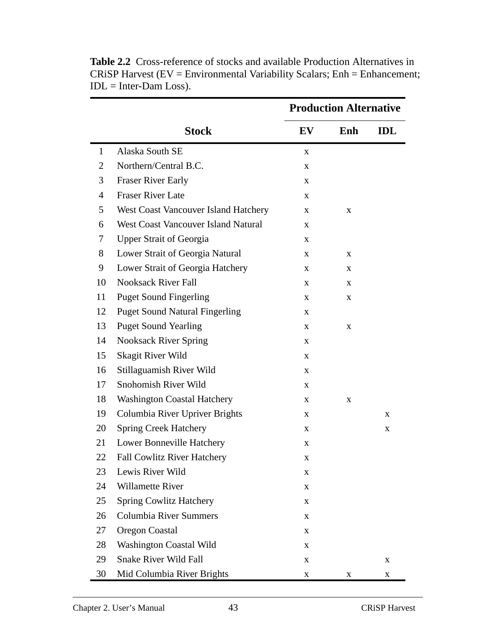|              |                                             | <b>Production Alternative</b> |     |            |
|--------------|---------------------------------------------|-------------------------------|-----|------------|
|              | <b>Stock</b>                                | EV                            | Enh | <b>IDL</b> |
| $\mathbf{1}$ | Alaska South SE                             | $\mathbf X$                   |     |            |
| 2            | Northern/Central B.C.                       | X                             |     |            |
| 3            | <b>Fraser River Early</b>                   | X                             |     |            |
| 4            | <b>Fraser River Late</b>                    | X                             |     |            |
| 5            | <b>West Coast Vancouver Island Hatchery</b> | X                             | X   |            |
| 6            | <b>West Coast Vancouver Island Natural</b>  | X                             |     |            |
| 7            | <b>Upper Strait of Georgia</b>              | X                             |     |            |
| 8            | Lower Strait of Georgia Natural             | X                             | X   |            |
| 9            | Lower Strait of Georgia Hatchery            | X                             | X   |            |
| 10           | <b>Nooksack River Fall</b>                  | X                             | X   |            |
| 11           | <b>Puget Sound Fingerling</b>               | X                             | X   |            |
| 12           | <b>Puget Sound Natural Fingerling</b>       | X                             |     |            |
| 13           | <b>Puget Sound Yearling</b>                 | X                             | X   |            |
| 14           | <b>Nooksack River Spring</b>                | X                             |     |            |
| 15           | Skagit River Wild                           | X                             |     |            |
| 16           | Stillaguamish River Wild                    | X                             |     |            |
| 17           | Snohomish River Wild                        | X                             |     |            |
| 18           | <b>Washington Coastal Hatchery</b>          | X                             | X   |            |
| 19           | Columbia River Upriver Brights              | X                             |     | X          |
| 20           | <b>Spring Creek Hatchery</b>                | X                             |     | X          |
| 21           | Lower Bonneville Hatchery                   | X                             |     |            |
| 22           | <b>Fall Cowlitz River Hatchery</b>          | X                             |     |            |
| 23           | Lewis River Wild                            | X                             |     |            |
| 24           | <b>Willamette River</b>                     | X                             |     |            |
| 25           | <b>Spring Cowlitz Hatchery</b>              | X                             |     |            |
| 26           | <b>Columbia River Summers</b>               | X                             |     |            |
| 27           | <b>Oregon Coastal</b>                       | X                             |     |            |
| 28           | <b>Washington Coastal Wild</b>              | X                             |     |            |
| 29           | <b>Snake River Wild Fall</b>                | X                             |     | X          |
| 30           | Mid Columbia River Brights                  | X                             | X   | X          |

<span id="page-42-0"></span>**Table 2.2** Cross-reference of stocks and available Production Alternatives in CRiSP Harvest (EV = Environmental Variability Scalars; Enh = Enhancement;  $IDL = Inter-Dam Loss$ .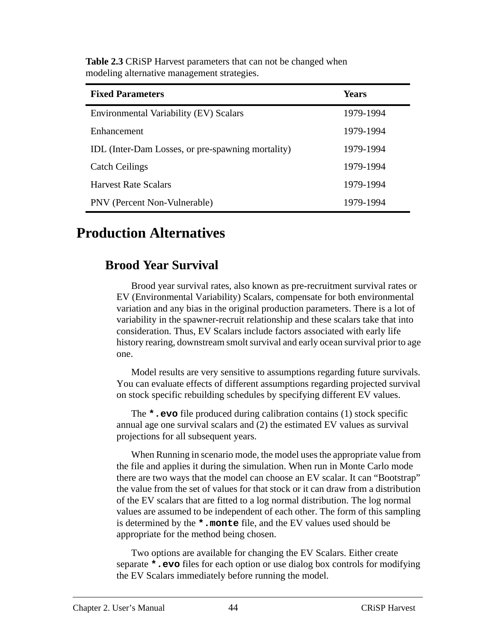| <b>Fixed Parameters</b>                           | Years     |  |
|---------------------------------------------------|-----------|--|
| Environmental Variability (EV) Scalars            | 1979-1994 |  |
| Enhancement                                       | 1979-1994 |  |
| IDL (Inter-Dam Losses, or pre-spawning mortality) | 1979-1994 |  |
| <b>Catch Ceilings</b>                             | 1979-1994 |  |
| <b>Harvest Rate Scalars</b>                       | 1979-1994 |  |
| PNV (Percent Non-Vulnerable)                      | 1979-1994 |  |

<span id="page-43-0"></span>**Table 2.3** CRiSP Harvest parameters that can not be changed when modeling alternative management strategies.

# **Production Alternatives**

# **Brood Year Survival**

Brood year survival rates, also known as pre-recruitment survival rates or EV (Environmental Variability) Scalars, compensate for both environmental variation and any bias in the original production parameters. There is a lot of variability in the spawner-recruit relationship and these scalars take that into consideration. Thus, EV Scalars include factors associated with early life history rearing, downstream smolt survival and early ocean survival prior to age one.

Model results are very sensitive to assumptions regarding future survivals. You can evaluate effects of different assumptions regarding projected survival on stock specific rebuilding schedules by specifying different EV values.

The **\*.evo** file produced during calibration contains (1) stock specific annual age one survival scalars and (2) the estimated EV values as survival projections for all subsequent years.

When Running in scenario mode, the model uses the appropriate value from the file and applies it during the simulation. When run in Monte Carlo mode there are two ways that the model can choose an EV scalar. It can "Bootstrap" the value from the set of values for that stock or it can draw from a distribution of the EV scalars that are fitted to a log normal distribution. The log normal values are assumed to be independent of each other. The form of this sampling is determined by the **\*.monte** file, and the EV values used should be appropriate for the method being chosen.

Two options are available for changing the EV Scalars. Either create separate **\*.evo** files for each option or use dialog box controls for modifying the EV Scalars immediately before running the model.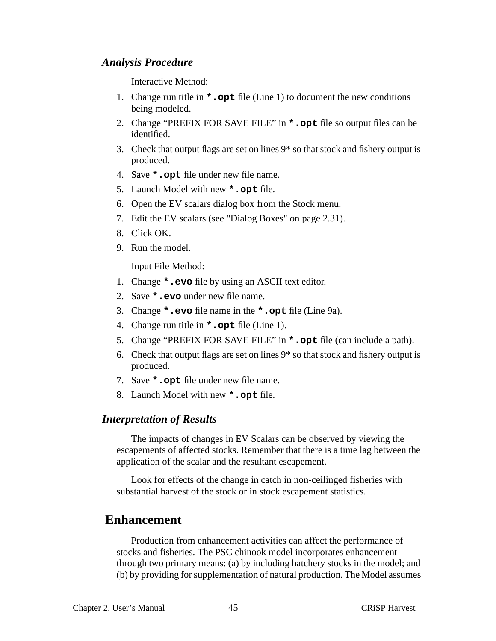### <span id="page-44-0"></span>*Analysis Procedure*

Interactive Method:

- 1. Change run title in **\*.opt** file (Line 1) to document the new conditions being modeled.
- 2. Change "PREFIX FOR SAVE FILE" in **\*.opt** file so output files can be identified.
- 3. Check that output flags are set on lines 9\* so that stock and fishery output is produced.
- 4. Save **\*.opt** file under new file name.
- 5. Launch Model with new **\*.opt** file.
- 6. Open the EV scalars dialog box from the Stock menu.
- 7. Edit the EV scalars (see ["Dialog Boxes" on page 2.31\)](#page-30-0).
- 8. Click OK.
- 9. Run the model.

Input File Method:

- 1. Change **\*.evo** file by using an ASCII text editor.
- 2. Save **\*.evo** under new file name.
- 3. Change **\*.evo** file name in the **\*.opt** file (Line 9a).
- 4. Change run title in **\*.opt** file (Line 1).
- 5. Change "PREFIX FOR SAVE FILE" in **\*.opt** file (can include a path).
- 6. Check that output flags are set on lines 9\* so that stock and fishery output is produced.
- 7. Save **\*.opt** file under new file name.
- 8. Launch Model with new **\*.opt** file.

### *Interpretation of Results*

The impacts of changes in EV Scalars can be observed by viewing the escapements of affected stocks. Remember that there is a time lag between the application of the scalar and the resultant escapement.

Look for effects of the change in catch in non-ceilinged fisheries with substantial harvest of the stock or in stock escapement statistics.

# **Enhancement**

Production from enhancement activities can affect the performance of stocks and fisheries. The PSC chinook model incorporates enhancement through two primary means: (a) by including hatchery stocks in the model; and (b) by providing for supplementation of natural production. The Model assumes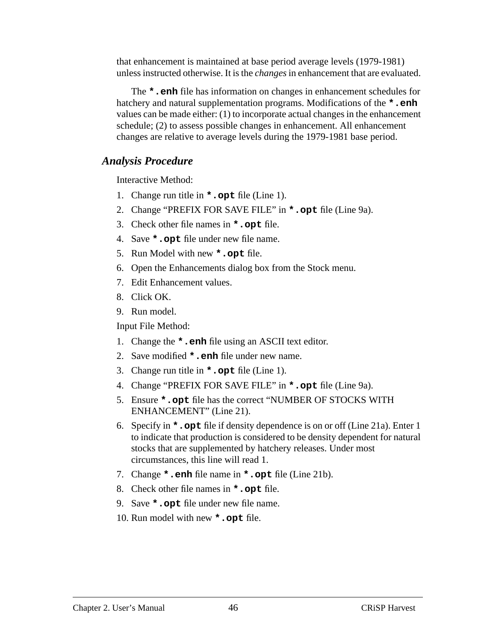that enhancement is maintained at base period average levels (1979-1981) unless instructed otherwise. It is the *changes* in enhancement that are evaluated.

The **\*.enh** file has information on changes in enhancement schedules for hatchery and natural supplementation programs. Modifications of the **\*.enh** values can be made either: (1) to incorporate actual changes in the enhancement schedule; (2) to assess possible changes in enhancement. All enhancement changes are relative to average levels during the 1979-1981 base period.

#### *Analysis Procedure*

Interactive Method:

- 1. Change run title in **\*.opt** file (Line 1).
- 2. Change "PREFIX FOR SAVE FILE" in **\*.opt** file (Line 9a).
- 3. Check other file names in **\*.opt** file.
- 4. Save **\*.opt** file under new file name.
- 5. Run Model with new **\*.opt** file.
- 6. Open the Enhancements dialog box from the Stock menu.
- 7. Edit Enhancement values.
- 8. Click OK.
- 9. Run model.

Input File Method:

- 1. Change the **\*.enh** file using an ASCII text editor.
- 2. Save modified **\*.enh** file under new name.
- 3. Change run title in **\*.opt** file (Line 1).
- 4. Change "PREFIX FOR SAVE FILE" in **\*.opt** file (Line 9a).
- 5. Ensure **\*.opt** file has the correct "NUMBER OF STOCKS WITH ENHANCEMENT" (Line 21).
- 6. Specify in **\*.opt** file if density dependence is on or off (Line 21a). Enter 1 to indicate that production is considered to be density dependent for natural stocks that are supplemented by hatchery releases. Under most circumstances, this line will read 1.
- 7. Change **\*.enh** file name in **\*.opt** file (Line 21b).
- 8. Check other file names in **\*.opt** file.
- 9. Save **\*.opt** file under new file name.
- 10. Run model with new **\*.opt** file.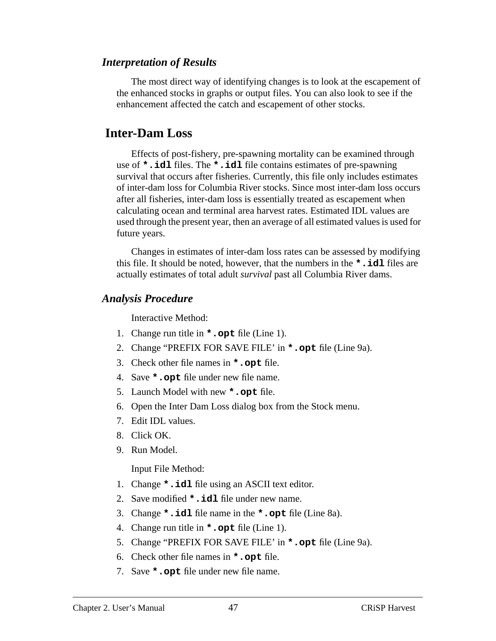#### <span id="page-46-0"></span>*Interpretation of Results*

The most direct way of identifying changes is to look at the escapement of the enhanced stocks in graphs or output files. You can also look to see if the enhancement affected the catch and escapement of other stocks.

## **Inter-Dam Loss**

Effects of post-fishery, pre-spawning mortality can be examined through use of **\*.idl** files. The **\*.idl** file contains estimates of pre-spawning survival that occurs after fisheries. Currently, this file only includes estimates of inter-dam loss for Columbia River stocks. Since most inter-dam loss occurs after all fisheries, inter-dam loss is essentially treated as escapement when calculating ocean and terminal area harvest rates. Estimated IDL values are used through the present year, then an average of all estimated values is used for future years.

Changes in estimates of inter-dam loss rates can be assessed by modifying this file. It should be noted, however, that the numbers in the **\*.idl** files are actually estimates of total adult *survival* past all Columbia River dams.

#### *Analysis Procedure*

Interactive Method:

- 1. Change run title in **\*.opt** file (Line 1).
- 2. Change "PREFIX FOR SAVE FILE' in **\*.opt** file (Line 9a).
- 3. Check other file names in **\*.opt** file.
- 4. Save **\*.opt** file under new file name.
- 5. Launch Model with new **\*.opt** file.
- 6. Open the Inter Dam Loss dialog box from the Stock menu.
- 7. Edit IDL values.
- 8. Click OK.
- 9. Run Model.

Input File Method:

- 1. Change **\*.idl** file using an ASCII text editor.
- 2. Save modified **\*.idl** file under new name.
- 3. Change **\*.idl** file name in the **\*.opt** file (Line 8a).
- 4. Change run title in **\*.opt** file (Line 1).
- 5. Change "PREFIX FOR SAVE FILE' in **\*.opt** file (Line 9a).
- 6. Check other file names in **\*.opt** file.
- 7. Save **\*.opt** file under new file name.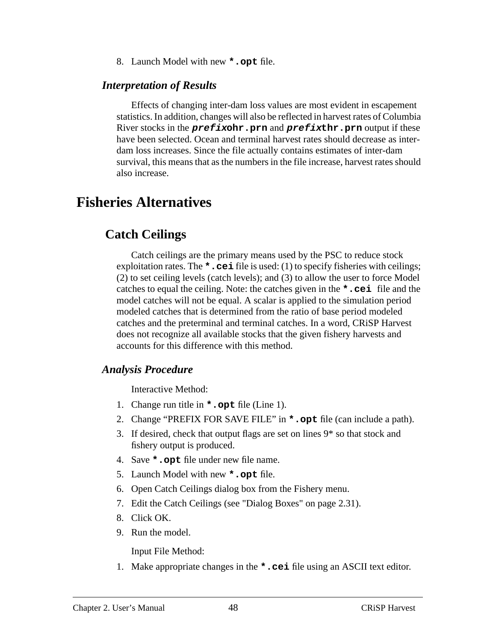8. Launch Model with new **\*.opt** file.

#### <span id="page-47-0"></span>*Interpretation of Results*

Effects of changing inter-dam loss values are most evident in escapement statistics. In addition, changes will also be reflected in harvest rates of Columbia River stocks in the **prefixohr.prn** and **prefixthr.prn** output if these have been selected. Ocean and terminal harvest rates should decrease as interdam loss increases. Since the file actually contains estimates of inter-dam survival, this means that as the numbers in the file increase, harvest rates should also increase.

# **Fisheries Alternatives**

# **Catch Ceilings**

Catch ceilings are the primary means used by the PSC to reduce stock exploitation rates. The **\*.cei** file is used: (1) to specify fisheries with ceilings; (2) to set ceiling levels (catch levels); and (3) to allow the user to force Model catches to equal the ceiling. Note: the catches given in the **\*.cei** file and the model catches will not be equal. A scalar is applied to the simulation period modeled catches that is determined from the ratio of base period modeled catches and the preterminal and terminal catches. In a word, CRiSP Harvest does not recognize all available stocks that the given fishery harvests and accounts for this difference with this method.

### *Analysis Procedure*

Interactive Method:

- 1. Change run title in **\*.opt** file (Line 1).
- 2. Change "PREFIX FOR SAVE FILE" in **\*.opt** file (can include a path).
- 3. If desired, check that output flags are set on lines 9\* so that stock and fishery output is produced.
- 4. Save **\*.opt** file under new file name.
- 5. Launch Model with new **\*.opt** file.
- 6. Open Catch Ceilings dialog box from the Fishery menu.
- 7. Edit the Catch Ceilings (see ["Dialog Boxes" on page 2.31\)](#page-30-0).
- 8. Click OK.
- 9. Run the model.

Input File Method:

1. Make appropriate changes in the **\*.cei** file using an ASCII text editor.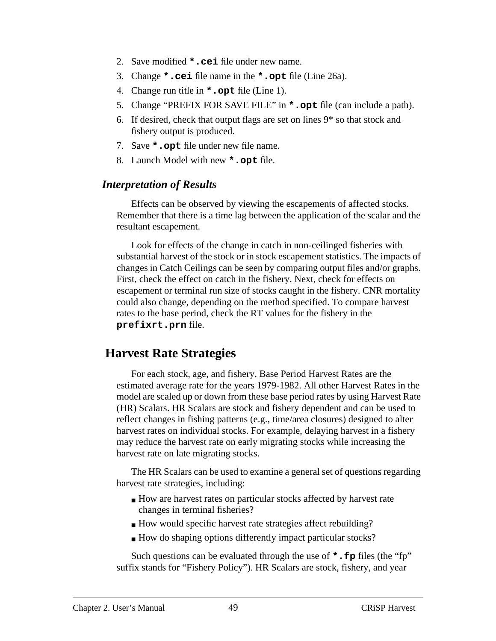- <span id="page-48-0"></span>2. Save modified **\*.cei** file under new name.
- 3. Change **\*.cei** file name in the **\*.opt** file (Line 26a).
- 4. Change run title in **\*.opt** file (Line 1).
- 5. Change "PREFIX FOR SAVE FILE" in **\*.opt** file (can include a path).
- 6. If desired, check that output flags are set on lines 9\* so that stock and fishery output is produced.
- 7. Save **\*.opt** file under new file name.
- 8. Launch Model with new **\*.opt** file.

#### *Interpretation of Results*

Effects can be observed by viewing the escapements of affected stocks. Remember that there is a time lag between the application of the scalar and the resultant escapement.

Look for effects of the change in catch in non-ceilinged fisheries with substantial harvest of the stock or in stock escapement statistics. The impacts of changes in Catch Ceilings can be seen by comparing output files and/or graphs. First, check the effect on catch in the fishery. Next, check for effects on escapement or terminal run size of stocks caught in the fishery. CNR mortality could also change, depending on the method specified. To compare harvest rates to the base period, check the RT values for the fishery in the **prefixrt.prn** file.

## **Harvest Rate Strategies**

For each stock, age, and fishery, Base Period Harvest Rates are the estimated average rate for the years 1979-1982. All other Harvest Rates in the model are scaled up or down from these base period rates by using Harvest Rate (HR) Scalars. HR Scalars are stock and fishery dependent and can be used to reflect changes in fishing patterns (e.g., time/area closures) designed to alter harvest rates on individual stocks. For example, delaying harvest in a fishery may reduce the harvest rate on early migrating stocks while increasing the harvest rate on late migrating stocks.

The HR Scalars can be used to examine a general set of questions regarding harvest rate strategies, including:

- How are harvest rates on particular stocks affected by harvest rate changes in terminal fisheries?
- How would specific harvest rate strategies affect rebuilding?
- How do shaping options differently impact particular stocks?

Such questions can be evaluated through the use of **\*.fp** files (the "fp" suffix stands for "Fishery Policy"). HR Scalars are stock, fishery, and year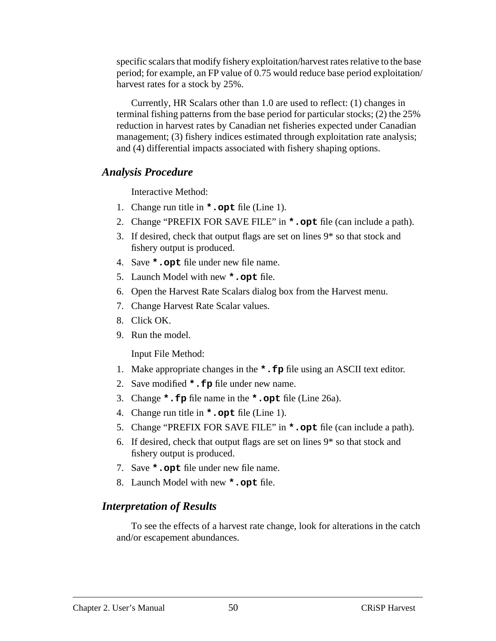specific scalars that modify fishery exploitation/harvest rates relative to the base period; for example, an FP value of 0.75 would reduce base period exploitation/ harvest rates for a stock by 25%.

Currently, HR Scalars other than 1.0 are used to reflect: (1) changes in terminal fishing patterns from the base period for particular stocks; (2) the 25% reduction in harvest rates by Canadian net fisheries expected under Canadian management; (3) fishery indices estimated through exploitation rate analysis; and (4) differential impacts associated with fishery shaping options.

#### *Analysis Procedure*

Interactive Method:

- 1. Change run title in **\*.opt** file (Line 1).
- 2. Change "PREFIX FOR SAVE FILE" in **\*.opt** file (can include a path).
- 3. If desired, check that output flags are set on lines 9\* so that stock and fishery output is produced.
- 4. Save **\*.opt** file under new file name.
- 5. Launch Model with new **\*.opt** file.
- 6. Open the Harvest Rate Scalars dialog box from the Harvest menu.
- 7. Change Harvest Rate Scalar values.
- 8. Click OK.
- 9. Run the model.

Input File Method:

- 1. Make appropriate changes in the **\*.fp** file using an ASCII text editor.
- 2. Save modified **\*.fp** file under new name.
- 3. Change **\*.fp** file name in the **\*.opt** file (Line 26a).
- 4. Change run title in **\*.opt** file (Line 1).
- 5. Change "PREFIX FOR SAVE FILE" in **\*.opt** file (can include a path).
- 6. If desired, check that output flags are set on lines 9\* so that stock and fishery output is produced.
- 7. Save **\*.opt** file under new file name.
- 8. Launch Model with new **\*.opt** file.

## *Interpretation of Results*

To see the effects of a harvest rate change, look for alterations in the catch and/or escapement abundances.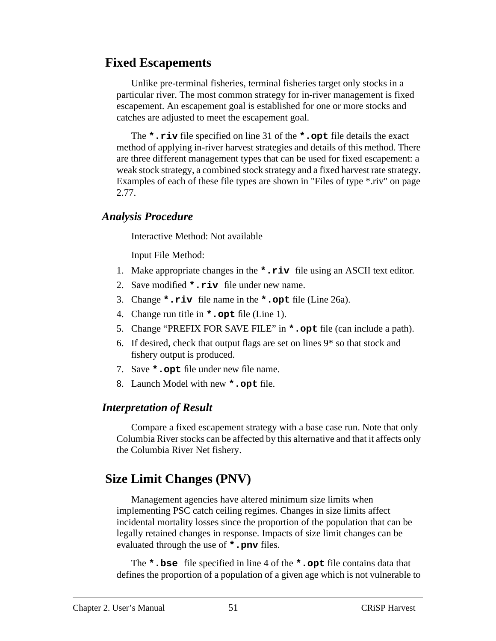# <span id="page-50-0"></span> **Fixed Escapements**

Unlike pre-terminal fisheries, terminal fisheries target only stocks in a particular river. The most common strategy for in-river management is fixed escapement. An escapement goal is established for one or more stocks and catches are adjusted to meet the escapement goal.

The **\*.riv** file specified on line 31 of the **\*.opt** file details the exact method of applying in-river harvest strategies and details of this method. There are three different management types that can be used for fixed escapement: a weak stock strategy, a combined stock strategy and a fixed harvest rate strategy. Examples of each of these file types are shown in ["Files of type \\*.riv" on page](#page-76-0) [2.77](#page-76-0).

#### *Analysis Procedure*

Interactive Method: Not available

Input File Method:

- 1. Make appropriate changes in the **\*.riv** file using an ASCII text editor.
- 2. Save modified **\*.riv** file under new name.
- 3. Change **\*.riv** file name in the **\*.opt** file (Line 26a).
- 4. Change run title in **\*.opt** file (Line 1).
- 5. Change "PREFIX FOR SAVE FILE" in **\*.opt** file (can include a path).
- 6. If desired, check that output flags are set on lines 9\* so that stock and fishery output is produced.
- 7. Save **\*.opt** file under new file name.
- 8. Launch Model with new **\*.opt** file.

## *Interpretation of Result*

Compare a fixed escapement strategy with a base case run. Note that only Columbia River stocks can be affected by this alternative and that it affects only the Columbia River Net fishery.

# **Size Limit Changes (PNV)**

Management agencies have altered minimum size limits when implementing PSC catch ceiling regimes. Changes in size limits affect incidental mortality losses since the proportion of the population that can be legally retained changes in response. Impacts of size limit changes can be evaluated through the use of **\*.pnv** files.

The **\*.bse** file specified in line 4 of the **\*.opt** file contains data that defines the proportion of a population of a given age which is not vulnerable to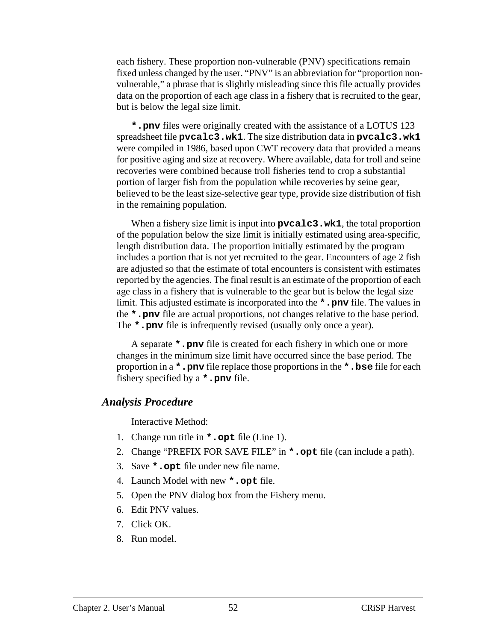each fishery. These proportion non-vulnerable (PNV) specifications remain fixed unless changed by the user. "PNV" is an abbreviation for "proportion nonvulnerable," a phrase that is slightly misleading since this file actually provides data on the proportion of each age class in a fishery that is recruited to the gear, but is below the legal size limit.

**\*.pnv** files were originally created with the assistance of a LOTUS 123 spreadsheet file **pvcalc3.wk1**. The size distribution data in **pvcalc3.wk1** were compiled in 1986, based upon CWT recovery data that provided a means for positive aging and size at recovery. Where available, data for troll and seine recoveries were combined because troll fisheries tend to crop a substantial portion of larger fish from the population while recoveries by seine gear, believed to be the least size-selective gear type, provide size distribution of fish in the remaining population.

When a fishery size limit is input into **pvcalc3.wk1**, the total proportion of the population below the size limit is initially estimated using area-specific, length distribution data. The proportion initially estimated by the program includes a portion that is not yet recruited to the gear. Encounters of age 2 fish are adjusted so that the estimate of total encounters is consistent with estimates reported by the agencies. The final result is an estimate of the proportion of each age class in a fishery that is vulnerable to the gear but is below the legal size limit. This adjusted estimate is incorporated into the **\*.pnv** file. The values in the **\*.pnv** file are actual proportions, not changes relative to the base period. The **\*.pnv** file is infrequently revised (usually only once a year).

A separate **\*.pnv** file is created for each fishery in which one or more changes in the minimum size limit have occurred since the base period. The proportion in a **\*.pnv** file replace those proportions in the **\*.bse** file for each fishery specified by a **\*.pnv** file.

#### *Analysis Procedure*

Interactive Method:

- 1. Change run title in **\*.opt** file (Line 1).
- 2. Change "PREFIX FOR SAVE FILE" in **\*.opt** file (can include a path).
- 3. Save **\*.opt** file under new file name.
- 4. Launch Model with new **\*.opt** file.
- 5. Open the PNV dialog box from the Fishery menu.
- 6. Edit PNV values.
- 7. Click OK.
- 8. Run model.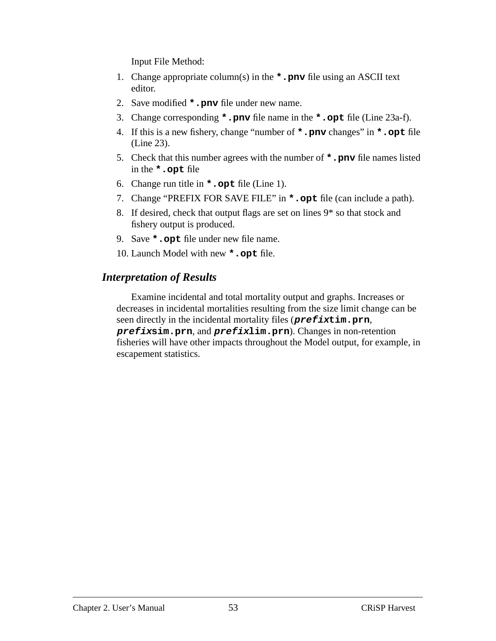Input File Method:

- 1. Change appropriate column(s) in the **\*.pnv** file using an ASCII text editor.
- 2. Save modified **\*.pnv** file under new name.
- 3. Change corresponding **\*.pnv** file name in the **\*.opt** file (Line 23a-f).
- 4. If this is a new fishery, change "number of **\*.pnv** changes" in **\*.opt** file (Line 23).
- 5. Check that this number agrees with the number of **\*.pnv** file names listed in the **\*.opt** file
- 6. Change run title in **\*.opt** file (Line 1).
- 7. Change "PREFIX FOR SAVE FILE" in **\*.opt** file (can include a path).
- 8. If desired, check that output flags are set on lines 9\* so that stock and fishery output is produced.
- 9. Save **\*.opt** file under new file name.
- 10. Launch Model with new **\*.opt** file.

## *Interpretation of Results*

Examine incidental and total mortality output and graphs. Increases or decreases in incidental mortalities resulting from the size limit change can be seen directly in the incidental mortality files (**prefixtim.prn**, **prefixsim.prn**, and **prefixlim.prn**). Changes in non-retention fisheries will have other impacts throughout the Model output, for example, in escapement statistics.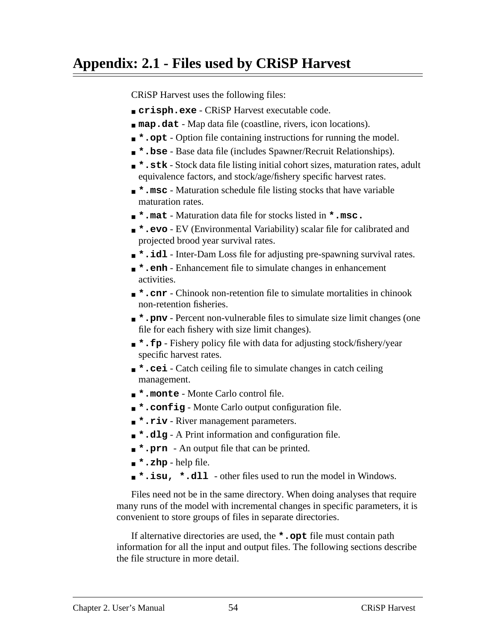# <span id="page-53-0"></span>**Appendix: 2.1 - Files used by CRiSP Harvest**

CRiSP Harvest uses the following files:

- **crisph.exe** CRiSP Harvest executable code.
- **map.dat** Map data file (coastline, rivers, icon locations).
- **\*.opt** Option file containing instructions for running the model.
- **\*.bse** Base data file (includes Spawner/Recruit Relationships).
- **\*.stk** Stock data file listing initial cohort sizes, maturation rates, adult equivalence factors, and stock/age/fishery specific harvest rates.
- **\*.msc** Maturation schedule file listing stocks that have variable maturation rates.
- **\*.mat** Maturation data file for stocks listed in **\*.msc.**
- **\*.evo** EV (Environmental Variability) scalar file for calibrated and projected brood year survival rates.
- **\*.idl** Inter-Dam Loss file for adjusting pre-spawning survival rates.
- **\*.enh** Enhancement file to simulate changes in enhancement activities.
- **\*.cnr** Chinook non-retention file to simulate mortalities in chinook non-retention fisheries.
- **\*.pnv** Percent non-vulnerable files to simulate size limit changes (one file for each fishery with size limit changes).
- **\*.fp** Fishery policy file with data for adjusting stock/fishery/year specific harvest rates.
- **\*.cei** Catch ceiling file to simulate changes in catch ceiling management.
- **\*.monte** Monte Carlo control file.
- **\*.config** Monte Carlo output configuration file.
- **\*.riv** River management parameters.
- **\*.dlg** A Print information and configuration file.
- **\*.prn** An output file that can be printed.
- **\*.zhp** help file.
- **\*.isu, \*.dll** other files used to run the model in Windows.

Files need not be in the same directory. When doing analyses that require many runs of the model with incremental changes in specific parameters, it is convenient to store groups of files in separate directories.

If alternative directories are used, the **\*.opt** file must contain path information for all the input and output files. The following sections describe the file structure in more detail.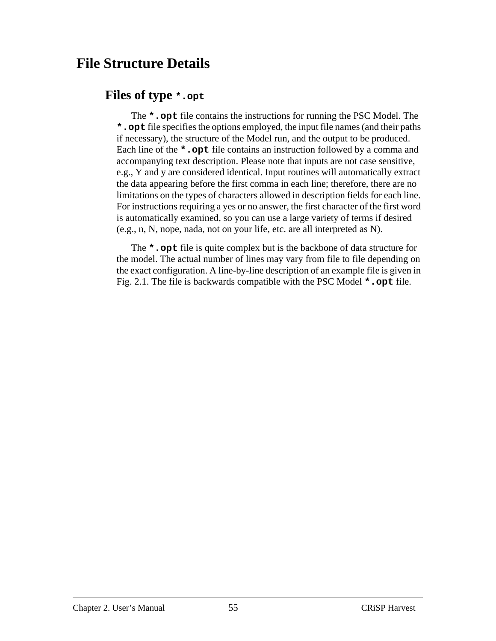# <span id="page-54-0"></span> **File Structure Details**

## **Files of type \*.opt**

The **\*.opt** file contains the instructions for running the PSC Model. The **\*.opt** file specifies the options employed, the input file names (and their paths if necessary), the structure of the Model run, and the output to be produced. Each line of the **\***. opt file contains an instruction followed by a comma and accompanying text description. Please note that inputs are not case sensitive, e.g., Y and y are considered identical. Input routines will automatically extract the data appearing before the first comma in each line; therefore, there are no limitations on the types of characters allowed in description fields for each line. For instructions requiring a yes or no answer, the first character of the first word is automatically examined, so you can use a large variety of terms if desired (e.g., n, N, nope, nada, not on your life, etc. are all interpreted as N).

The **\*.opt** file is quite complex but is the backbone of data structure for the model. The actual number of lines may vary from file to file depending on the exact configuration. A line-by-line description of an example file is given in [Fig. 2.1](#page-55-0). The file is backwards compatible with the PSC Model **\*.opt** file.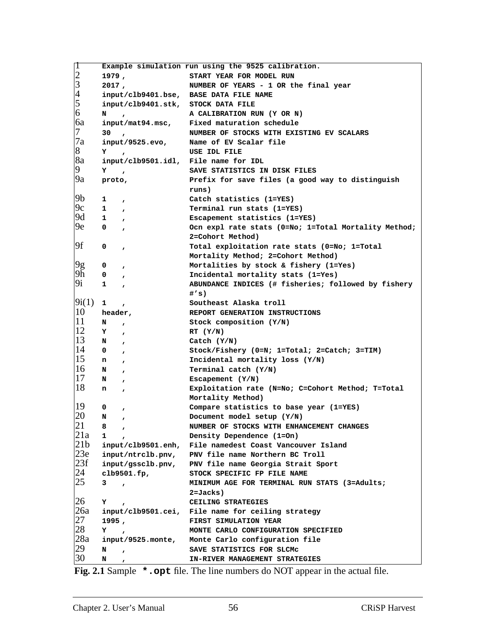<span id="page-55-0"></span>

| ⊺∏                                  | Example simulation run using the 9525 calibration. |                                                                                     |  |
|-------------------------------------|----------------------------------------------------|-------------------------------------------------------------------------------------|--|
|                                     | 1979,                                              | START YEAR FOR MODEL RUN                                                            |  |
| $\frac{2}{3}$<br>$\frac{3}{5}$<br>6 | 2017,                                              | NUMBER OF YEARS - 1 OR the final year                                               |  |
|                                     |                                                    | input/clb9401.bse, BASE DATA FILE NAME                                              |  |
|                                     | input/clb9401.stk, STOCK DATA FILE                 |                                                                                     |  |
|                                     | N<br>$\overline{ }$                                | A CALIBRATION RUN (Y OR N)                                                          |  |
| 6a                                  |                                                    | input/mat94.msc, Fixed maturation schedule                                          |  |
| 7                                   | $30 \rightarrow$                                   | NUMBER OF STOCKS WITH EXISTING EV SCALARS                                           |  |
| 7a                                  | input/9525.evo,                                    | Name of EV Scalar file                                                              |  |
| 8                                   | Y<br>$\overline{ }$                                | USE IDL FILE                                                                        |  |
| 8a                                  | input/clb9501.idl, File name for IDL               |                                                                                     |  |
| 9                                   | Y<br>$\mathbf{r}$                                  | SAVE STATISTICS IN DISK FILES                                                       |  |
| 9a                                  |                                                    | Prefix for save files (a good way to distinguish                                    |  |
|                                     | proto,                                             |                                                                                     |  |
| 9b                                  |                                                    | runs)                                                                               |  |
| 9c                                  | 1<br>$\mathbf{r}$                                  | Catch statistics (1=YES)                                                            |  |
|                                     | $1 \quad ,$                                        | Terminal run stats (1=YES)                                                          |  |
| 9d                                  | $1 \quad \blacksquare$<br>$\mathbf{r}$             | Escapement statistics (1=YES)                                                       |  |
| 9e                                  | $\mathbf{0}$<br>$\pmb{r}$                          | Ocn expl rate stats (0=No; 1=Total Mortality Method;                                |  |
|                                     |                                                    | 2=Cohort Method)                                                                    |  |
| 9f                                  | 0<br>$\pmb{r}$                                     | Total exploitation rate stats (0=No; 1=Total                                        |  |
|                                     |                                                    | Mortality Method; 2=Cohort Method)                                                  |  |
| 9g                                  | 0<br>$\mathbf{r}$                                  | Mortalities by stock $\&$ fishery (1=Yes)                                           |  |
| 9h                                  | $\mathbf{0}$<br>$\mathbf{r}$                       | Incidental mortality stats (1=Yes)                                                  |  |
| 9i                                  | $\mathbf{1}$<br>$\mathbf{r}$                       | ABUNDANCE INDICES (# fisheries; followed by fishery                                 |  |
|                                     |                                                    | #′s)                                                                                |  |
| 9i(1)                               | $\mathbf{1}$<br>$\mathbf{r}$                       | Southeast Alaska troll                                                              |  |
| 10                                  | header,                                            | REPORT GENERATION INSTRUCTIONS                                                      |  |
| 11                                  | N<br>$\mathbf{r}$                                  | Stock composition (Y/N)                                                             |  |
| <sup>12</sup>                       | Y<br>$\mathbf{r}$                                  | RT (Y/N)                                                                            |  |
| 13                                  | N<br>$\mathbf{r}$                                  | $\text{Catch}(\text{Y/N})$                                                          |  |
| 14                                  | $\mathbf{0}$<br>$\mathbf{r}$                       | Stock/Fishery (0=N; 1=Total; 2=Catch; 3=TIM)                                        |  |
| 15                                  | n<br>$\mathbf{r}$                                  | Incidental mortality loss $(Y/N)$                                                   |  |
| 16                                  | N<br>$\mathbf{r}$                                  | Terminal catch $(Y/N)$                                                              |  |
| 17                                  | N<br>$\mathbf{r}$                                  | Escapement (Y/N)                                                                    |  |
| 18                                  | n<br>$\mathbf{r}$                                  | Exploitation rate (N=No; C=Cohort Method; T=Total                                   |  |
|                                     |                                                    | Mortality Method)                                                                   |  |
| 19                                  | 0                                                  | Compare statistics to base year (1=YES)                                             |  |
| 20                                  | ,<br>N                                             | Document model setup (Y/N)                                                          |  |
| 21                                  | $\pmb{r}$<br>8                                     | NUMBER OF STOCKS WITH ENHANCEMENT CHANGES                                           |  |
| 21a                                 | ,<br>1                                             | Density Dependence (1=On)                                                           |  |
| 21 <sub>b</sub>                     |                                                    | input/clb9501.enh, File namedest Coast Vancouver Island                             |  |
| 23e                                 | input/ntrclb.pnv,                                  | PNV file name Northern BC Troll                                                     |  |
| 23f                                 |                                                    |                                                                                     |  |
| 24                                  |                                                    | input/gssclb.pnv, PNV file name Georgia Strait Sport<br>STOCK SPECIFIC FP FILE NAME |  |
| 25                                  | clb9501.fp,                                        |                                                                                     |  |
|                                     | 3                                                  | MINIMUM AGE FOR TERMINAL RUN STATS (3=Adults;                                       |  |
|                                     |                                                    | 2=Jacks)                                                                            |  |
| 26                                  | Y                                                  | CEILING STRATEGIES                                                                  |  |
| 26a                                 |                                                    | input/clb9501.cei, File name for ceiling strategy                                   |  |
| 27                                  | 1995,                                              | FIRST SIMULATION YEAR                                                               |  |
| 28                                  | Y<br>$\mathbf{r}$                                  | MONTE CARLO CONFIGURATION SPECIFIED                                                 |  |
| 28a                                 |                                                    | input/9525.monte, Monte Carlo configuration file                                    |  |
| 29                                  | N<br>$\mathbf{r}$                                  | SAVE STATISTICS FOR SLCMC                                                           |  |
| 30                                  | N<br>$\mathbf{r}$                                  | <b>IN-RIVER MANAGEMENT STRATEGIES</b>                                               |  |

**Fig. 2.1** Sample **\*.opt** file. The line numbers do NOT appear in the actual file.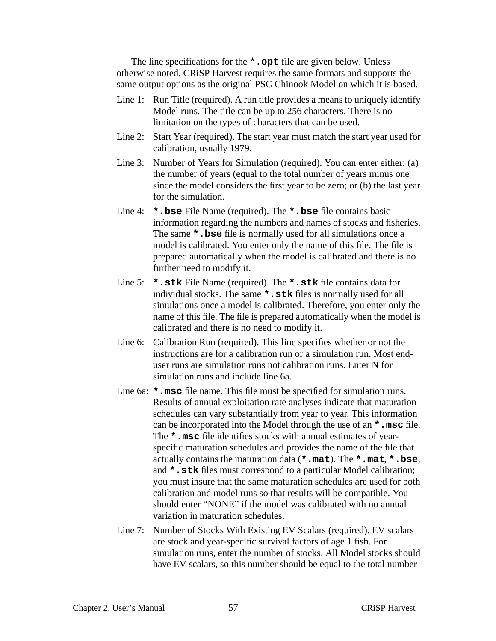The line specifications for the **\*.opt** file are given below. Unless otherwise noted, CRiSP Harvest requires the same formats and supports the same output options as the original PSC Chinook Model on which it is based.

- Line 1: Run Title (required). A run title provides a means to uniquely identify Model runs. The title can be up to 256 characters. There is no limitation on the types of characters that can be used.
- Line 2: Start Year (required). The start year must match the start year used for calibration, usually 1979.
- Line 3: Number of Years for Simulation (required). You can enter either: (a) the number of years (equal to the total number of years minus one since the model considers the first year to be zero; or (b) the last year for the simulation.
- Line 4: **\*.bse** File Name (required). The **\*.bse** file contains basic information regarding the numbers and names of stocks and fisheries. The same **\*.bse** file is normally used for all simulations once a model is calibrated. You enter only the name of this file. The file is prepared automatically when the model is calibrated and there is no further need to modify it.
- Line 5: **\*.stk** File Name (required). The **\*.stk** file contains data for individual stocks. The same **\*.stk** files is normally used for all simulations once a model is calibrated. Therefore, you enter only the name of this file. The file is prepared automatically when the model is calibrated and there is no need to modify it.
- Line 6: Calibration Run (required). This line specifies whether or not the instructions are for a calibration run or a simulation run. Most enduser runs are simulation runs not calibration runs. Enter N for simulation runs and include line 6a.
- Line 6a: **\*.msc** file name. This file must be specified for simulation runs. Results of annual exploitation rate analyses indicate that maturation schedules can vary substantially from year to year. This information can be incorporated into the Model through the use of an **\*.msc** file. The **\*.msc** file identifies stocks with annual estimates of yearspecific maturation schedules and provides the name of the file that actually contains the maturation data (**\*.mat**). The **\*.mat**, **\*.bse**, and **\*.stk** files must correspond to a particular Model calibration; you must insure that the same maturation schedules are used for both calibration and model runs so that results will be compatible. You should enter "NONE" if the model was calibrated with no annual variation in maturation schedules.
- Line 7: Number of Stocks With Existing EV Scalars (required). EV scalars are stock and year-specific survival factors of age 1 fish. For simulation runs, enter the number of stocks. All Model stocks should have EV scalars, so this number should be equal to the total number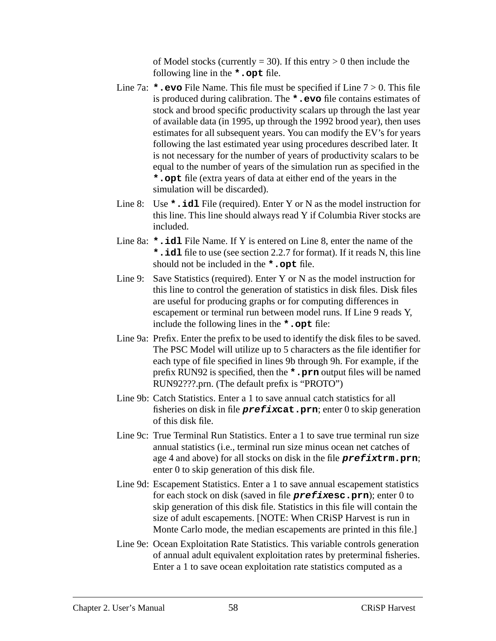of Model stocks (currently  $= 30$ ). If this entry  $> 0$  then include the following line in the **\*.opt** file.

- Line 7a: **\*.evo** File Name. This file must be specified if Line 7 > 0. This file is produced during calibration. The **\*.evo** file contains estimates of stock and brood specific productivity scalars up through the last year of available data (in 1995, up through the 1992 brood year), then uses estimates for all subsequent years. You can modify the EV's for years following the last estimated year using procedures described later. It is not necessary for the number of years of productivity scalars to be equal to the number of years of the simulation run as specified in the **\*.opt** file (extra years of data at either end of the years in the simulation will be discarded).
- Line 8: Use **\*.idl** File (required). Enter Y or N as the model instruction for this line. This line should always read Y if Columbia River stocks are included.
- Line 8a: **\*.idl** File Name. If Y is entered on Line 8, enter the name of the **\*.idl** file to use (see section 2.2.7 for format). If it reads N, this line should not be included in the **\*.opt** file.
- Line 9: Save Statistics (required). Enter Y or N as the model instruction for this line to control the generation of statistics in disk files. Disk files are useful for producing graphs or for computing differences in escapement or terminal run between model runs. If Line 9 reads Y, include the following lines in the **\*.opt** file:
- Line 9a: Prefix. Enter the prefix to be used to identify the disk files to be saved. The PSC Model will utilize up to 5 characters as the file identifier for each type of file specified in lines 9b through 9h. For example, if the prefix RUN92 is specified, then the **\*.prn** output files will be named RUN92???.prn. (The default prefix is "PROTO")
- Line 9b: Catch Statistics. Enter a 1 to save annual catch statistics for all fisheries on disk in file **prefixcat.prn**; enter 0 to skip generation of this disk file.
- Line 9c: True Terminal Run Statistics. Enter a 1 to save true terminal run size annual statistics (i.e., terminal run size minus ocean net catches of age 4 and above) for all stocks on disk in the file **prefixtrm.prn**; enter 0 to skip generation of this disk file.
- Line 9d: Escapement Statistics. Enter a 1 to save annual escapement statistics for each stock on disk (saved in file **prefixesc.prn**); enter 0 to skip generation of this disk file. Statistics in this file will contain the size of adult escapements. [NOTE: When CRiSP Harvest is run in Monte Carlo mode, the median escapements are printed in this file.]
- Line 9e: Ocean Exploitation Rate Statistics. This variable controls generation of annual adult equivalent exploitation rates by preterminal fisheries. Enter a 1 to save ocean exploitation rate statistics computed as a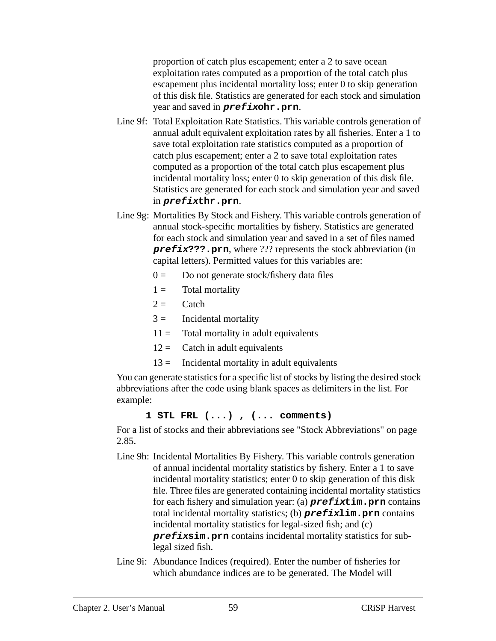proportion of catch plus escapement; enter a 2 to save ocean exploitation rates computed as a proportion of the total catch plus escapement plus incidental mortality loss; enter 0 to skip generation of this disk file. Statistics are generated for each stock and simulation year and saved in **prefixohr.prn**.

- Line 9f: Total Exploitation Rate Statistics. This variable controls generation of annual adult equivalent exploitation rates by all fisheries. Enter a 1 to save total exploitation rate statistics computed as a proportion of catch plus escapement; enter a 2 to save total exploitation rates computed as a proportion of the total catch plus escapement plus incidental mortality loss; enter 0 to skip generation of this disk file. Statistics are generated for each stock and simulation year and saved in **prefixthr.prn**.
- Line 9g: Mortalities By Stock and Fishery. This variable controls generation of annual stock-specific mortalities by fishery. Statistics are generated for each stock and simulation year and saved in a set of files named **prefix???.prn**, where ??? represents the stock abbreviation (in capital letters). Permitted values for this variables are:
	- $0 =$  Do not generate stock/fishery data files
	- $1 =$  Total mortality
	- $2 =$  Catch
	- $3 =$  Incidental mortality
	- $11 =$  Total mortality in adult equivalents
	- $12 =$  Catch in adult equivalents
	- $13 =$  Incidental mortality in adult equivalents

You can generate statistics for a specific list of stocks by listing the desired stock abbreviations after the code using blank spaces as delimiters in the list. For example:

#### **1 STL FRL (...) , (... comments)**

For a list of stocks and their abbreviations see ["Stock Abbreviations" on page](#page-84-0) [2.85](#page-84-0).

- Line 9h: Incidental Mortalities By Fishery. This variable controls generation of annual incidental mortality statistics by fishery. Enter a 1 to save incidental mortality statistics; enter 0 to skip generation of this disk file. Three files are generated containing incidental mortality statistics for each fishery and simulation year: (a) **prefixtim.prn** contains total incidental mortality statistics; (b) **prefixlim.prn** contains incidental mortality statistics for legal-sized fish; and (c) **prefixsim.prn** contains incidental mortality statistics for sublegal sized fish.
- Line 9i: Abundance Indices (required). Enter the number of fisheries for which abundance indices are to be generated. The Model will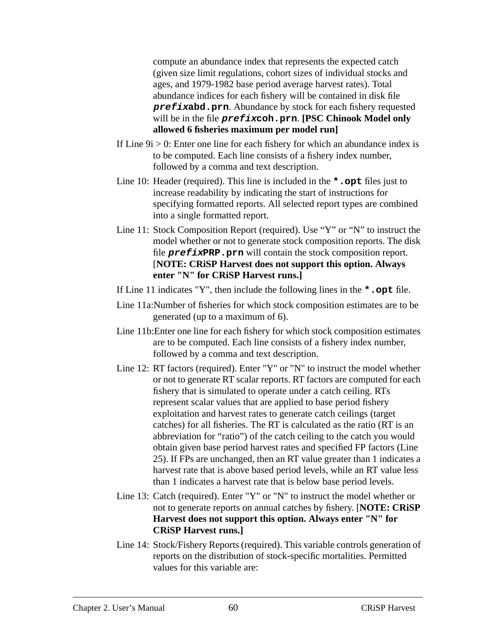compute an abundance index that represents the expected catch (given size limit regulations, cohort sizes of individual stocks and ages, and 1979-1982 base period average harvest rates). Total abundance indices for each fishery will be contained in disk file **prefixabd.prn**. Abundance by stock for each fishery requested will be in the file **prefixcoh.prn**. **[PSC Chinook Model only allowed 6 fisheries maximum per model run]**

- If Line  $9i > 0$ : Enter one line for each fishery for which an abundance index is to be computed. Each line consists of a fishery index number, followed by a comma and text description.
- Line 10: Header (required). This line is included in the **\*.opt** files just to increase readability by indicating the start of instructions for specifying formatted reports. All selected report types are combined into a single formatted report.
- Line 11: Stock Composition Report (required). Use "Y" or "N" to instruct the model whether or not to generate stock composition reports. The disk file **prefixPRP.prn** will contain the stock composition report. [**NOTE: CRiSP Harvest does not support this option. Always enter "N" for CRiSP Harvest runs.]**
- If Line 11 indicates "Y", then include the following lines in the **\*.opt** file.
- Line 11a:Number of fisheries for which stock composition estimates are to be generated (up to a maximum of 6).
- Line 11b:Enter one line for each fishery for which stock composition estimates are to be computed. Each line consists of a fishery index number, followed by a comma and text description.
- Line 12: RT factors (required). Enter "Y" or "N" to instruct the model whether or not to generate RT scalar reports. RT factors are computed for each fishery that is simulated to operate under a catch ceiling. RTs represent scalar values that are applied to base period fishery exploitation and harvest rates to generate catch ceilings (target catches) for all fisheries. The RT is calculated as the ratio (RT is an abbreviation for "ratio") of the catch ceiling to the catch you would obtain given base period harvest rates and specified FP factors (Line 25). If FPs are unchanged, then an RT value greater than 1 indicates a harvest rate that is above based period levels, while an RT value less than 1 indicates a harvest rate that is below base period levels.
- Line 13: Catch (required). Enter "Y" or "N" to instruct the model whether or not to generate reports on annual catches by fishery. [**NOTE: CRiSP Harvest does not support this option. Always enter "N" for CRiSP Harvest runs.]**
- Line 14: Stock/Fishery Reports (required). This variable controls generation of reports on the distribution of stock-specific mortalities. Permitted values for this variable are: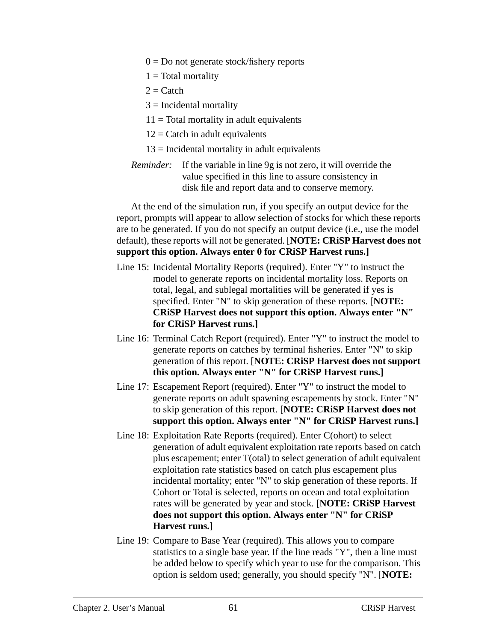- $0 = Do$  not generate stock/fishery reports
- $1 = \text{Total mortality}$
- $2 =$ Catch
- $3$  = Incidental mortality
- $11 = \text{Total mortality in adult equivalents}$
- $12 =$ Catch in adult equivalents
- $13$  = Incidental mortality in adult equivalents
- *Reminder:* If the variable in line 9g is not zero, it will override the value specified in this line to assure consistency in disk file and report data and to conserve memory.

At the end of the simulation run, if you specify an output device for the report, prompts will appear to allow selection of stocks for which these reports are to be generated. If you do not specify an output device (i.e., use the model default), these reports will not be generated. [**NOTE: CRiSP Harvest does not support this option. Always enter 0 for CRiSP Harvest runs.]**

- Line 15: Incidental Mortality Reports (required). Enter "Y" to instruct the model to generate reports on incidental mortality loss. Reports on total, legal, and sublegal mortalities will be generated if yes is specified. Enter "N" to skip generation of these reports. [**NOTE: CRiSP Harvest does not support this option. Always enter "N" for CRiSP Harvest runs.]**
- Line 16: Terminal Catch Report (required). Enter "Y" to instruct the model to generate reports on catches by terminal fisheries. Enter "N" to skip generation of this report. [**NOTE: CRiSP Harvest does not support this option. Always enter "N" for CRiSP Harvest runs.]**
- Line 17: Escapement Report (required). Enter "Y" to instruct the model to generate reports on adult spawning escapements by stock. Enter "N" to skip generation of this report. [**NOTE: CRiSP Harvest does not support this option. Always enter "N" for CRiSP Harvest runs.]**
- Line 18: Exploitation Rate Reports (required). Enter C(ohort) to select generation of adult equivalent exploitation rate reports based on catch plus escapement; enter T(otal) to select generation of adult equivalent exploitation rate statistics based on catch plus escapement plus incidental mortality; enter "N" to skip generation of these reports. If Cohort or Total is selected, reports on ocean and total exploitation rates will be generated by year and stock. [**NOTE: CRiSP Harvest does not support this option. Always enter "N" for CRiSP Harvest runs.]**
- Line 19: Compare to Base Year (required). This allows you to compare statistics to a single base year. If the line reads "Y", then a line must be added below to specify which year to use for the comparison. This option is seldom used; generally, you should specify "N". [**NOTE:**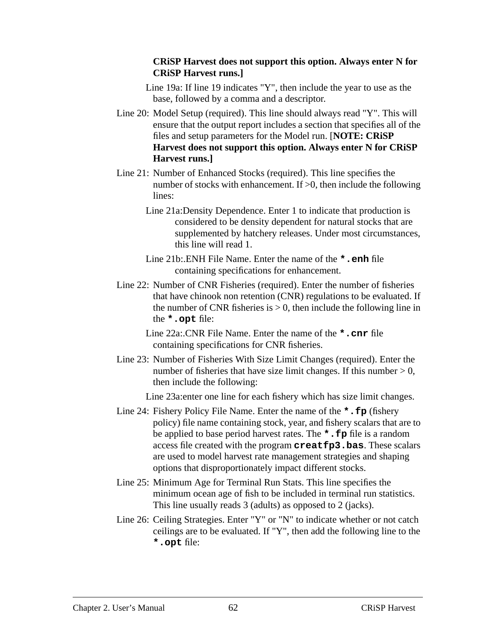#### **CRiSP Harvest does not support this option. Always enter N for CRiSP Harvest runs.]**

- Line 19a: If line 19 indicates "Y", then include the year to use as the base, followed by a comma and a descriptor.
- Line 20: Model Setup (required). This line should always read "Y". This will ensure that the output report includes a section that specifies all of the files and setup parameters for the Model run. [**NOTE: CRiSP Harvest does not support this option. Always enter N for CRiSP Harvest runs.]**
- Line 21: Number of Enhanced Stocks (required). This line specifies the number of stocks with enhancement. If >0, then include the following lines:
	- Line 21a:Density Dependence. Enter 1 to indicate that production is considered to be density dependent for natural stocks that are supplemented by hatchery releases. Under most circumstances, this line will read 1.
	- Line 21b:.ENH File Name. Enter the name of the **\*.enh** file containing specifications for enhancement.
- Line 22: Number of CNR Fisheries (required). Enter the number of fisheries that have chinook non retention (CNR) regulations to be evaluated. If the number of CNR fisheries is  $> 0$ , then include the following line in the **\*.opt** file:
	- Line 22a:.CNR File Name. Enter the name of the **\*.cnr** file containing specifications for CNR fisheries.
- Line 23: Number of Fisheries With Size Limit Changes (required). Enter the number of fisheries that have size limit changes. If this number  $> 0$ , then include the following:

Line 23a:enter one line for each fishery which has size limit changes.

- Line 24: Fishery Policy File Name. Enter the name of the **\*.fp** (fishery policy) file name containing stock, year, and fishery scalars that are to be applied to base period harvest rates. The **\*.fp** file is a random access file created with the program **creatfp3.bas**. These scalars are used to model harvest rate management strategies and shaping options that disproportionately impact different stocks.
- Line 25: Minimum Age for Terminal Run Stats. This line specifies the minimum ocean age of fish to be included in terminal run statistics. This line usually reads 3 (adults) as opposed to 2 (jacks).
- Line 26: Ceiling Strategies. Enter "Y" or "N" to indicate whether or not catch ceilings are to be evaluated. If "Y", then add the following line to the **\*.opt** file: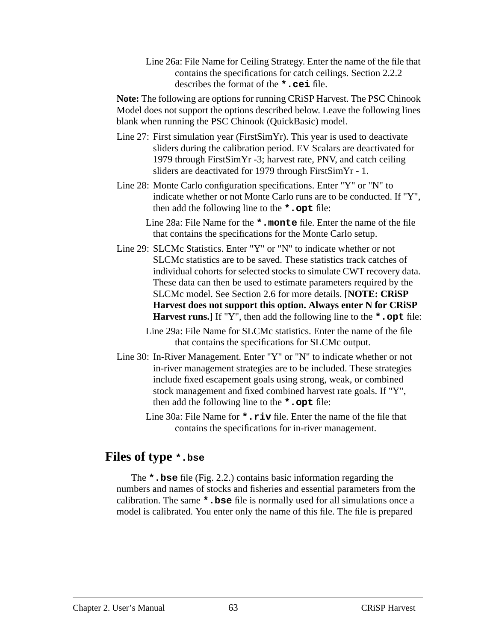Line 26a: File Name for Ceiling Strategy. Enter the name of the file that contains the specifications for catch ceilings. Section 2.2.2 describes the format of the **\*.cei** file.

**Note:** The following are options for running CRiSP Harvest. The PSC Chinook Model does not support the options described below. Leave the following lines blank when running the PSC Chinook (QuickBasic) model.

- Line 27: First simulation year (FirstSimYr). This year is used to deactivate sliders during the calibration period. EV Scalars are deactivated for 1979 through FirstSimYr -3; harvest rate, PNV, and catch ceiling sliders are deactivated for 1979 through FirstSimYr - 1.
- Line 28: Monte Carlo configuration specifications. Enter "Y" or "N" to indicate whether or not Monte Carlo runs are to be conducted. If "Y", then add the following line to the **\*.opt** file:

Line 28a: File Name for the **\*.monte** file. Enter the name of the file that contains the specifications for the Monte Carlo setup.

- Line 29: SLCMc Statistics. Enter "Y" or "N" to indicate whether or not SLCMc statistics are to be saved. These statistics track catches of individual cohorts for selected stocks to simulate CWT recovery data. These data can then be used to estimate parameters required by the SLCMc model. See Section 2.6 for more details. [**NOTE: CRiSP Harvest does not support this option. Always enter N for CRiSP Harvest runs.]** If "Y", then add the following line to the **\*.opt** file:
	- Line 29a: File Name for SLCMc statistics. Enter the name of the file that contains the specifications for SLCMc output.
- Line 30: In-River Management. Enter "Y" or "N" to indicate whether or not in-river management strategies are to be included. These strategies include fixed escapement goals using strong, weak, or combined stock management and fixed combined harvest rate goals. If "Y", then add the following line to the **\*.opt** file:
	- Line 30a: File Name for **\*.riv** file. Enter the name of the file that contains the specifications for in-river management.

## **Files of type \*.bse**

The **\*.bse** file ([Fig. 2.2](#page-63-0).) contains basic information regarding the numbers and names of stocks and fisheries and essential parameters from the calibration. The same **\*.bse** file is normally used for all simulations once a model is calibrated. You enter only the name of this file. The file is prepared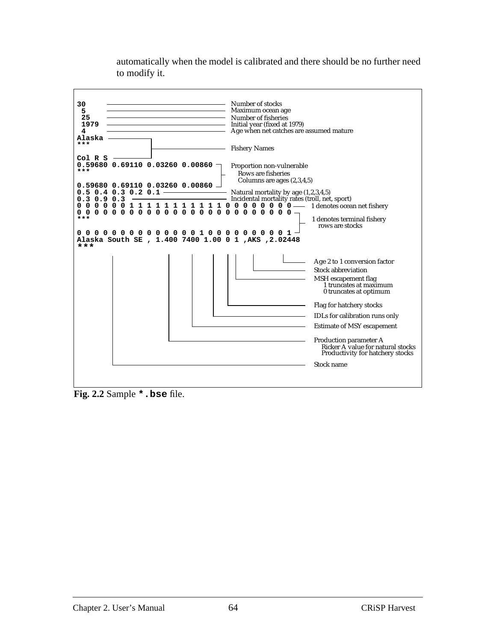<span id="page-63-0"></span>

automatically when the model is calibrated and there should be no further need to modify it.

**Fig. 2.2** Sample **\*.bse** file.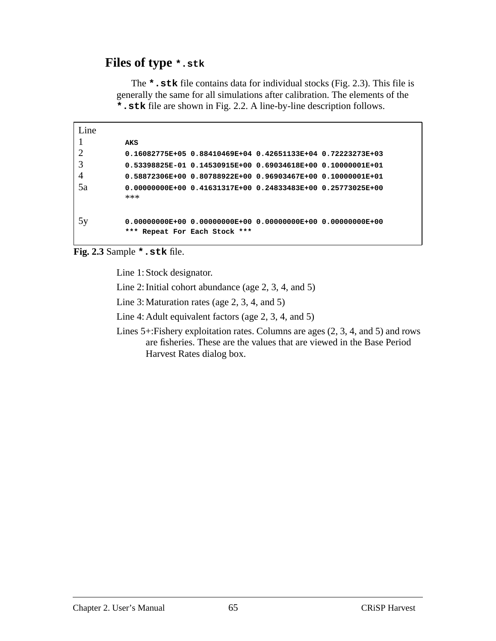## **Files of type \*.stk**

The **\*.stk** file contains data for individual stocks (Fig. 2.3). This file is generally the same for all simulations after calibration. The elements of the **\*.stk** file are shown in [Fig. 2.2](#page-63-0). A line-by-line description follows.

```
Line
1 AKS
2 0.16082775E+05 0.88410469E+04 0.42651133E+04 0.72223273E+03
3 0.53398825E-01 0.14530915E+00 0.69034618E+00 0.10000001E+01
4 0.58872306E+00 0.80788922E+00 0.96903467E+00 0.10000001E+01
5a 0.00000000E+00 0.41631317E+00 0.24833483E+00 0.25773025E+00
         ***
5y 0.00000000E+00 0.00000000E+00 0.00000000E+00 0.00000000E+00
         *** Repeat For Each Stock ***
```
**Fig. 2.3** Sample **\*.stk** file.

Line 1: Stock designator.

Line 2: Initial cohort abundance (age 2, 3, 4, and 5)

Line 3: Maturation rates (age 2, 3, 4, and 5)

Line 4: Adult equivalent factors (age 2, 3, 4, and 5)

Lines 5+:Fishery exploitation rates. Columns are ages (2, 3, 4, and 5) and rows are fisheries. These are the values that are viewed in the Base Period Harvest Rates dialog box.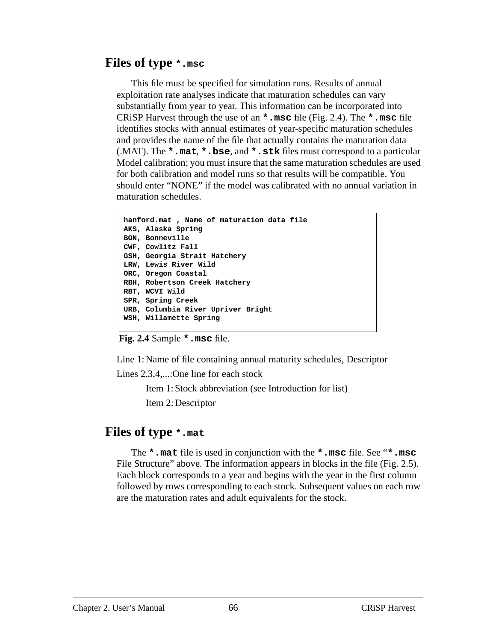## **Files of type \*.msc**

This file must be specified for simulation runs. Results of annual exploitation rate analyses indicate that maturation schedules can vary substantially from year to year. This information can be incorporated into CRiSP Harvest through the use of an **\*.msc** file (Fig. 2.4). The **\*.msc** file identifies stocks with annual estimates of year-specific maturation schedules and provides the name of the file that actually contains the maturation data (.MAT). The **\*.mat**, **\*.bse**, and **\*.stk** files must correspond to a particular Model calibration; you must insure that the same maturation schedules are used for both calibration and model runs so that results will be compatible. You should enter "NONE" if the model was calibrated with no annual variation in maturation schedules.

```
hanford.mat , Name of maturation data file
AKS, Alaska Spring
BON, Bonneville
CWF, Cowlitz Fall
GSH, Georgia Strait Hatchery
LRW, Lewis River Wild
ORC, Oregon Coastal
RBH, Robertson Creek Hatchery
RBT, WCVI Wild
SPR, Spring Creek
URB, Columbia River Upriver Bright
WSH, Willamette Spring
```
**Fig. 2.4** Sample **\*.msc** file.

Line 1: Name of file containing annual maturity schedules, Descriptor

Lines 2.3.4,...: One line for each stock

Item 1: Stock abbreviation (see Introduction for list) Item 2: Descriptor

## **Files of type \*.mat**

The **\*.mat** file is used in conjunction with the **\*.msc** file. See "**\*.msc** File Structure" above. The information appears in blocks in the file [\(Fig. 2.5](#page-66-0)). Each block corresponds to a year and begins with the year in the first column followed by rows corresponding to each stock. Subsequent values on each row are the maturation rates and adult equivalents for the stock.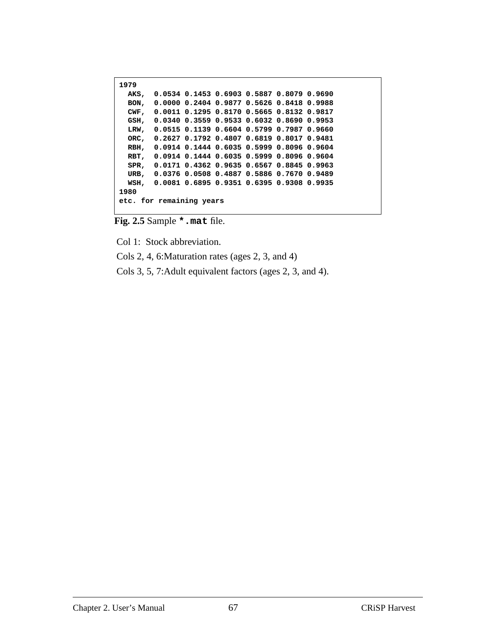```
1979
   AKS, 0.0534 0.1453 0.6903 0.5887 0.8079 0.9690
   BON, 0.0000 0.2404 0.9877 0.5626 0.8418 0.9988
   CWF, 0.0011 0.1295 0.8170 0.5665 0.8132 0.9817
   GSH, 0.0340 0.3559 0.9533 0.6032 0.8690 0.9953
   LRW, 0.0515 0.1139 0.6604 0.5799 0.7987 0.9660
   ORC, 0.2627 0.1792 0.4807 0.6819 0.8017 0.9481
  RBH, 0.0914 0.1444 0.6035 0.5999 0.8096 0.9604
  RBT, 0.0914 0.1444 0.6035 0.5999 0.8096 0.9604
   SPR, 0.0171 0.4362 0.9635 0.6567 0.8845 0.9963
   URB, 0.0376 0.0508 0.4887 0.5886 0.7670 0.9489
  WSH, 0.0081 0.6895 0.9351 0.6395 0.9308 0.9935
1980
etc. for remaining years
```
**Fig. 2.5** Sample **\*.mat** file.

Col 1: Stock abbreviation.

Cols 2, 4, 6:Maturation rates (ages 2, 3, and 4)

Cols 3, 5, 7:Adult equivalent factors (ages 2, 3, and 4).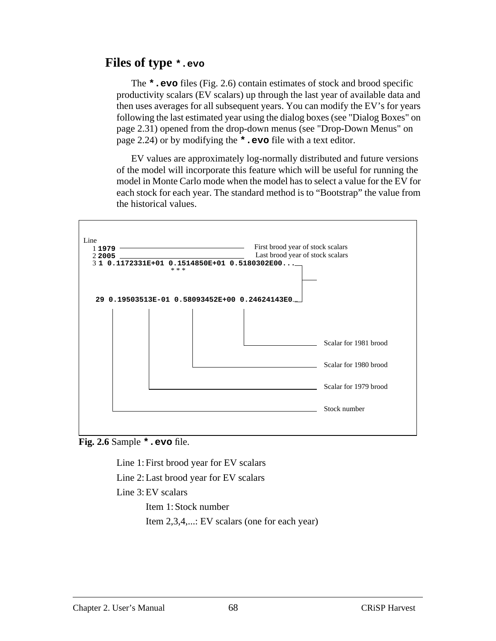## **Files of type \*.evo**

The **\*.evo** files (Fig. 2.6) contain estimates of stock and brood specific productivity scalars (EV scalars) up through the last year of available data and then uses averages for all subsequent years. You can modify the EV's for years following the last estimated year using the dialog boxes (see ["Dialog Boxes" on](#page-30-0) [page 2.31\)](#page-30-0) opened from the drop-down menus (see ["Drop-Down Menus" on](#page-23-0) [page 2.24\)](#page-23-0) or by modifying the **\*.evo** file with a text editor.

EV values are approximately log-normally distributed and future versions of the model will incorporate this feature which will be useful for running the model in Monte Carlo mode when the model has to select a value for the EV for each stock for each year. The standard method is to "Bootstrap" the value from the historical values.



**Fig. 2.6** Sample **\*.evo** file.

Line 1: First brood year for EV scalars

Line 2: Last brood year for EV scalars

Line 3: EV scalars

Item 1: Stock number

Item 2,3,4,...: EV scalars (one for each year)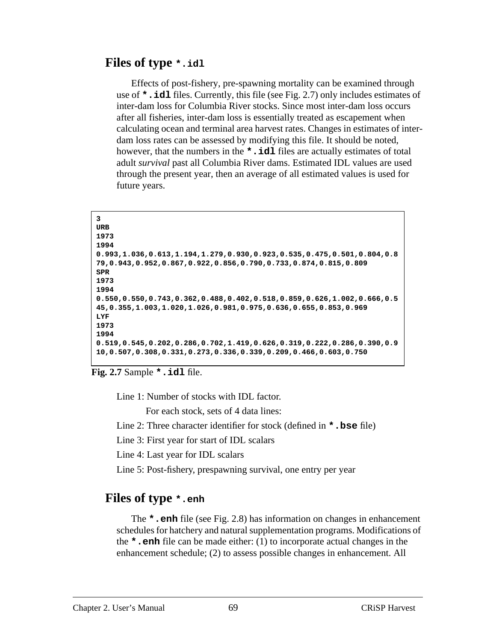## **Files of type \*.idl**

Effects of post-fishery, pre-spawning mortality can be examined through use of **\*.idl** files. Currently, this file (see Fig. 2.7) only includes estimates of inter-dam loss for Columbia River stocks. Since most inter-dam loss occurs after all fisheries, inter-dam loss is essentially treated as escapement when calculating ocean and terminal area harvest rates. Changes in estimates of interdam loss rates can be assessed by modifying this file. It should be noted, however, that the numbers in the **\*.idl** files are actually estimates of total adult *survival* past all Columbia River dams. Estimated IDL values are used through the present year, then an average of all estimated values is used for future years.

```
3
URB
1973
1994
0.993,1.036,0.613,1.194,1.279,0.930,0.923,0.535,0.475,0.501,0.804,0.8
79,0.943,0.952,0.867,0.922,0.856,0.790,0.733,0.874,0.815,0.809
SPR
1973
1994
0.550,0.550,0.743,0.362,0.488,0.402,0.518,0.859,0.626,1.002,0.666,0.5
45,0.355,1.003,1.020,1.026,0.981,0.975,0.636,0.655,0.853,0.969
LYF
1973
1994
0.519,0.545,0.202,0.286,0.702,1.419,0.626,0.319,0.222,0.286,0.390,0.9
10,0.507,0.308,0.331,0.273,0.336,0.339,0.209,0.466,0.603,0.750
```
**Fig. 2.7** Sample **\*.idl** file.

Line 1: Number of stocks with IDL factor.

For each stock, sets of 4 data lines:

Line 2: Three character identifier for stock (defined in **\*.bse** file)

Line 3: First year for start of IDL scalars

Line 4: Last year for IDL scalars

Line 5: Post-fishery, prespawning survival, one entry per year

## **Files of type \*.enh**

The **\*.enh** file (see [Fig. 2.8\)](#page-69-0) has information on changes in enhancement schedules for hatchery and natural supplementation programs. Modifications of the **\*.enh** file can be made either: (1) to incorporate actual changes in the enhancement schedule; (2) to assess possible changes in enhancement. All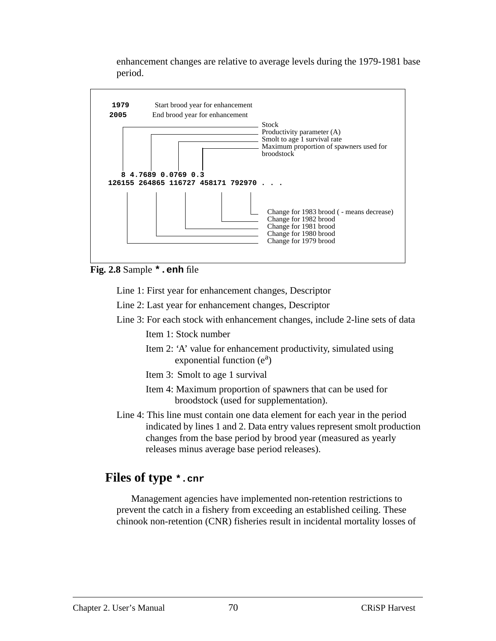enhancement changes are relative to average levels during the 1979-1981 base period.

<span id="page-69-0"></span>

**Fig. 2.8** Sample **\*.enh** file

Line 1: First year for enhancement changes, Descriptor

Line 2: Last year for enhancement changes, Descriptor

Line 3: For each stock with enhancement changes, include 2-line sets of data

Item 1: Stock number

- Item 2: 'A' value for enhancement productivity, simulated using  $exponential function (e<sup>a</sup>)$
- Item 3: Smolt to age 1 survival
- Item 4: Maximum proportion of spawners that can be used for broodstock (used for supplementation).
- Line 4: This line must contain one data element for each year in the period indicated by lines 1 and 2. Data entry values represent smolt production changes from the base period by brood year (measured as yearly releases minus average base period releases).

# **Files of type \*.cnr**

Management agencies have implemented non-retention restrictions to prevent the catch in a fishery from exceeding an established ceiling. These chinook non-retention (CNR) fisheries result in incidental mortality losses of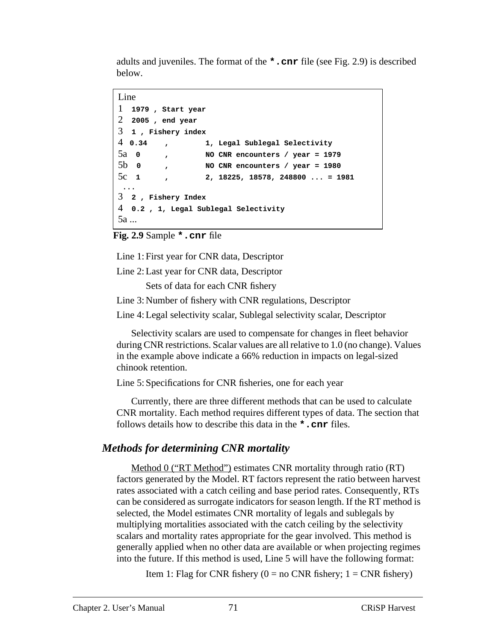adults and juveniles. The format of the **\*.cnr** file (see Fig. 2.9) is described below.

```
Line
```

```
1 1979 , Start year
2 2005 , end year
3 1 , Fishery index
4 0.34 , 1, Legal Sublegal Selectivity
5a 0 , NO CNR encounters / year = 1979
5b 0 , NO CNR encounters / year = 1980
5c 1 , 2, 18225, 18578, 248800 ... = 1981
 ...
3 2 , Fishery Index
4 0.2 , 1, Legal Sublegal Selectivity
5a ...
```
**Fig. 2.9** Sample **\*.cnr** file

Line 1: First year for CNR data, Descriptor

Line 2: Last year for CNR data, Descriptor

Sets of data for each CNR fishery

Line 3: Number of fishery with CNR regulations, Descriptor

Line 4: Legal selectivity scalar, Sublegal selectivity scalar, Descriptor

Selectivity scalars are used to compensate for changes in fleet behavior during CNR restrictions. Scalar values are all relative to 1.0 (no change). Values in the example above indicate a 66% reduction in impacts on legal-sized chinook retention.

Line 5: Specifications for CNR fisheries, one for each year

Currently, there are three different methods that can be used to calculate CNR mortality. Each method requires different types of data. The section that follows details how to describe this data in the **\*.cnr** files.

## *Methods for determining CNR mortality*

Method 0 ("RT Method") estimates CNR mortality through ratio (RT) factors generated by the Model. RT factors represent the ratio between harvest rates associated with a catch ceiling and base period rates. Consequently, RTs can be considered as surrogate indicators for season length. If the RT method is selected, the Model estimates CNR mortality of legals and sublegals by multiplying mortalities associated with the catch ceiling by the selectivity scalars and mortality rates appropriate for the gear involved. This method is generally applied when no other data are available or when projecting regimes into the future. If this method is used, Line 5 will have the following format:

Item 1: Flag for CNR fishery ( $0 = no$  CNR fishery;  $1 = CNR$  fishery)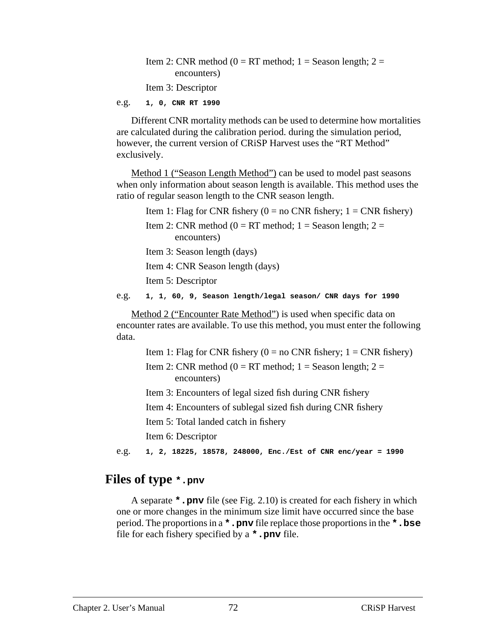Item 2: CNR method ( $0 = RT$  method; 1 = Season length; 2 = encounters) Item 3: Descriptor

e.g. **1, 0, CNR RT 1990**

Different CNR mortality methods can be used to determine how mortalities are calculated during the calibration period. during the simulation period, however, the current version of CRiSP Harvest uses the "RT Method" exclusively.

Method 1 ("Season Length Method") can be used to model past seasons when only information about season length is available. This method uses the ratio of regular season length to the CNR season length.

Item 1: Flag for CNR fishery  $(0 = no \text{ CNR} \text{ fisherv}; 1 = \text{CNR} \text{ fisherv})$ 

Item 2: CNR method ( $0 = RT$  method;  $1 =$  Season length;  $2 =$ encounters)

Item 3: Season length (days)

Item 4: CNR Season length (days)

Item 5: Descriptor

e.g. **1, 1, 60, 9, Season length/legal season/ CNR days for 1990**

Method 2 ("Encounter Rate Method") is used when specific data on encounter rates are available. To use this method, you must enter the following data.

Item 1: Flag for CNR fishery ( $0 =$  no CNR fishery;  $1 =$  CNR fishery)

Item 2: CNR method ( $0 = RT$  method;  $1 =$  Season length;  $2 =$ encounters)

Item 3: Encounters of legal sized fish during CNR fishery

Item 4: Encounters of sublegal sized fish during CNR fishery

Item 5: Total landed catch in fishery

Item 6: Descriptor

e.g. **1, 2, 18225, 18578, 248000, Enc./Est of CNR enc/year = 1990**

### **Files of type \*.pnv**

A separate **\*.pnv** file (see [Fig. 2.10](#page-72-0)) is created for each fishery in which one or more changes in the minimum size limit have occurred since the base period. The proportions in a **\*.pnv** file replace those proportions in the **\*.bse** file for each fishery specified by a **\*.pnv** file.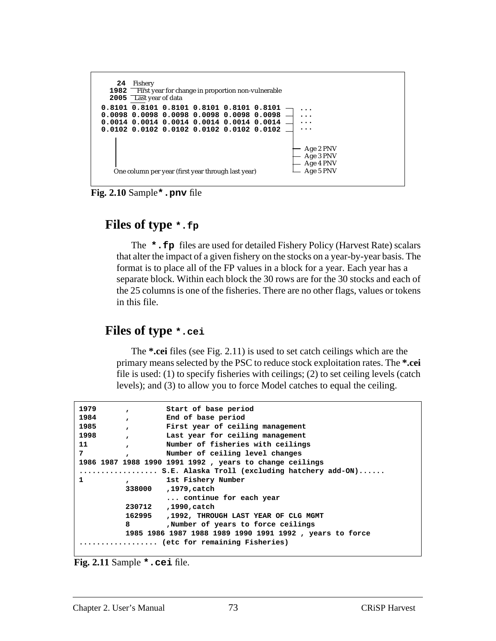

**Fig. 2.10** Sample**\*.pnv** file

#### **Files of type \*.fp**

The **\*.fp** files are used for detailed Fishery Policy (Harvest Rate) scalars that alter the impact of a given fishery on the stocks on a year-by-year basis. The format is to place all of the FP values in a block for a year. Each year has a separate block. Within each block the 30 rows are for the 30 stocks and each of the 25 columns is one of the fisheries. There are no other flags, values or tokens in this file.

#### **Files of type \*.cei**

The **\*.cei** files (see Fig. 2.11) is used to set catch ceilings which are the primary means selected by the PSC to reduce stock exploitation rates. The **\*.cei** file is used: (1) to specify fisheries with ceilings; (2) to set ceiling levels (catch levels); and (3) to allow you to force Model catches to equal the ceiling.

| 1979                          | $\mathbf{r}$ | Start of base period                                     |  |  |
|-------------------------------|--------------|----------------------------------------------------------|--|--|
| 1984                          | $\mathbf{r}$ | End of base period                                       |  |  |
| 1985                          | $\mathbf{r}$ | First year of ceiling management                         |  |  |
| 1998                          | $\mathbf{r}$ | Last year for ceiling management                         |  |  |
| 11                            | $\mathbf{r}$ | Number of fisheries with ceilings                        |  |  |
| 7                             | $\mathbf{r}$ | Number of ceiling level changes                          |  |  |
|                               |              | 1986 1987 1988 1990 1991 1992 , years to change ceilings |  |  |
|                               |              | $\cdots$ S.E. Alaska Troll (excluding hatchery add-ON)   |  |  |
|                               | $\mathbf{r}$ | 1st Fishery Number                                       |  |  |
|                               |              | 338000 , 1979, catch                                     |  |  |
|                               |              | continue for each year                                   |  |  |
|                               |              | 230712, 1990, catch                                      |  |  |
|                               |              | 162995 , 1992, THROUGH LAST YEAR OF CLG MGMT             |  |  |
|                               | 8            | Number of years to force ceilings                        |  |  |
|                               |              | 1985 1986 1987 1988 1989 1990 1991 1992, years to force  |  |  |
| (etc for remaining Fisheries) |              |                                                          |  |  |
|                               |              |                                                          |  |  |

**Fig. 2.11** Sample **\*.cei** file.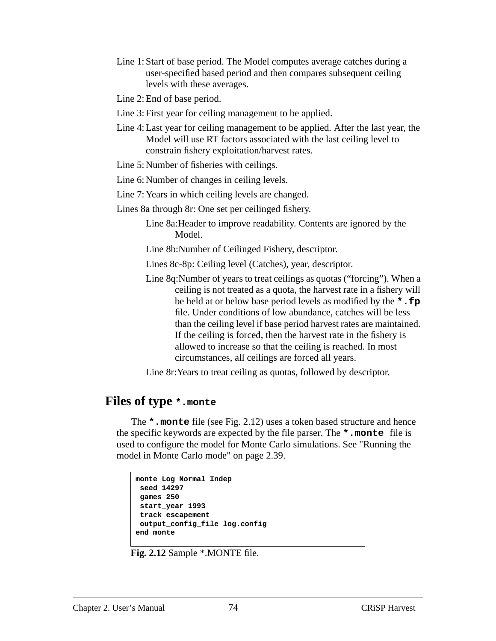- Line 1: Start of base period. The Model computes average catches during a user-specified based period and then compares subsequent ceiling levels with these averages.
- Line 2: End of base period.
- Line 3: First year for ceiling management to be applied.
- Line 4: Last year for ceiling management to be applied. After the last year, the Model will use RT factors associated with the last ceiling level to constrain fishery exploitation/harvest rates.
- Line 5: Number of fisheries with ceilings.
- Line 6: Number of changes in ceiling levels.
- Line 7: Years in which ceiling levels are changed.
- Lines 8a through 8r: One set per ceilinged fishery.
	- Line 8a:Header to improve readability. Contents are ignored by the Model.
	- Line 8b:Number of Ceilinged Fishery, descriptor.
	- Lines 8c-8p: Ceiling level (Catches), year, descriptor.
	- Line 8q:Number of years to treat ceilings as quotas ("forcing"). When a ceiling is not treated as a quota, the harvest rate in a fishery will be held at or below base period levels as modified by the **\*.fp** file. Under conditions of low abundance, catches will be less than the ceiling level if base period harvest rates are maintained. If the ceiling is forced, then the harvest rate in the fishery is allowed to increase so that the ceiling is reached. In most circumstances, all ceilings are forced all years.

Line 8r:Years to treat ceiling as quotas, followed by descriptor.

#### **Files of type \*.monte**

The **\*.monte** file (see Fig. 2.12) uses a token based structure and hence the specific keywords are expected by the file parser. The **\*.monte** file is used to configure the model for Monte Carlo simulations. See ["Running the](#page-38-0) [model in Monte Carlo mode" on page 2.39.](#page-38-0)

```
monte Log Normal Indep
 seed 14297
 games 250
 start_year 1993
 track escapement
 output_config_file log.config
end monte
```
**Fig. 2.12** Sample \*.MONTE file.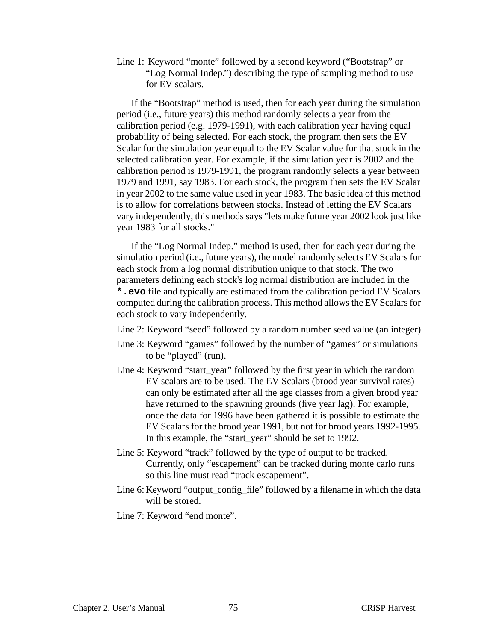Line 1: Keyword "monte" followed by a second keyword ("Bootstrap" or "Log Normal Indep.") describing the type of sampling method to use for EV scalars.

If the "Bootstrap" method is used, then for each year during the simulation period (i.e., future years) this method randomly selects a year from the calibration period (e.g. 1979-1991), with each calibration year having equal probability of being selected. For each stock, the program then sets the EV Scalar for the simulation year equal to the EV Scalar value for that stock in the selected calibration year. For example, if the simulation year is 2002 and the calibration period is 1979-1991, the program randomly selects a year between 1979 and 1991, say 1983. For each stock, the program then sets the EV Scalar in year 2002 to the same value used in year 1983. The basic idea of this method is to allow for correlations between stocks. Instead of letting the EV Scalars vary independently, this methods says "lets make future year 2002 look just like year 1983 for all stocks."

If the "Log Normal Indep." method is used, then for each year during the simulation period (i.e., future years), the model randomly selects EV Scalars for each stock from a log normal distribution unique to that stock. The two parameters defining each stock's log normal distribution are included in the **\*.evo** file and typically are estimated from the calibration period EV Scalars computed during the calibration process. This method allows the EV Scalars for each stock to vary independently.

- Line 2: Keyword "seed" followed by a random number seed value (an integer)
- Line 3: Keyword "games" followed by the number of "games" or simulations to be "played" (run).
- Line 4: Keyword "start\_year" followed by the first year in which the random EV scalars are to be used. The EV Scalars (brood year survival rates) can only be estimated after all the age classes from a given brood year have returned to the spawning grounds (five year lag). For example, once the data for 1996 have been gathered it is possible to estimate the EV Scalars for the brood year 1991, but not for brood years 1992-1995. In this example, the "start\_year" should be set to 1992.
- Line 5: Keyword "track" followed by the type of output to be tracked. Currently, only "escapement" can be tracked during monte carlo runs so this line must read "track escapement".
- Line 6: Keyword "output\_config\_file" followed by a filename in which the data will be stored.

Line 7: Keyword "end monte".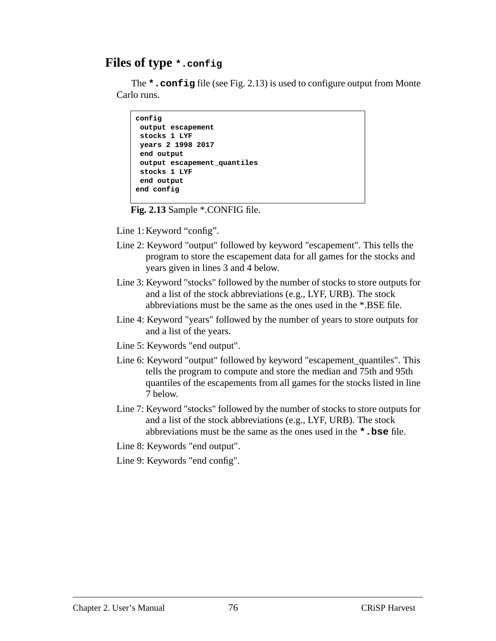#### **Files of type \*.config**

The **\*.config** file (see Fig. 2.13) is used to configure output from Monte Carlo runs.

```
config
 output escapement
  stocks 1 LYF
 years 2 1998 2017
  end output
 output escapement_quantiles
 stocks 1 LYF
 end output
end config
```
**Fig. 2.13** Sample \*.CONFIG file.

Line 1: Keyword "config".

- Line 2: Keyword "output" followed by keyword "escapement". This tells the program to store the escapement data for all games for the stocks and years given in lines 3 and 4 below.
- Line 3: Keyword "stocks" followed by the number of stocks to store outputs for and a list of the stock abbreviations (e.g., LYF, URB). The stock abbreviations must be the same as the ones used in the \*.BSE file.
- Line 4: Keyword "years" followed by the number of years to store outputs for and a list of the years.
- Line 5: Keywords "end output".
- Line 6: Keyword "output" followed by keyword "escapement\_quantiles". This tells the program to compute and store the median and 75th and 95th quantiles of the escapements from all games for the stocks listed in line 7 below.
- Line 7: Keyword "stocks" followed by the number of stocks to store outputs for and a list of the stock abbreviations (e.g., LYF, URB). The stock abbreviations must be the same as the ones used in the **\*.bse** file.
- Line 8: Keywords "end output".
- Line 9: Keywords "end config".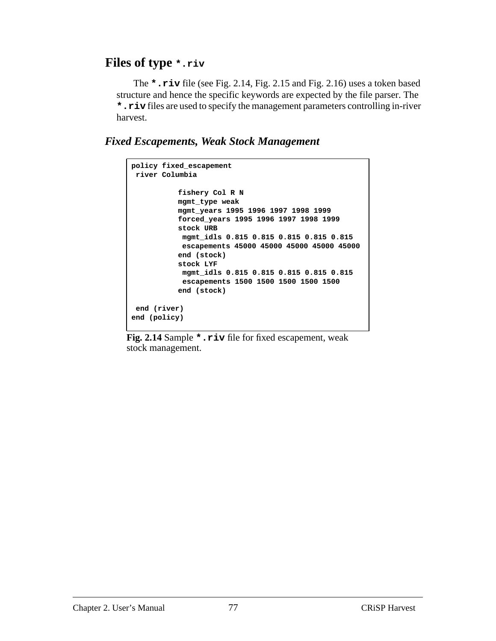#### **Files of type \*.riv**

 The **\*.riv** file (see Fig. 2.14, [Fig. 2.15](#page-77-0) and [Fig. 2.16\)](#page-77-0) uses a token based structure and hence the specific keywords are expected by the file parser. The **\*.riv** files are used to specify the management parameters controlling in-river harvest.

 *Fixed Escapements, Weak Stock Management*

```
policy fixed_escapement
 river Columbia
          fishery Col R N
          mgmt_type weak
          mgmt_years 1995 1996 1997 1998 1999
          forced_years 1995 1996 1997 1998 1999
          stock URB
            mgmt_idls 0.815 0.815 0.815 0.815 0.815
            escapements 45000 45000 45000 45000 45000
          end (stock)
          stock LYF
            mgmt_idls 0.815 0.815 0.815 0.815 0.815
            escapements 1500 1500 1500 1500 1500
          end (stock)
 end (river)
end (policy)
```
**Fig. 2.14** Sample **\*.riv** file for fixed escapement, weak stock management.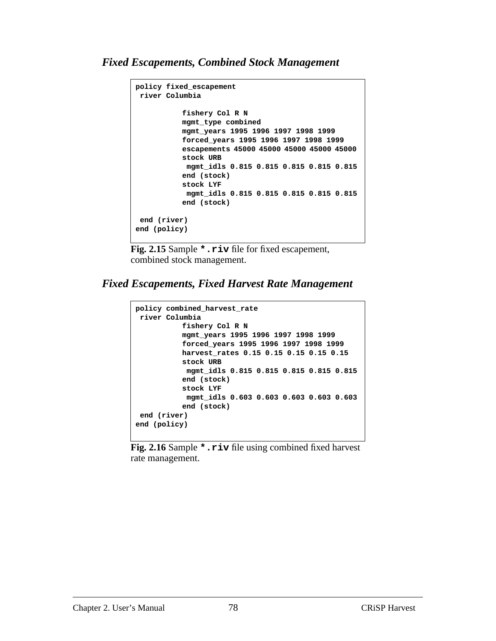#### <span id="page-77-0"></span>*Fixed Escapements, Combined Stock Management*

```
policy fixed_escapement
  river Columbia
          fishery Col R N
          mgmt_type combined
          mgmt_years 1995 1996 1997 1998 1999
           forced_years 1995 1996 1997 1998 1999
           escapements 45000 45000 45000 45000 45000
           stock URB
            mgmt_idls 0.815 0.815 0.815 0.815 0.815
           end (stock)
           stock LYF
            mgmt_idls 0.815 0.815 0.815 0.815 0.815
           end (stock)
  end (river)
end (policy)
```
**Fig. 2.15** Sample **\*.riv** file for fixed escapement, combined stock management.

*Fixed Escapements, Fixed Harvest Rate Management*

```
policy combined_harvest_rate
 river Columbia
          fishery Col R N
          mgmt_years 1995 1996 1997 1998 1999
          forced_years 1995 1996 1997 1998 1999
          harvest_rates 0.15 0.15 0.15 0.15 0.15
          stock URB
            mgmt_idls 0.815 0.815 0.815 0.815 0.815
          end (stock)
          stock LYF
            mgmt_idls 0.603 0.603 0.603 0.603 0.603
          end (stock)
 end (river)
end (policy)
```
**Fig. 2.16** Sample **\*.riv** file using combined fixed harvest rate management.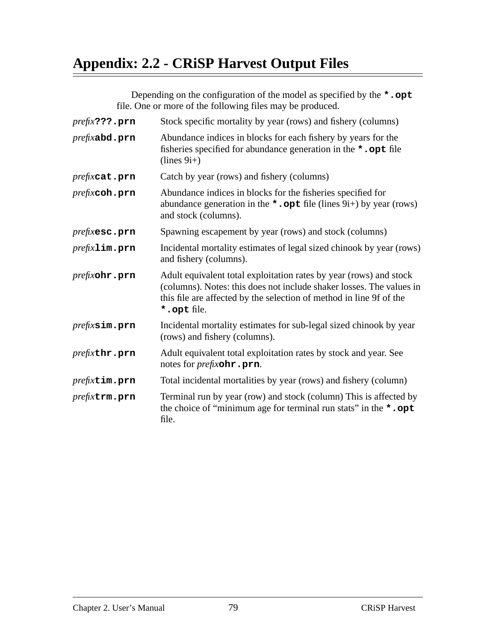# **Appendix: 2.2 - CRiSP Harvest Output Files**

Depending on the configuration of the model as specified by the **\*.opt** file. One or more of the following files may be produced.

| $prefix$ ???. $prn$      | Stock specific mortality by year (rows) and fishery (columns)                                                                                                                                                                    |  |
|--------------------------|----------------------------------------------------------------------------------------------------------------------------------------------------------------------------------------------------------------------------------|--|
| prefixabd.prn            | Abundance indices in blocks for each fishery by years for the<br>fisheries specified for abundance generation in the *.opt file<br>$(lines 9i+)$                                                                                 |  |
| prefixcat.prn            | Catch by year (rows) and fishery (columns)                                                                                                                                                                                       |  |
| $prefixcoh.\texttt{prn}$ | Abundance indices in blocks for the fisheries specified for<br>abundance generation in the *. opt file (lines $9i+$ ) by year (rows)<br>and stock (columns).                                                                     |  |
| <i>prefixesc.prn</i>     | Spawning escapement by year (rows) and stock (columns)                                                                                                                                                                           |  |
| $prefix$ lim.prn         | Incidental mortality estimates of legal sized chinook by year (rows)<br>and fishery (columns).                                                                                                                                   |  |
| prefixohr.prn            | Adult equivalent total exploitation rates by year (rows) and stock<br>(columns). Notes: this does not include shaker losses. The values in<br>this file are affected by the selection of method in line 9f of the<br>*.opt file. |  |
| <i>prefixsim.prn</i>     | Incidental mortality estimates for sub-legal sized chinook by year<br>(rows) and fishery (columns).                                                                                                                              |  |
| <i>prefixthr.prn</i>     | Adult equivalent total exploitation rates by stock and year. See<br>notes for <i>prefix</i> <b>ohr</b> .prn.                                                                                                                     |  |
| prefixtim.prn            | Total incidental mortalities by year (rows) and fishery (column)                                                                                                                                                                 |  |
| prefixtrm.prn            | Terminal run by year (row) and stock (column) This is affected by<br>the choice of "minimum age for terminal run stats" in the *.opt<br>file.                                                                                    |  |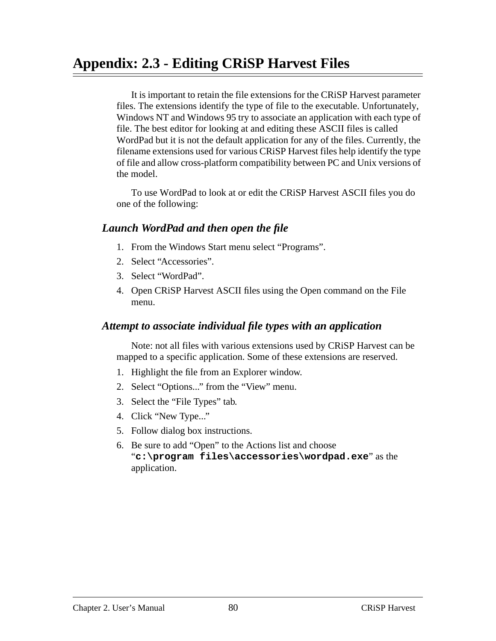# **Appendix: 2.3 - Editing CRiSP Harvest Files**

It is important to retain the file extensions for the CRiSP Harvest parameter files. The extensions identify the type of file to the executable. Unfortunately, Windows NT and Windows 95 try to associate an application with each type of file. The best editor for looking at and editing these ASCII files is called WordPad but it is not the default application for any of the files. Currently, the filename extensions used for various CRiSP Harvest files help identify the type of file and allow cross-platform compatibility between PC and Unix versions of the model.

To use WordPad to look at or edit the CRiSP Harvest ASCII files you do one of the following:

#### *Launch WordPad and then open the file*

- 1. From the Windows Start menu select "Programs".
- 2. Select "Accessories".
- 3. Select "WordPad".
- 4. Open CRiSP Harvest ASCII files using the Open command on the File menu.

#### *Attempt to associate individual file types with an application*

Note: not all files with various extensions used by CRiSP Harvest can be mapped to a specific application. Some of these extensions are reserved.

- 1. Highlight the file from an Explorer window.
- 2. Select "Options..." from the "View" menu.
- 3. Select the "File Types" tab.
- 4. Click "New Type..."
- 5. Follow dialog box instructions.
- 6. Be sure to add "Open" to the Actions list and choose "**c:\program files\accessories\wordpad.exe**" as the application.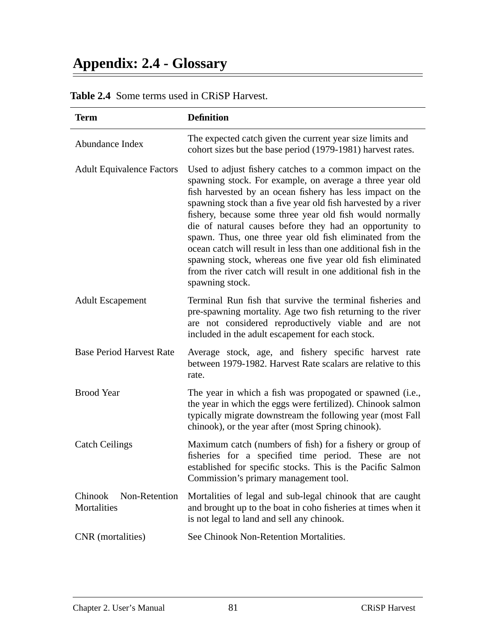# **Appendix: 2.4 - Glossary**

| <b>Term</b>                             | <b>Definition</b>                                                                                                                                                                                                                                                                                                                                                                                                                                                                                                                                                                                                                                          |  |
|-----------------------------------------|------------------------------------------------------------------------------------------------------------------------------------------------------------------------------------------------------------------------------------------------------------------------------------------------------------------------------------------------------------------------------------------------------------------------------------------------------------------------------------------------------------------------------------------------------------------------------------------------------------------------------------------------------------|--|
| Abundance Index                         | The expected catch given the current year size limits and<br>cohort sizes but the base period (1979-1981) harvest rates.                                                                                                                                                                                                                                                                                                                                                                                                                                                                                                                                   |  |
| <b>Adult Equivalence Factors</b>        | Used to adjust fishery catches to a common impact on the<br>spawning stock. For example, on average a three year old<br>fish harvested by an ocean fishery has less impact on the<br>spawning stock than a five year old fish harvested by a river<br>fishery, because some three year old fish would normally<br>die of natural causes before they had an opportunity to<br>spawn. Thus, one three year old fish eliminated from the<br>ocean catch will result in less than one additional fish in the<br>spawning stock, whereas one five year old fish eliminated<br>from the river catch will result in one additional fish in the<br>spawning stock. |  |
| <b>Adult Escapement</b>                 | Terminal Run fish that survive the terminal fisheries and<br>pre-spawning mortality. Age two fish returning to the river<br>are not considered reproductively viable and are not<br>included in the adult escapement for each stock.                                                                                                                                                                                                                                                                                                                                                                                                                       |  |
| <b>Base Period Harvest Rate</b>         | Average stock, age, and fishery specific harvest rate<br>between 1979-1982. Harvest Rate scalars are relative to this<br>rate.                                                                                                                                                                                                                                                                                                                                                                                                                                                                                                                             |  |
| <b>Brood Year</b>                       | The year in which a fish was propogated or spawned (i.e.,<br>the year in which the eggs were fertilized). Chinook salmon<br>typically migrate downstream the following year (most Fall<br>chinook), or the year after (most Spring chinook).                                                                                                                                                                                                                                                                                                                                                                                                               |  |
| <b>Catch Ceilings</b>                   | Maximum catch (numbers of fish) for a fishery or group of<br>fisheries for a specified time period. These are not<br>established for specific stocks. This is the Pacific Salmon<br>Commission's primary management tool.                                                                                                                                                                                                                                                                                                                                                                                                                                  |  |
| Chinook<br>Non-Retention<br>Mortalities | Mortalities of legal and sub-legal chinook that are caught<br>and brought up to the boat in coho fisheries at times when it<br>is not legal to land and sell any chinook.                                                                                                                                                                                                                                                                                                                                                                                                                                                                                  |  |
| CNR (mortalities)                       | See Chinook Non-Retention Mortalities.                                                                                                                                                                                                                                                                                                                                                                                                                                                                                                                                                                                                                     |  |

#### **Table 2.4** Some terms used in CRiSP Harvest.

 $\overline{\phantom{0}}$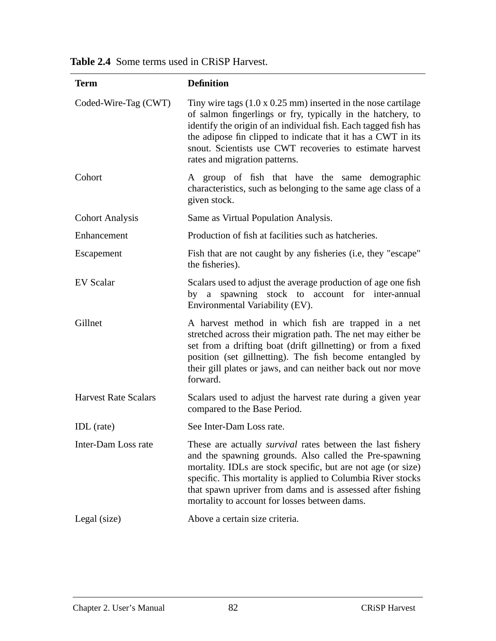| <b>Term</b>                 | <b>Definition</b>                                                                                                                                                                                                                                                                                                                                                           |
|-----------------------------|-----------------------------------------------------------------------------------------------------------------------------------------------------------------------------------------------------------------------------------------------------------------------------------------------------------------------------------------------------------------------------|
| Coded-Wire-Tag (CWT)        | Tiny wire tags $(1.0 \times 0.25 \text{ mm})$ inserted in the nose cartilage<br>of salmon fingerlings or fry, typically in the hatchery, to<br>identify the origin of an individual fish. Each tagged fish has<br>the adipose fin clipped to indicate that it has a CWT in its<br>snout. Scientists use CWT recoveries to estimate harvest<br>rates and migration patterns. |
| Cohort                      | A group of fish that have the same demographic<br>characteristics, such as belonging to the same age class of a<br>given stock.                                                                                                                                                                                                                                             |
| <b>Cohort Analysis</b>      | Same as Virtual Population Analysis.                                                                                                                                                                                                                                                                                                                                        |
| Enhancement                 | Production of fish at facilities such as hatcheries.                                                                                                                                                                                                                                                                                                                        |
| Escapement                  | Fish that are not caught by any fisheries (i.e, they "escape"<br>the fisheries).                                                                                                                                                                                                                                                                                            |
| <b>EV</b> Scalar            | Scalars used to adjust the average production of age one fish<br>by a spawning stock to account for inter-annual<br>Environmental Variability (EV).                                                                                                                                                                                                                         |
| Gillnet                     | A harvest method in which fish are trapped in a net<br>stretched across their migration path. The net may either be<br>set from a drifting boat (drift gillnetting) or from a fixed<br>position (set gillnetting). The fish become entangled by<br>their gill plates or jaws, and can neither back out nor move<br>forward.                                                 |
| <b>Harvest Rate Scalars</b> | Scalars used to adjust the harvest rate during a given year<br>compared to the Base Period.                                                                                                                                                                                                                                                                                 |
| IDL (rate)                  | See Inter-Dam Loss rate.                                                                                                                                                                                                                                                                                                                                                    |
| Inter-Dam Loss rate         | These are actually <i>survival</i> rates between the last fishery<br>and the spawning grounds. Also called the Pre-spawning<br>mortality. IDLs are stock specific, but are not age (or size)<br>specific. This mortality is applied to Columbia River stocks<br>that spawn upriver from dams and is assessed after fishing<br>mortality to account for losses between dams. |
| Legal (size)                | Above a certain size criteria.                                                                                                                                                                                                                                                                                                                                              |

**Table 2.4** Some terms used in CRiSP Harvest.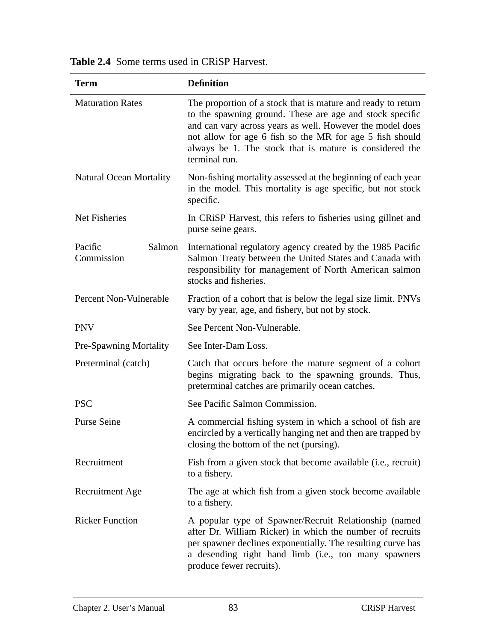| Term                            | <b>Definition</b>                                                                                                                                                                                                                                                                                                             |  |  |
|---------------------------------|-------------------------------------------------------------------------------------------------------------------------------------------------------------------------------------------------------------------------------------------------------------------------------------------------------------------------------|--|--|
| <b>Maturation Rates</b>         | The proportion of a stock that is mature and ready to return<br>to the spawning ground. These are age and stock specific<br>and can vary across years as well. However the model does<br>not allow for age 6 fish so the MR for age 5 fish should<br>always be 1. The stock that is mature is considered the<br>terminal run. |  |  |
| <b>Natural Ocean Mortality</b>  | Non-fishing mortality assessed at the beginning of each year<br>in the model. This mortality is age specific, but not stock<br>specific.                                                                                                                                                                                      |  |  |
| Net Fisheries                   | In CRiSP Harvest, this refers to fisheries using gillnet and<br>purse seine gears.                                                                                                                                                                                                                                            |  |  |
| Pacific<br>Salmon<br>Commission | International regulatory agency created by the 1985 Pacific<br>Salmon Treaty between the United States and Canada with<br>responsibility for management of North American salmon<br>stocks and fisheries.                                                                                                                     |  |  |
| Percent Non-Vulnerable          | Fraction of a cohort that is below the legal size limit. PNVs<br>vary by year, age, and fishery, but not by stock.                                                                                                                                                                                                            |  |  |
| <b>PNV</b>                      | See Percent Non-Vulnerable.                                                                                                                                                                                                                                                                                                   |  |  |
| <b>Pre-Spawning Mortality</b>   | See Inter-Dam Loss.                                                                                                                                                                                                                                                                                                           |  |  |
| Preterminal (catch)             | Catch that occurs before the mature segment of a cohort<br>begins migrating back to the spawning grounds. Thus,<br>preterminal catches are primarily ocean catches.                                                                                                                                                           |  |  |
| <b>PSC</b>                      | See Pacific Salmon Commission.                                                                                                                                                                                                                                                                                                |  |  |
| <b>Purse Seine</b>              | A commercial fishing system in which a school of fish are<br>encircled by a vertically hanging net and then are trapped by<br>closing the bottom of the net (pursing).                                                                                                                                                        |  |  |
| Recruitment                     | Fish from a given stock that become available (i.e., recruit)<br>to a fishery.                                                                                                                                                                                                                                                |  |  |
| <b>Recruitment Age</b>          | The age at which fish from a given stock become available<br>to a fishery.                                                                                                                                                                                                                                                    |  |  |
| <b>Ricker Function</b>          | A popular type of Spawner/Recruit Relationship (named<br>after Dr. William Ricker) in which the number of recruits<br>per spawner declines exponentially. The resulting curve has<br>a desending right hand limb (i.e., too many spawners<br>produce fewer recruits).                                                         |  |  |

#### **Table 2.4** Some terms used in CRiSP Harvest.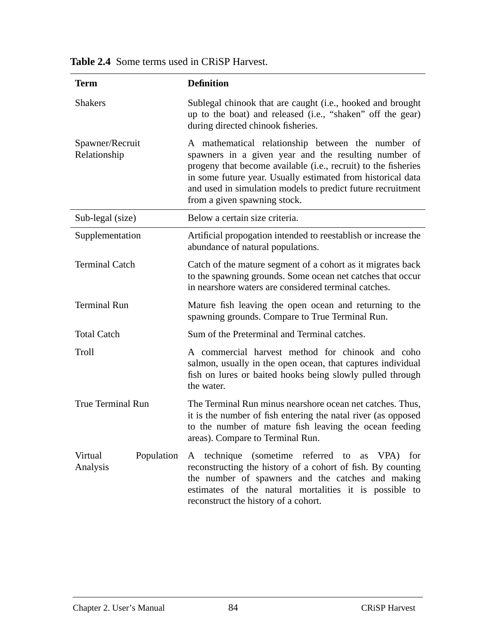| <b>Term</b>                       | <b>Definition</b>                                                                                                                                                                                                                                                                                                                         |  |
|-----------------------------------|-------------------------------------------------------------------------------------------------------------------------------------------------------------------------------------------------------------------------------------------------------------------------------------------------------------------------------------------|--|
| <b>Shakers</b>                    | Sublegal chinook that are caught (i.e., hooked and brought<br>up to the boat) and released (i.e., "shaken" off the gear)<br>during directed chinook fisheries.                                                                                                                                                                            |  |
| Spawner/Recruit<br>Relationship   | A mathematical relationship between the number of<br>spawners in a given year and the resulting number of<br>progeny that become available (i.e., recruit) to the fisheries<br>in some future year. Usually estimated from historical data<br>and used in simulation models to predict future recruitment<br>from a given spawning stock. |  |
| Sub-legal (size)                  | Below a certain size criteria.                                                                                                                                                                                                                                                                                                            |  |
| Supplementation                   | Artificial propogation intended to reestablish or increase the<br>abundance of natural populations.                                                                                                                                                                                                                                       |  |
| <b>Terminal Catch</b>             | Catch of the mature segment of a cohort as it migrates back<br>to the spawning grounds. Some ocean net catches that occur<br>in nearshore waters are considered terminal catches.                                                                                                                                                         |  |
| <b>Terminal Run</b>               | Mature fish leaving the open ocean and returning to the<br>spawning grounds. Compare to True Terminal Run.                                                                                                                                                                                                                                |  |
| <b>Total Catch</b>                | Sum of the Preterminal and Terminal catches.                                                                                                                                                                                                                                                                                              |  |
| Troll                             | A commercial harvest method for chinook and coho<br>salmon, usually in the open ocean, that captures individual<br>fish on lures or baited hooks being slowly pulled through<br>the water.                                                                                                                                                |  |
| <b>True Terminal Run</b>          | The Terminal Run minus nearshore ocean net catches. Thus,<br>it is the number of fish entering the natal river (as opposed<br>to the number of mature fish leaving the ocean feeding<br>areas). Compare to Terminal Run.                                                                                                                  |  |
| Virtual<br>Population<br>Analysis | A technique (sometime referred to as VPA) for<br>reconstructing the history of a cohort of fish. By counting<br>the number of spawners and the catches and making<br>estimates of the natural mortalities it is possible to<br>reconstruct the history of a cohort.                                                                       |  |

|  | <b>Table 2.4</b> Some terms used in CRiSP Harvest. |  |  |  |
|--|----------------------------------------------------|--|--|--|
|--|----------------------------------------------------|--|--|--|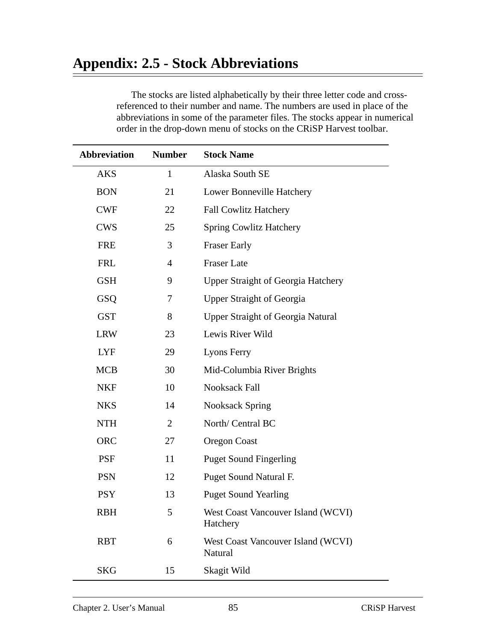## **Appendix: 2.5 - Stock Abbreviations**

The stocks are listed alphabetically by their three letter code and crossreferenced to their number and name. The numbers are used in place of the abbreviations in some of the parameter files. The stocks appear in numerical order in the drop-down menu of stocks on the CRiSP Harvest toolbar.

| <b>Abbreviation</b> | <b>Number</b>  | <b>Stock Name</b>                              |  |
|---------------------|----------------|------------------------------------------------|--|
| <b>AKS</b>          | $\mathbf{1}$   | Alaska South SE                                |  |
| <b>BON</b>          | 21             | Lower Bonneville Hatchery                      |  |
| <b>CWF</b>          | 22             | <b>Fall Cowlitz Hatchery</b>                   |  |
| <b>CWS</b>          | 25             | <b>Spring Cowlitz Hatchery</b>                 |  |
| <b>FRE</b>          | 3              | <b>Fraser Early</b>                            |  |
| <b>FRL</b>          | $\overline{4}$ | <b>Fraser Late</b>                             |  |
| <b>GSH</b>          | 9              | <b>Upper Straight of Georgia Hatchery</b>      |  |
| GSQ                 | 7              | <b>Upper Straight of Georgia</b>               |  |
| <b>GST</b>          | 8              | <b>Upper Straight of Georgia Natural</b>       |  |
| <b>LRW</b>          | 23             | Lewis River Wild                               |  |
| <b>LYF</b>          | 29             | <b>Lyons Ferry</b>                             |  |
| <b>MCB</b>          | 30             | Mid-Columbia River Brights                     |  |
| <b>NKF</b>          | 10             | Nooksack Fall                                  |  |
| <b>NKS</b>          | 14             | <b>Nooksack Spring</b>                         |  |
| <b>NTH</b>          | 2              | North/ Central BC                              |  |
| <b>ORC</b>          | 27             | Oregon Coast                                   |  |
| <b>PSF</b>          | 11             | <b>Puget Sound Fingerling</b>                  |  |
| <b>PSN</b>          | 12             | Puget Sound Natural F.                         |  |
| <b>PSY</b>          | 13             | <b>Puget Sound Yearling</b>                    |  |
| <b>RBH</b>          | 5              | West Coast Vancouver Island (WCVI)<br>Hatchery |  |
| <b>RBT</b>          | 6              | West Coast Vancouver Island (WCVI)<br>Natural  |  |
| <b>SKG</b>          | 15             | Skagit Wild                                    |  |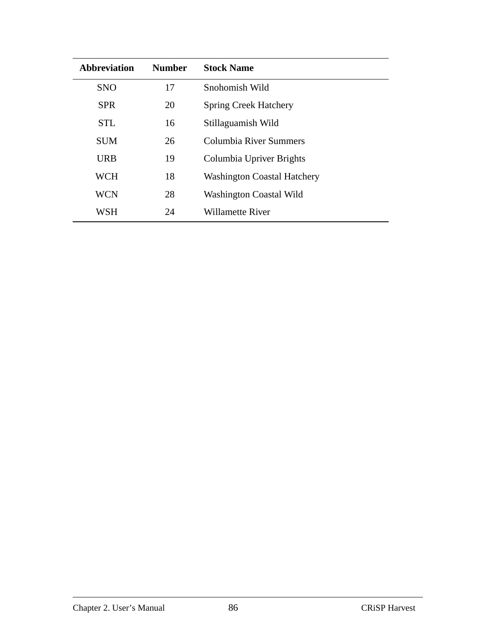| <b>Abbreviation</b> | <b>Number</b> | <b>Stock Name</b>                  |
|---------------------|---------------|------------------------------------|
| <b>SNO</b>          | 17            | Snohomish Wild                     |
| <b>SPR</b>          | 20            | <b>Spring Creek Hatchery</b>       |
| <b>STL</b>          | 16            | Stillaguamish Wild                 |
| <b>SUM</b>          | 26            | Columbia River Summers             |
| <b>URB</b>          | 19            | Columbia Upriver Brights           |
| <b>WCH</b>          | 18            | <b>Washington Coastal Hatchery</b> |
| <b>WCN</b>          | 28            | <b>Washington Coastal Wild</b>     |
| WSH                 | 24            | Willamette River                   |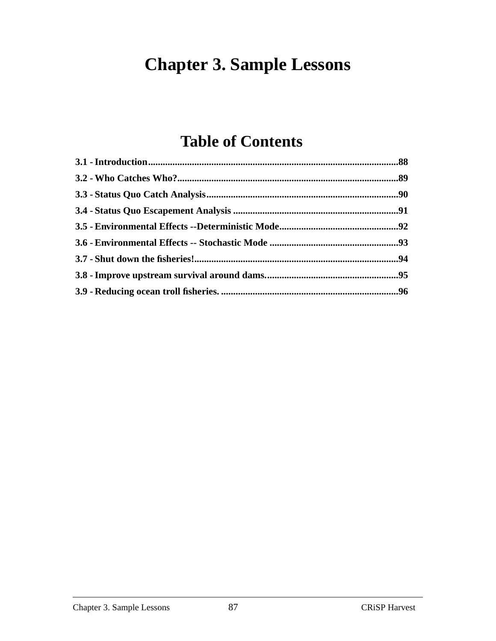# **Chapter 3. Sample Lessons**

# **Table of Contents**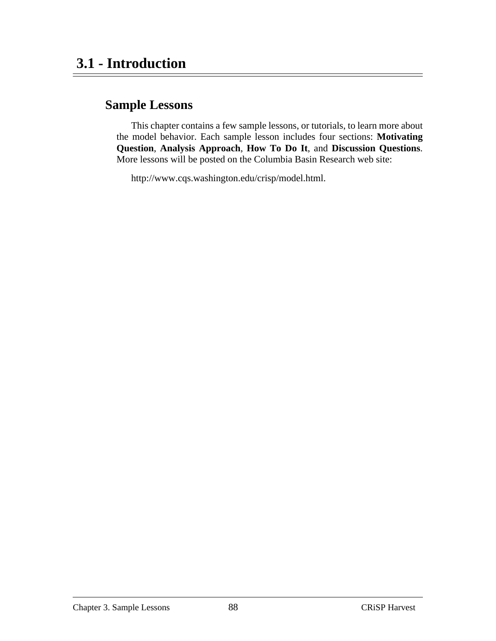#### **Sample Lessons**

This chapter contains a few sample lessons, or tutorials, to learn more about the model behavior. Each sample lesson includes four sections: **Motivating Question**, **Analysis Approach**, **How To Do It**, and **Discussion Questions**. More lessons will be posted on the Columbia Basin Research web site:

http://www.cqs.washington.edu/crisp/model.html.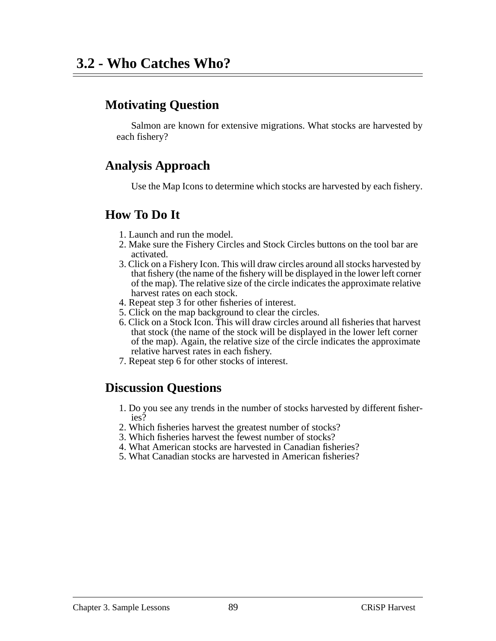Salmon are known for extensive migrations. What stocks are harvested by each fishery?

## **Analysis Approach**

Use the Map Icons to determine which stocks are harvested by each fishery.

#### **How To Do It**

- 1. Launch and run the model.
- 2. Make sure the Fishery Circles and Stock Circles buttons on the tool bar are activated.
- 3. Click on a Fishery Icon. This will draw circles around all stocks harvested by that fishery (the name of the fishery will be displayed in the lower left corner of the map). The relative size of the circle indicates the approximate relative harvest rates on each stock.
- 4. Repeat step 3 for other fisheries of interest.
- 5. Click on the map background to clear the circles.
- 6. Click on a Stock Icon. This will draw circles around all fisheries that harvest that stock (the name of the stock will be displayed in the lower left corner of the map). Again, the relative size of the circle indicates the approximate relative harvest rates in each fishery.
- 7. Repeat step 6 for other stocks of interest.

- 1. Do you see any trends in the number of stocks harvested by different fisheries?
- 2. Which fisheries harvest the greatest number of stocks?
- 3. Which fisheries harvest the fewest number of stocks?
- 4. What American stocks are harvested in Canadian fisheries?
- 5. What Canadian stocks are harvested in American fisheries?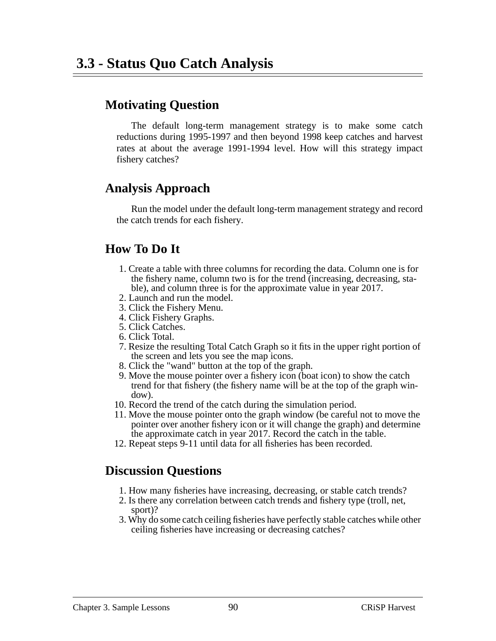The default long-term management strategy is to make some catch reductions during 1995-1997 and then beyond 1998 keep catches and harvest rates at about the average 1991-1994 level. How will this strategy impact fishery catches?

#### **Analysis Approach**

Run the model under the default long-term management strategy and record the catch trends for each fishery.

### **How To Do It**

- 1. Create a table with three columns for recording the data. Column one is for the fishery name, column two is for the trend (increasing, decreasing, stable), and column three is for the approximate value in year 2017.
- 2. Launch and run the model.
- 3. Click the Fishery Menu.
- 4. Click Fishery Graphs.
- 5. Click Catches.
- 6. Click Total.
- 7. Resize the resulting Total Catch Graph so it fits in the upper right portion of the screen and lets you see the map icons.
- 8. Click the "wand" button at the top of the graph.
- 9. Move the mouse pointer over a fishery icon (boat icon) to show the catch trend for that fishery (the fishery name will be at the top of the graph window).
- 10. Record the trend of the catch during the simulation period.
- 11. Move the mouse pointer onto the graph window (be careful not to move the pointer over another fishery icon or it will change the graph) and determine the approximate catch in year 2017. Record the catch in the table.
- 12. Repeat steps 9-11 until data for all fisheries has been recorded.

- 1. How many fisheries have increasing, decreasing, or stable catch trends?
- 2. Is there any correlation between catch trends and fishery type (troll, net, sport)?
- 3. Why do some catch ceiling fisheries have perfectly stable catches while other ceiling fisheries have increasing or decreasing catches?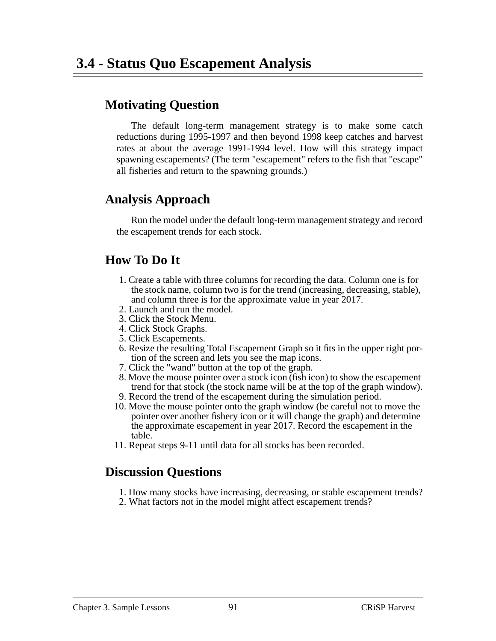The default long-term management strategy is to make some catch reductions during 1995-1997 and then beyond 1998 keep catches and harvest rates at about the average 1991-1994 level. How will this strategy impact spawning escapements? (The term "escapement" refers to the fish that "escape" all fisheries and return to the spawning grounds.)

### **Analysis Approach**

Run the model under the default long-term management strategy and record the escapement trends for each stock.

### **How To Do It**

- 1. Create a table with three columns for recording the data. Column one is for the stock name, column two is for the trend (increasing, decreasing, stable), and column three is for the approximate value in year 2017.
- 2. Launch and run the model.
- 3. Click the Stock Menu.
- 4. Click Stock Graphs.
- 5. Click Escapements.
- 6. Resize the resulting Total Escapement Graph so it fits in the upper right portion of the screen and lets you see the map icons.
- 7. Click the "wand" button at the top of the graph.
- 8. Move the mouse pointer over a stock icon (fish icon) to show the escapement trend for that stock (the stock name will be at the top of the graph window).
- 9. Record the trend of the escapement during the simulation period.
- 10. Move the mouse pointer onto the graph window (be careful not to move the pointer over another fishery icon or it will change the graph) and determine the approximate escapement in year 2017. Record the escapement in the table.
- 11. Repeat steps 9-11 until data for all stocks has been recorded.

- 1. How many stocks have increasing, decreasing, or stable escapement trends?
- 2. What factors not in the model might affect escapement trends?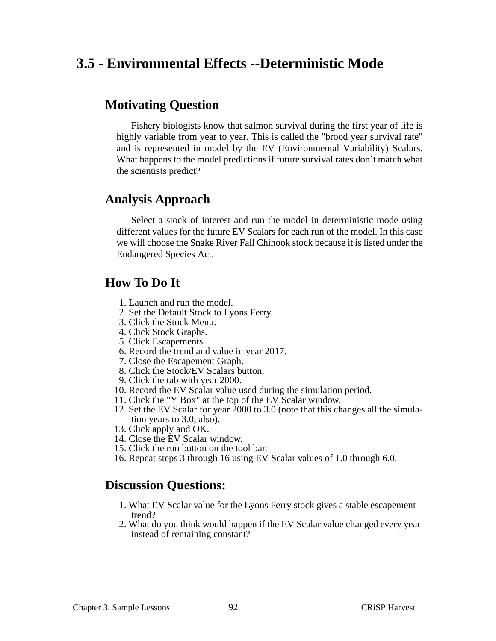Fishery biologists know that salmon survival during the first year of life is highly variable from year to year. This is called the "brood year survival rate" and is represented in model by the EV (Environmental Variability) Scalars. What happens to the model predictions if future survival rates don't match what the scientists predict?

### **Analysis Approach**

Select a stock of interest and run the model in deterministic mode using different values for the future EV Scalars for each run of the model. In this case we will choose the Snake River Fall Chinook stock because it is listed under the Endangered Species Act.

### **How To Do It**

- 1. Launch and run the model.
- 2. Set the Default Stock to Lyons Ferry.
- 3. Click the Stock Menu.
- 4. Click Stock Graphs.
- 5. Click Escapements.
- 6. Record the trend and value in year 2017.
- 7. Close the Escapement Graph.
- 8. Click the Stock/EV Scalars button.
- 9. Click the tab with year 2000.
- 10. Record the EV Scalar value used during the simulation period.
- 11. Click the "Y Box" at the top of the EV Scalar window.
- 12. Set the EV Scalar for year 2000 to 3.0 (note that this changes all the simulation years to 3.0, also).
- 13. Click apply and OK.
- 14. Close the EV Scalar window.
- 15. Click the run button on the tool bar.
- 16. Repeat steps 3 through 16 using EV Scalar values of 1.0 through 6.0.

- 1. What EV Scalar value for the Lyons Ferry stock gives a stable escapement trend?
- 2. What do you think would happen if the EV Scalar value changed every year instead of remaining constant?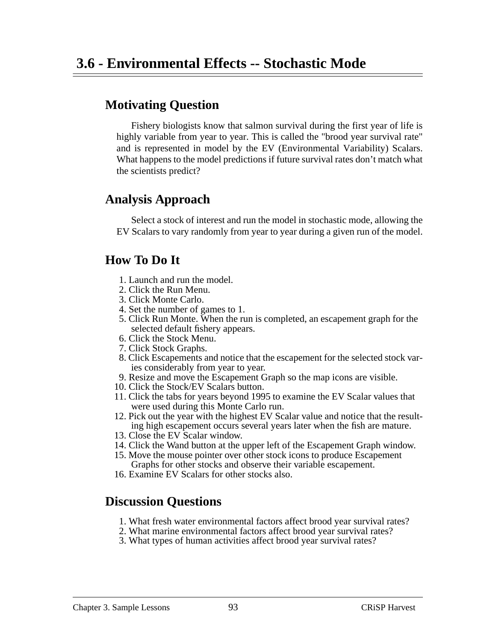Fishery biologists know that salmon survival during the first year of life is highly variable from year to year. This is called the "brood year survival rate" and is represented in model by the EV (Environmental Variability) Scalars. What happens to the model predictions if future survival rates don't match what the scientists predict?

### **Analysis Approach**

Select a stock of interest and run the model in stochastic mode, allowing the EV Scalars to vary randomly from year to year during a given run of the model.

#### **How To Do It**

- 1. Launch and run the model.
- 2. Click the Run Menu.
- 3. Click Monte Carlo.
- 4. Set the number of games to 1.
- 5. Click Run Monte. When the run is completed, an escapement graph for the selected default fishery appears.
- 6. Click the Stock Menu.
- 7. Click Stock Graphs.
- 8. Click Escapements and notice that the escapement for the selected stock varies considerably from year to year.
- 9. Resize and move the Escapement Graph so the map icons are visible.
- 10. Click the Stock/EV Scalars button.
- 11. Click the tabs for years beyond 1995 to examine the EV Scalar values that were used during this Monte Carlo run.
- 12. Pick out the year with the highest EV Scalar value and notice that the resulting high escapement occurs several years later when the fish are mature.
- 13. Close the EV Scalar window.
- 14. Click the Wand button at the upper left of the Escapement Graph window.
- 15. Move the mouse pointer over other stock icons to produce Escapement Graphs for other stocks and observe their variable escapement.
- 16. Examine EV Scalars for other stocks also.

- 1. What fresh water environmental factors affect brood year survival rates?
- 2. What marine environmental factors affect brood year survival rates?
- 3. What types of human activities affect brood year survival rates?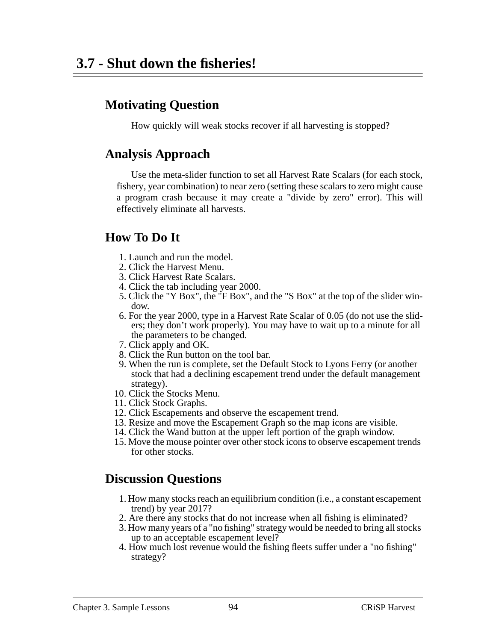How quickly will weak stocks recover if all harvesting is stopped?

#### **Analysis Approach**

Use the meta-slider function to set all Harvest Rate Scalars (for each stock, fishery, year combination) to near zero (setting these scalars to zero might cause a program crash because it may create a "divide by zero" error). This will effectively eliminate all harvests.

## **How To Do It**

- 1. Launch and run the model.
- 2. Click the Harvest Menu.
- 3. Click Harvest Rate Scalars.
- 4. Click the tab including year 2000.
- 5. Click the "Y Box", the "F Box", and the "S Box" at the top of the slider window.
- 6. For the year 2000, type in a Harvest Rate Scalar of 0.05 (do not use the sliders; they don't work properly). You may have to wait up to a minute for all the parameters to be changed.
- 7. Click apply and OK.
- 8. Click the Run button on the tool bar.
- 9. When the run is complete, set the Default Stock to Lyons Ferry (or another stock that had a declining escapement trend under the default management strategy).
- 10. Click the Stocks Menu.
- 11. Click Stock Graphs.
- 12. Click Escapements and observe the escapement trend.
- 13. Resize and move the Escapement Graph so the map icons are visible.
- 14. Click the Wand button at the upper left portion of the graph window.
- 15. Move the mouse pointer over other stock icons to observe escapement trends for other stocks.

- 1. How many stocks reach an equilibrium condition (i.e., a constant escapement trend) by year 2017?
- 2. Are there any stocks that do not increase when all fishing is eliminated?
- 3. How many years of a "no fishing" strategy would be needed to bring all stocks up to an acceptable escapement level?
- 4. How much lost revenue would the fishing fleets suffer under a "no fishing" strategy?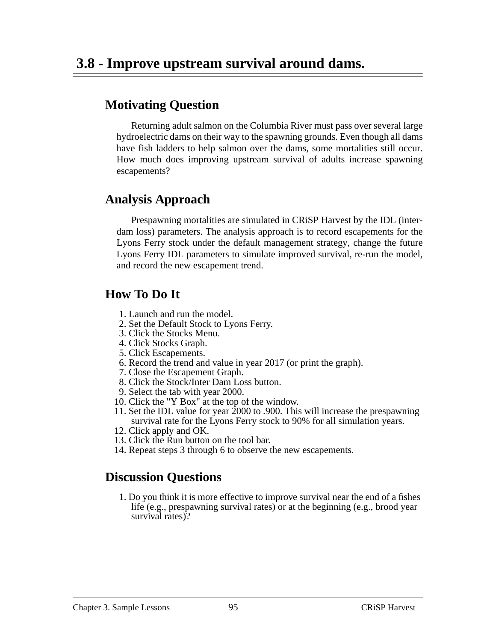Returning adult salmon on the Columbia River must pass over several large hydroelectric dams on their way to the spawning grounds. Even though all dams have fish ladders to help salmon over the dams, some mortalities still occur. How much does improving upstream survival of adults increase spawning escapements?

### **Analysis Approach**

Prespawning mortalities are simulated in CRiSP Harvest by the IDL (interdam loss) parameters. The analysis approach is to record escapements for the Lyons Ferry stock under the default management strategy, change the future Lyons Ferry IDL parameters to simulate improved survival, re-run the model, and record the new escapement trend.

### **How To Do It**

- 1. Launch and run the model.
- 2. Set the Default Stock to Lyons Ferry.
- 3. Click the Stocks Menu.
- 4. Click Stocks Graph.
- 5. Click Escapements.
- 6. Record the trend and value in year 2017 (or print the graph).
- 7. Close the Escapement Graph.
- 8. Click the Stock/Inter Dam Loss button.
- 9. Select the tab with year 2000.
- 10. Click the "Y Box" at the top of the window.
- 11. Set the IDL value for year 2000 to .900. This will increase the prespawning survival rate for the Lyons Ferry stock to 90% for all simulation years.
- 12. Click apply and OK.
- 13. Click the Run button on the tool bar.
- 14. Repeat steps 3 through 6 to observe the new escapements.

## **Discussion Questions**

1. Do you think it is more effective to improve survival near the end of a fishes life (e.g., prespawning survival rates) or at the beginning (e.g., brood year survival rates)?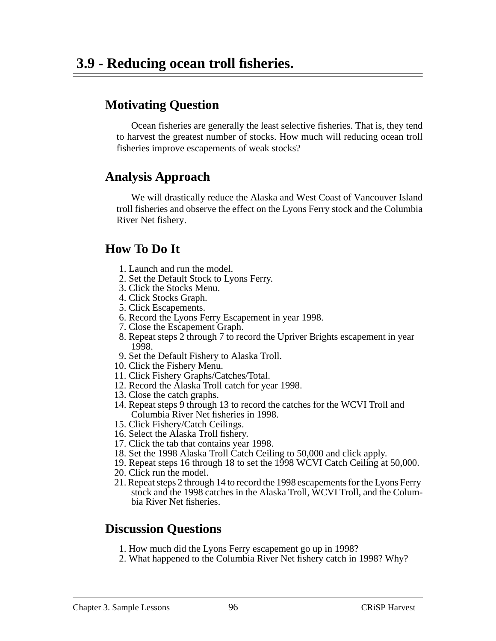Ocean fisheries are generally the least selective fisheries. That is, they tend to harvest the greatest number of stocks. How much will reducing ocean troll fisheries improve escapements of weak stocks?

#### **Analysis Approach**

We will drastically reduce the Alaska and West Coast of Vancouver Island troll fisheries and observe the effect on the Lyons Ferry stock and the Columbia River Net fishery.

### **How To Do It**

- 1. Launch and run the model.
- 2. Set the Default Stock to Lyons Ferry.
- 3. Click the Stocks Menu.
- 4. Click Stocks Graph.
- 5. Click Escapements.
- 6. Record the Lyons Ferry Escapement in year 1998.
- 7. Close the Escapement Graph.
- 8. Repeat steps 2 through 7 to record the Upriver Brights escapement in year 1998.
- 9. Set the Default Fishery to Alaska Troll.
- 10. Click the Fishery Menu.
- 11. Click Fishery Graphs/Catches/Total.
- 12. Record the Alaska Troll catch for year 1998.
- 13. Close the catch graphs.
- 14. Repeat steps 9 through 13 to record the catches for the WCVI Troll and Columbia River Net fisheries in 1998.
- 15. Click Fishery/Catch Ceilings.
- 16. Select the Alaska Troll fishery.
- 17. Click the tab that contains year 1998.
- 18. Set the 1998 Alaska Troll Catch Ceiling to 50,000 and click apply.
- 19. Repeat steps 16 through 18 to set the 1998 WCVI Catch Ceiling at 50,000.
- 20. Click run the model.
- 21. Repeat steps 2 through 14 to record the 1998 escapements for the Lyons Ferry stock and the 1998 catches in the Alaska Troll, WCVI Troll, and the Columbia River Net fisheries.

- 1. How much did the Lyons Ferry escapement go up in 1998?
- 2. What happened to the Columbia River Net fishery catch in 1998? Why?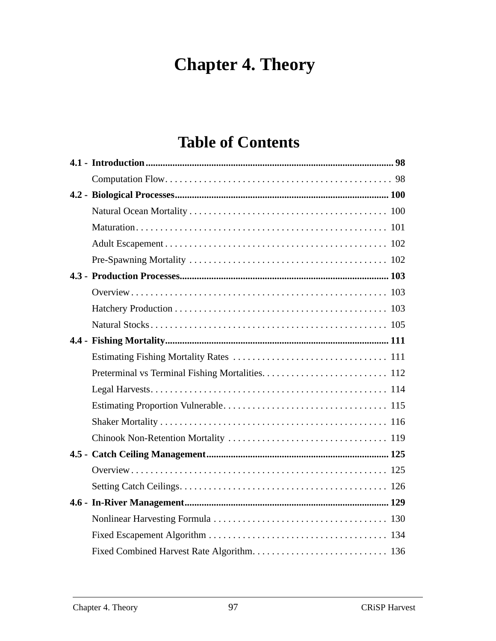# **Chapter 4. Theory**

# **Table of Contents**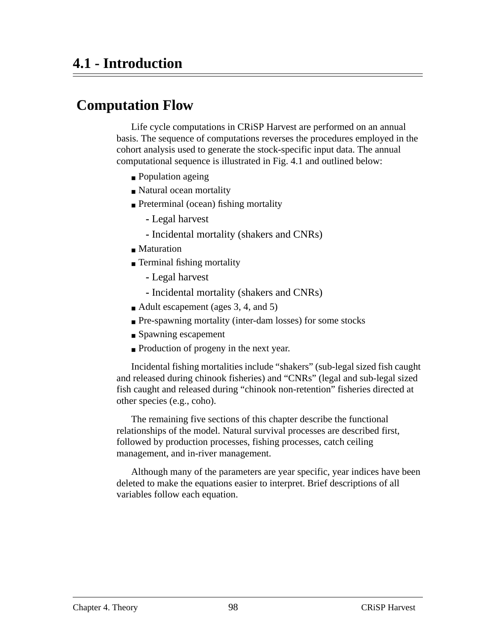# **Computation Flow**

Life cycle computations in CRiSP Harvest are performed on an annual basis. The sequence of computations reverses the procedures employed in the cohort analysis used to generate the stock-specific input data. The annual computational sequence is illustrated in [Fig. 4.1](#page-98-0) and outlined below:

- Population ageing
- Natural ocean mortality
- Preterminal (ocean) fishing mortality
	- **-** Legal harvest
	- **-** Incidental mortality (shakers and CNRs)
- Maturation
- Terminal fishing mortality
	- **-** Legal harvest
	- **-** Incidental mortality (shakers and CNRs)
- Adult escapement (ages 3, 4, and 5)
- Pre-spawning mortality (inter-dam losses) for some stocks
- Spawning escapement
- Production of progeny in the next year.

Incidental fishing mortalities include "shakers" (sub-legal sized fish caught and released during chinook fisheries) and "CNRs" (legal and sub-legal sized fish caught and released during "chinook non-retention" fisheries directed at other species (e.g., coho).

The remaining five sections of this chapter describe the functional relationships of the model. Natural survival processes are described first, followed by production processes, fishing processes, catch ceiling management, and in-river management.

Although many of the parameters are year specific, year indices have been deleted to make the equations easier to interpret. Brief descriptions of all variables follow each equation.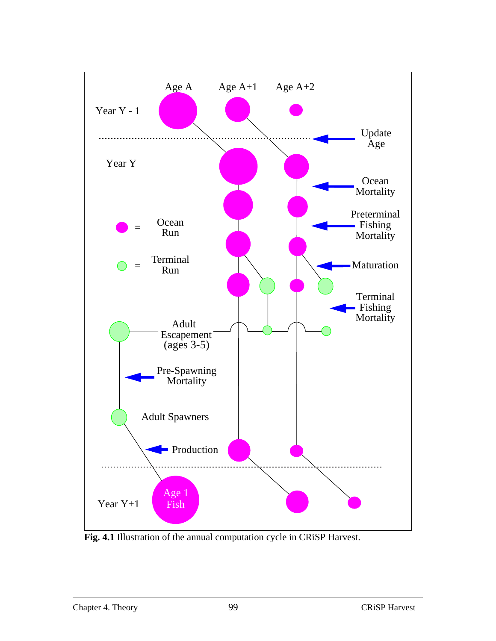<span id="page-98-0"></span>

**Fig. 4.1** Illustration of the annual computation cycle in CRiSP Harvest.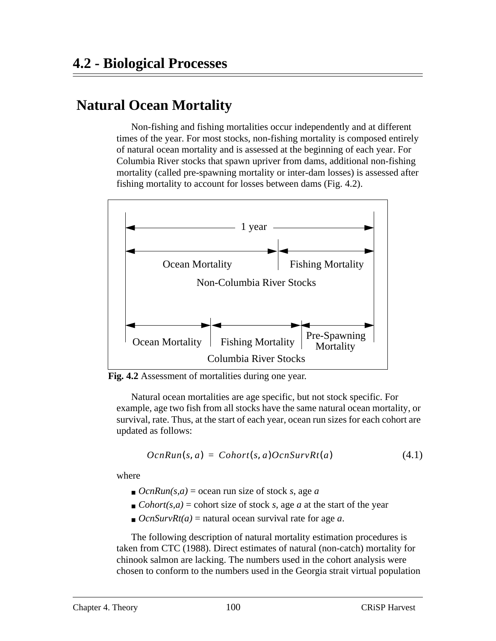# **Natural Ocean Mortality**

Non-fishing and fishing mortalities occur independently and at different times of the year. For most stocks, non-fishing mortality is composed entirely of natural ocean mortality and is assessed at the beginning of each year. For Columbia River stocks that spawn upriver from dams, additional non-fishing mortality (called pre-spawning mortality or inter-dam losses) is assessed after fishing mortality to account for losses between dams (Fig. 4.2).



**Fig. 4.2** Assessment of mortalities during one year.

Natural ocean mortalities are age specific, but not stock specific. For example, age two fish from all stocks have the same natural ocean mortality, or survival, rate. Thus, at the start of each year, ocean run sizes for each cohort are updated as follows:

$$
OcnRun(s, a) = Cohort(s, a) OcnSurvRt(a)
$$
\n(4.1)

where

- $\blacksquare$  *OcnRun(s,a)* = ocean run size of stock *s*, age *a*
- $\bullet$  *Cohort(s,a)* = cohort size of stock *s*, age *a* at the start of the year
- $\bullet$  *OcnSurvRt(a)* = natural ocean survival rate for age *a*.

The following description of natural mortality estimation procedures is taken from CTC (1988). Direct estimates of natural (non-catch) mortality for chinook salmon are lacking. The numbers used in the cohort analysis were chosen to conform to the numbers used in the Georgia strait virtual population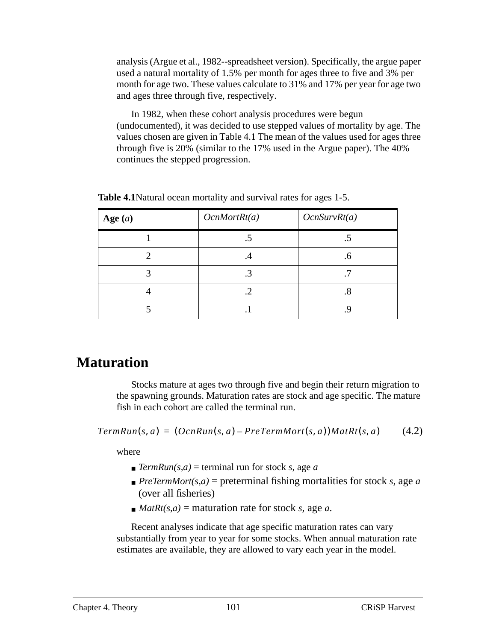analysis (Argue et al., 1982--spreadsheet version). Specifically, the argue paper used a natural mortality of 1.5% per month for ages three to five and 3% per month for age two. These values calculate to 31% and 17% per year for age two and ages three through five, respectively.

In 1982, when these cohort analysis procedures were begun (undocumented), it was decided to use stepped values of mortality by age. The values chosen are given in Table 4.1 The mean of the values used for ages three through five is 20% (similar to the 17% used in the Argue paper). The 40% continues the stepped progression.

| Age $(a)$ | OcnMortRt(a) | OcnSurvRt(a) |
|-----------|--------------|--------------|
|           |              |              |
|           | .4           | .6           |
| 3         | .3           | .7           |
|           | .2           | .8           |
|           |              |              |

**Table 4.1**Natural ocean mortality and survival rates for ages 1-5.

## **Maturation**

Stocks mature at ages two through five and begin their return migration to the spawning grounds. Maturation rates are stock and age specific. The mature fish in each cohort are called the terminal run.

(4.2)  $TermRun(s, a) = (OcnRun(s, a) - PreTermMort(s, a))Math(s, a)$ 

where

- $\blacksquare$  *TermRun(s,a)* = terminal run for stock *s*, age *a*
- $\blacksquare$  *PreTermMort(s,a)* = preterminal fishing mortalities for stock *s*, age *a* (over all fisheries)
- $M \geq M \leq R$  *MatRt(s,a)* = maturation rate for stock *s*, age *a*.

Recent analyses indicate that age specific maturation rates can vary substantially from year to year for some stocks. When annual maturation rate estimates are available, they are allowed to vary each year in the model.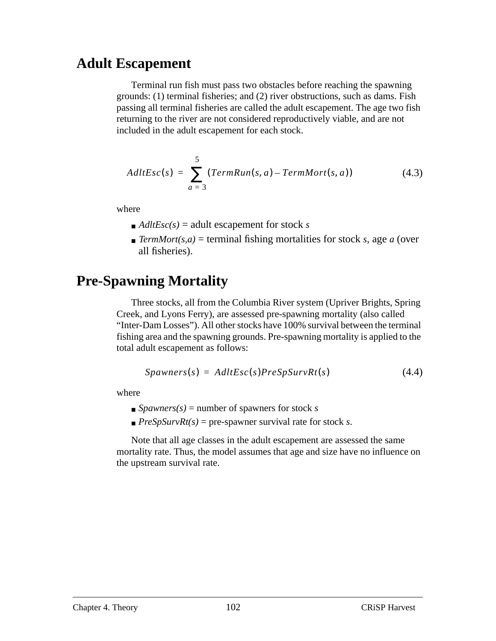## **Adult Escapement**

Terminal run fish must pass two obstacles before reaching the spawning grounds: (1) terminal fisheries; and (2) river obstructions, such as dams. Fish passing all terminal fisheries are called the adult escapement. The age two fish returning to the river are not considered reproductively viable, and are not included in the adult escapement for each stock.

$$
AdltEsc(s) = \sum_{a=3}^{5} (TermRun(s, a) - TermMort(s, a))
$$
 (4.3)

where

- $\blacksquare$  *AdltEsc(s)* = adult escapement for stock *s*
- $\blacksquare$  *TermMort(s,a)* = terminal fishing mortalities for stock *s*, age *a* (over all fisheries).

# **Pre-Spawning Mortality**

Three stocks, all from the Columbia River system (Upriver Brights, Spring Creek, and Lyons Ferry), are assessed pre-spawning mortality (also called "Inter-Dam Losses"). All other stocks have 100% survival between the terminal fishing area and the spawning grounds. Pre-spawning mortality is applied to the total adult escapement as follows:

$$
Spawners(s) = AdltEsc(s)PreSpSurvRt(s)
$$
\n(4.4)

where

- $\blacksquare$  *Spawners(s)* = number of spawners for stock *s*
- $\blacksquare$  *PreSpSurvRt(s)* = pre-spawner survival rate for stock *s*.

Note that all age classes in the adult escapement are assessed the same mortality rate. Thus, the model assumes that age and size have no influence on the upstream survival rate.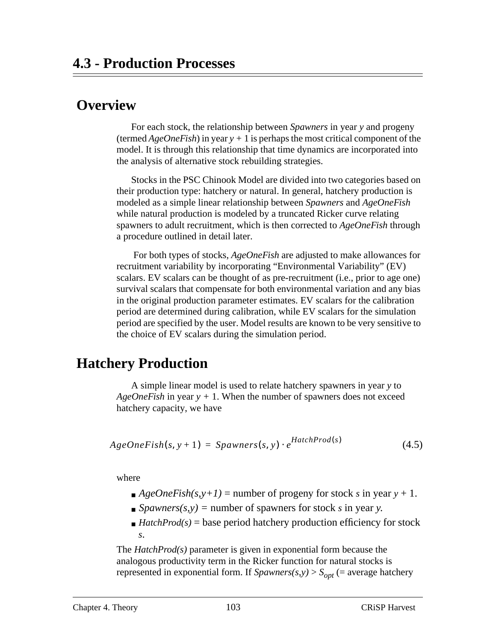# <span id="page-102-0"></span> **Overview**

For each stock, the relationship between *Spawners* in year *y* and progeny (termed *AgeOneFish*) in year *y +* 1 is perhaps the most critical component of the model. It is through this relationship that time dynamics are incorporated into the analysis of alternative stock rebuilding strategies.

Stocks in the PSC Chinook Model are divided into two categories based on their production type: hatchery or natural. In general, hatchery production is modeled as a simple linear relationship between *Spawners* and *AgeOneFish* while natural production is modeled by a truncated Ricker curve relating spawners to adult recruitment, which is then corrected to *AgeOneFish* through a procedure outlined in detail later.

 For both types of stocks, *AgeOneFish* are adjusted to make allowances for recruitment variability by incorporating "Environmental Variability" (EV) scalars. EV scalars can be thought of as pre-recruitment (i.e., prior to age one) survival scalars that compensate for both environmental variation and any bias in the original production parameter estimates. EV scalars for the calibration period are determined during calibration, while EV scalars for the simulation period are specified by the user. Model results are known to be very sensitive to the choice of EV scalars during the simulation period.

## **Hatchery Production**

A simple linear model is used to relate hatchery spawners in year *y* to *AgeOneFish* in year *y +* 1. When the number of spawners does not exceed hatchery capacity, we have

$$
AgeOneFish(s, y+1) = Spawners(s, y) \cdot e^{HatchProd(s)}
$$
\n(4.5)

where

- $\blacksquare$  *AgeOneFish(s,y+1)* = number of progeny for stock *s* in year *y* + 1.
- $\Box$  *Spawners(s,y)* = number of spawners for stock *s* in year *y*.
- $\blacksquare$  *HatchProd(s)* = base period hatchery production efficiency for stock *s*.

The *HatchProd(s)* parameter is given in exponential form because the analogous productivity term in the Ricker function for natural stocks is represented in exponential form. If  $Spawners(s,y) > S_{opt}$  (= average hatchery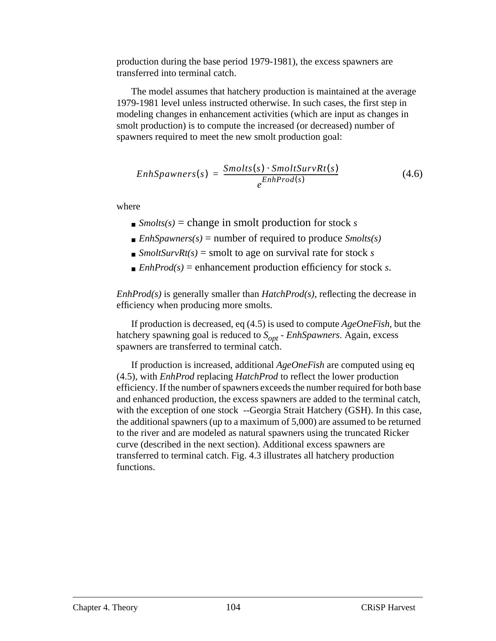production during the base period 1979-1981), the excess spawners are transferred into terminal catch.

The model assumes that hatchery production is maintained at the average 1979-1981 level unless instructed otherwise. In such cases, the first step in modeling changes in enhancement activities (which are input as changes in smolt production) is to compute the increased (or decreased) number of spawners required to meet the new smolt production goal:

$$
EnhSpawners(s) = \frac{Smolts(s) \cdot SmoltSurvRt(s)}{e^{EnhProd(s)}} \tag{4.6}
$$

where

- $\blacksquare$  *Smolts(s)* = change in smolt production for stock *s*
- $\blacksquare$  *EnhSpawners(s)* = number of required to produce *Smolts(s)*
- $\blacksquare$  *SmoltSurvRt(s)* = smolt to age on survival rate for stock *s*
- $\blacksquare$  *EnhProd(s)* = enhancement production efficiency for stock *s*.

*EnhProd(s)* is generally smaller than *HatchProd(s)*, reflecting the decrease in efficiency when producing more smolts.

If production is decreased, [eq \(4.5\)](#page-102-0) is used to compute *AgeOneFish,* but the hatchery spawning goal is reduced to  $S_{opt}$  - *EnhSpawners*. Again, excess spawners are transferred to terminal catch.

If production is increased, additional *AgeOneFish* are computed using [eq](#page-102-0) [\(4.5\),](#page-102-0) with *EnhProd* replacing *HatchProd* to reflect the lower production efficiency. If the number of spawners exceeds the number required for both base and enhanced production, the excess spawners are added to the terminal catch, with the exception of one stock --Georgia Strait Hatchery (GSH). In this case, the additional spawners (up to a maximum of 5,000) are assumed to be returned to the river and are modeled as natural spawners using the truncated Ricker curve (described in the next section). Additional excess spawners are transferred to terminal catch. [Fig. 4.3](#page-104-0) illustrates all hatchery production functions.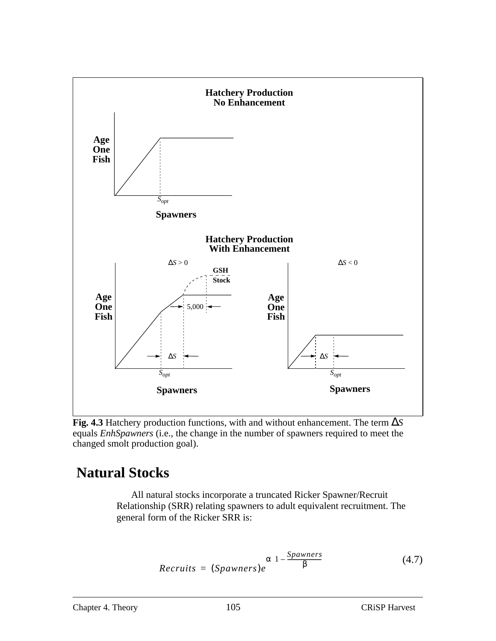<span id="page-104-0"></span>

**Fig. 4.3** Hatchery production functions, with and without enhancement. The term ∆*S* equals *EnhSpawners* (i.e., the change in the number of spawners required to meet the changed smolt production goal).

## **Natural Stocks**

All natural stocks incorporate a truncated Ricker Spawner/Recruit Relationship (SRR) relating spawners to adult equivalent recruitment. The general form of the Ricker SRR is:

$$
Recruits = (Spawners)e^{\alpha \left(1 - \frac{Spawners}{\beta}\right)} \tag{4.7}
$$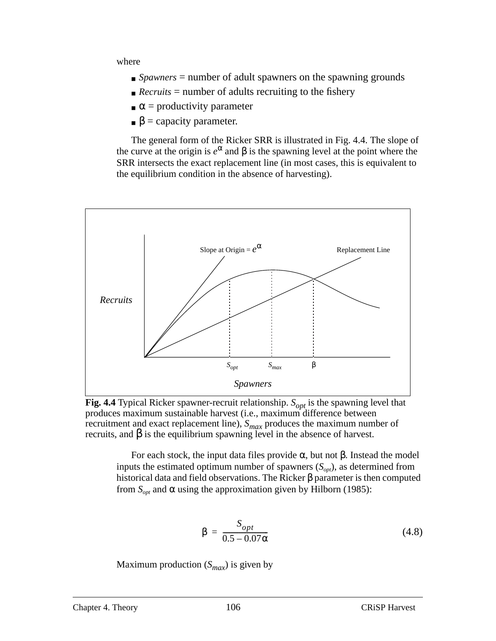where

- *Spawners* = number of adult spawners on the spawning grounds
- $\blacksquare$  *Recruits* = number of adults recruiting to the fishery
- $\alpha$  = productivity parameter
- $\beta$  = capacity parameter.

The general form of the Ricker SRR is illustrated in Fig. 4.4. The slope of the curve at the origin is  $e^{\alpha}$  and  $\beta$  is the spawning level at the point where the SRR intersects the exact replacement line (in most cases, this is equivalent to the equilibrium condition in the absence of harvesting).



**Fig. 4.4** Typical Ricker spawner-recruit relationship.  $S_{opt}$  is the spawning level that produces maximum sustainable harvest (i.e., maximum difference between recruitment and exact replacement line),  $S_{max}$  produces the maximum number of recruits, and β is the equilibrium spawning level in the absence of harvest.

For each stock, the input data files provide  $\alpha$ , but not β. Instead the model inputs the estimated optimum number of spawners  $(S<sub>out</sub>)$ , as determined from historical data and field observations. The Ricker  $\beta$  parameter is then computed from *S<sub>opt</sub>* and α using the approximation given by Hilborn (1985):

$$
\beta = \frac{S_{opt}}{0.5 - 0.07\alpha} \tag{4.8}
$$

Maximum production  $(S_{max})$  is given by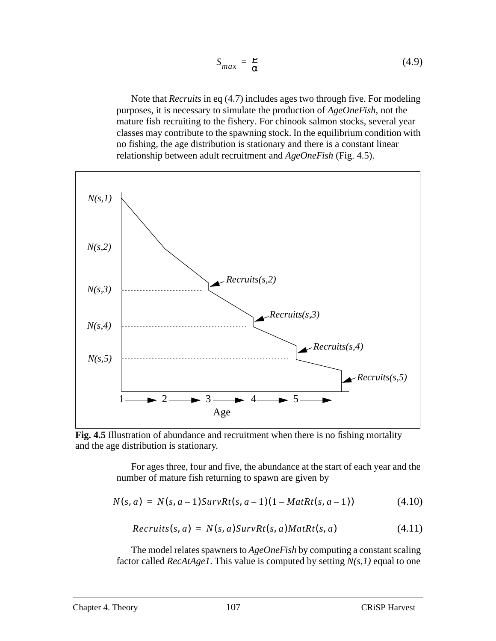$$
S_{max} = \frac{P}{\alpha} \tag{4.9}
$$

<span id="page-106-0"></span>Note that *Recruits* in [eq \(4.7\)](#page-104-0) includes ages two through five. For modeling purposes, it is necessary to simulate the production of *AgeOneFish*, not the mature fish recruiting to the fishery. For chinook salmon stocks, several year classes may contribute to the spawning stock. In the equilibrium condition with no fishing, the age distribution is stationary and there is a constant linear relationship between adult recruitment and *AgeOneFish* (Fig. 4.5).



**Fig. 4.5** Illustration of abundance and recruitment when there is no fishing mortality and the age distribution is stationary.

For ages three, four and five, the abundance at the start of each year and the number of mature fish returning to spawn are given by

$$
N(s, a) = N(s, a-1)SurvRt(s, a-1)(1 - MatRt(s, a-1))
$$
\n(4.10)

$$
Recruits(s, a) = N(s, a)SurvRt(s, a)MatRt(s, a)
$$
\n
$$
(4.11)
$$

The model relates spawners to *AgeOneFish* by computing a constant scaling factor called *RecAtAge1*. This value is computed by setting *N(s,1)* equal to one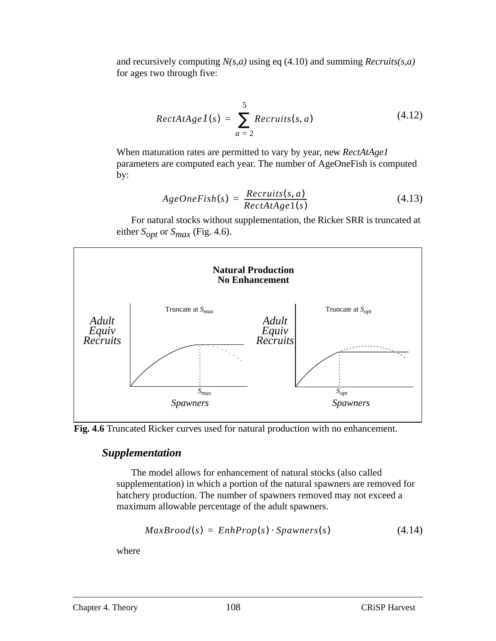and recursively computing *N(s,a)* using [eq \(4.10\)](#page-106-0) and summing *Recruits(s,a)* for ages two through five:

$$
RectAtAge1(s) = \sum_{a=2}^{5} Recruits(s, a)
$$
 (4.12)

When maturation rates are permitted to vary by year, new *RectAtAge1* parameters are computed each year. The number of AgeOneFish is computed by:

$$
AgeOneFish(s) = \frac{Recruits(s, a)}{RectAtAge1(s)}
$$
(4.13)

For natural stocks without supplementation, the Ricker SRR is truncated at either  $S_{opt}$  or  $S_{max}$  (Fig. 4.6).





#### *Supplementation*

The model allows for enhancement of natural stocks (also called supplementation) in which a portion of the natural spawners are removed for hatchery production. The number of spawners removed may not exceed a maximum allowable percentage of the adult spawners.

$$
MaxProof(s) = EnhProp(s) \cdot Spawners(s)
$$
 (4.14)

where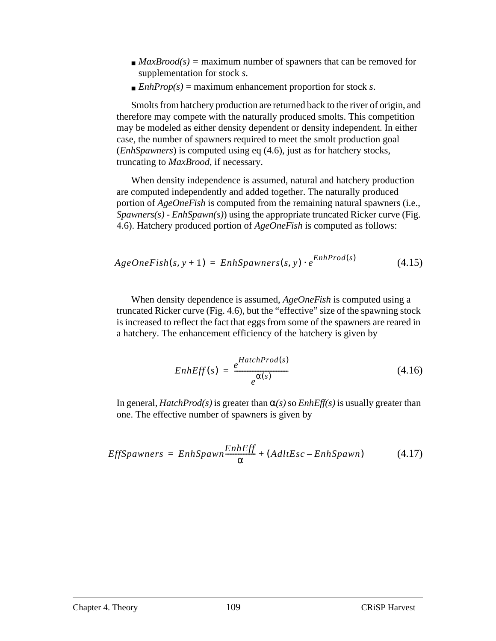- $\blacksquare$  *MaxBrood(s)* = maximum number of spawners that can be removed for supplementation for stock *s*.
- $\blacksquare$  *EnhProp(s)* = maximum enhancement proportion for stock *s*.

Smolts from hatchery production are returned back to the river of origin, and therefore may compete with the naturally produced smolts. This competition may be modeled as either density dependent or density independent. In either case, the number of spawners required to meet the smolt production goal (*EnhSpawners*) is computed using [eq \(4.6\),](#page-103-0) just as for hatchery stocks, truncating to *MaxBrood*, if necessary.

When density independence is assumed, natural and hatchery production are computed independently and added together. The naturally produced portion of *AgeOneFish* is computed from the remaining natural spawners (i.e., *Spawners(s)* - *EnhSpawn(s)*) using the appropriate truncated Ricker curve [\(Fig.](#page-107-0) [4.6](#page-107-0)). Hatchery produced portion of *AgeOneFish* is computed as follows:

$$
AgeOneFish(s, y+1) = EnhSpawners(s, y) \cdot e^{EnhProd(s)}
$$
\n(4.15)

When density dependence is assumed, *AgeOneFish* is computed using a truncated Ricker curve ([Fig. 4.6](#page-107-0)), but the "effective" size of the spawning stock is increased to reflect the fact that eggs from some of the spawners are reared in a hatchery. The enhancement efficiency of the hatchery is given by

$$
EnhEff(s) = \frac{e^{HatchProd(s)}}{e^{\alpha(s)}} \tag{4.16}
$$

In general, *HatchProd(s)* is greater than  $\alpha(s)$  so *EnhEff(s)* is usually greater than one. The effective number of spawners is given by

$$
EffSpawners = EnhSpawn \frac{EnhEff}{\alpha} + (AdtEsc - EnhSpawn) \qquad (4.17)
$$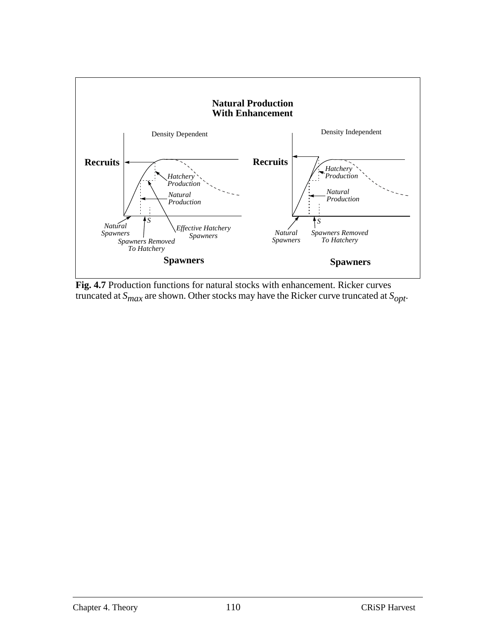

**Fig. 4.7** Production functions for natural stocks with enhancement. Ricker curves truncated at  $S_{max}$  are shown. Other stocks may have the Ricker curve truncated at  $S_{opt}$ .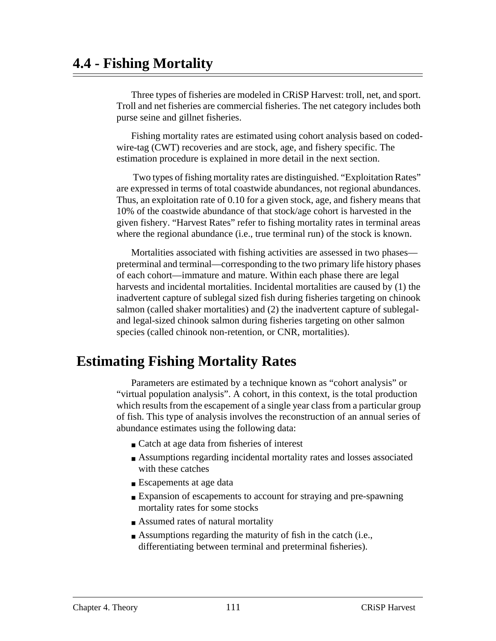# **4.4 - Fishing Mortality**

Three types of fisheries are modeled in CRiSP Harvest: troll, net, and sport. Troll and net fisheries are commercial fisheries. The net category includes both purse seine and gillnet fisheries.

Fishing mortality rates are estimated using cohort analysis based on codedwire-tag (CWT) recoveries and are stock, age, and fishery specific. The estimation procedure is explained in more detail in the next section.

 Two types of fishing mortality rates are distinguished. "Exploitation Rates" are expressed in terms of total coastwide abundances, not regional abundances. Thus, an exploitation rate of 0.10 for a given stock, age, and fishery means that 10% of the coastwide abundance of that stock/age cohort is harvested in the given fishery. "Harvest Rates" refer to fishing mortality rates in terminal areas where the regional abundance (i.e., true terminal run) of the stock is known.

Mortalities associated with fishing activities are assessed in two phases preterminal and terminal—corresponding to the two primary life history phases of each cohort—immature and mature. Within each phase there are legal harvests and incidental mortalities. Incidental mortalities are caused by (1) the inadvertent capture of sublegal sized fish during fisheries targeting on chinook salmon (called shaker mortalities) and (2) the inadvertent capture of sublegaland legal-sized chinook salmon during fisheries targeting on other salmon species (called chinook non-retention, or CNR, mortalities).

# **Estimating Fishing Mortality Rates**

Parameters are estimated by a technique known as "cohort analysis" or "virtual population analysis". A cohort, in this context, is the total production which results from the escapement of a single year class from a particular group of fish. This type of analysis involves the reconstruction of an annual series of abundance estimates using the following data:

- Catch at age data from fisheries of interest
- Assumptions regarding incidental mortality rates and losses associated with these catches
- Escapements at age data
- Expansion of escapements to account for straying and pre-spawning mortality rates for some stocks
- Assumed rates of natural mortality
- Assumptions regarding the maturity of fish in the catch (i.e., differentiating between terminal and preterminal fisheries).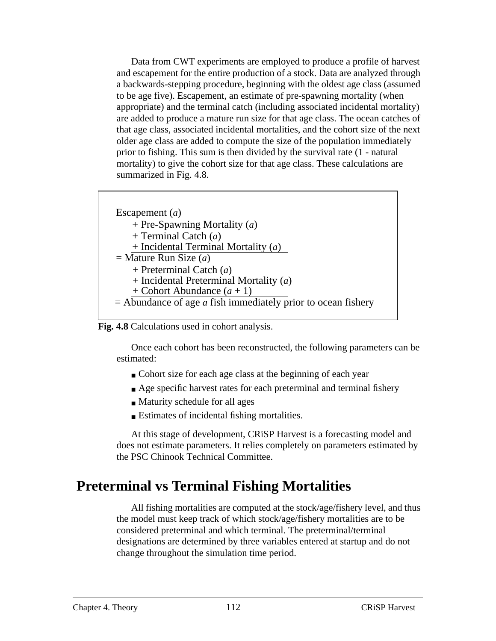Data from CWT experiments are employed to produce a profile of harvest and escapement for the entire production of a stock. Data are analyzed through a backwards-stepping procedure, beginning with the oldest age class (assumed to be age five). Escapement, an estimate of pre-spawning mortality (when appropriate) and the terminal catch (including associated incidental mortality) are added to produce a mature run size for that age class. The ocean catches of that age class, associated incidental mortalities, and the cohort size of the next older age class are added to compute the size of the population immediately prior to fishing. This sum is then divided by the survival rate (1 - natural mortality) to give the cohort size for that age class. These calculations are summarized in Fig. 4.8.

```
Escapement (a)
    + Pre-Spawning Mortality (a)
    + Terminal Catch (a)
    + Incidental Terminal Mortality (a)
= Mature Run Size (a)
    + Preterminal Catch (a)
    + Incidental Preterminal Mortality (a)
    + Cohort Abundance (a + 1)
= Abundance of age a fish immediately prior to ocean fishery
```


Once each cohort has been reconstructed, the following parameters can be estimated:

- Cohort size for each age class at the beginning of each year
- Age specific harvest rates for each preterminal and terminal fishery
- Maturity schedule for all ages
- Estimates of incidental fishing mortalities.

At this stage of development, CRiSP Harvest is a forecasting model and does not estimate parameters. It relies completely on parameters estimated by the PSC Chinook Technical Committee.

## **Preterminal vs Terminal Fishing Mortalities**

All fishing mortalities are computed at the stock/age/fishery level, and thus the model must keep track of which stock/age/fishery mortalities are to be considered preterminal and which terminal. The preterminal/terminal designations are determined by three variables entered at startup and do not change throughout the simulation time period.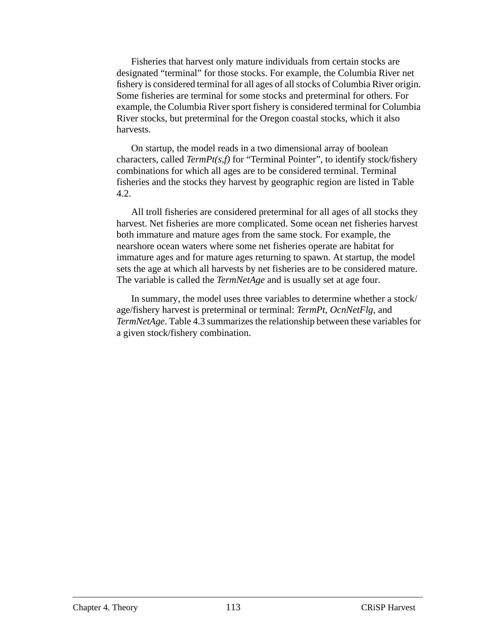Fisheries that harvest only mature individuals from certain stocks are designated "terminal" for those stocks. For example, the Columbia River net fishery is considered terminal for all ages of all stocks of Columbia River origin. Some fisheries are terminal for some stocks and preterminal for others. For example, the Columbia River sport fishery is considered terminal for Columbia River stocks, but preterminal for the Oregon coastal stocks, which it also harvests.

On startup, the model reads in a two dimensional array of boolean characters, called *TermPt(s,f)* for "Terminal Pointer", to identify stock/fishery combinations for which all ages are to be considered terminal. Terminal fisheries and the stocks they harvest by geographic region are listed in [Table](#page-113-0) [4.2.](#page-113-0)

All troll fisheries are considered preterminal for all ages of all stocks they harvest. Net fisheries are more complicated. Some ocean net fisheries harvest both immature and mature ages from the same stock. For example, the nearshore ocean waters where some net fisheries operate are habitat for immature ages and for mature ages returning to spawn. At startup, the model sets the age at which all harvests by net fisheries are to be considered mature. The variable is called the *TermNetAge* and is usually set at age four.

In summary, the model uses three variables to determine whether a stock/ age/fishery harvest is preterminal or terminal: *TermPt*, *OcnNetFlg*, and *TermNetAge*. [Table 4.3](#page-113-0) summarizes the relationship between these variables for a given stock/fishery combination.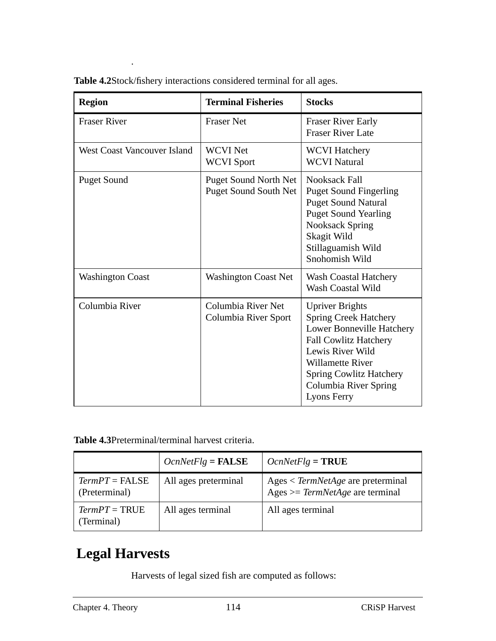| <b>Region</b>               | <b>Terminal Fisheries</b>                                    | <b>Stocks</b>                                                                                                                                                                                                                                |
|-----------------------------|--------------------------------------------------------------|----------------------------------------------------------------------------------------------------------------------------------------------------------------------------------------------------------------------------------------------|
| <b>Fraser River</b>         | <b>Fraser Net</b>                                            | <b>Fraser River Early</b><br><b>Fraser River Late</b>                                                                                                                                                                                        |
| West Coast Vancouver Island | <b>WCVI Net</b><br><b>WCVI</b> Sport                         | <b>WCVI Hatchery</b><br><b>WCVI Natural</b>                                                                                                                                                                                                  |
| <b>Puget Sound</b>          | <b>Puget Sound North Net</b><br><b>Puget Sound South Net</b> | <b>Nooksack Fall</b><br><b>Puget Sound Fingerling</b><br><b>Puget Sound Natural</b><br><b>Puget Sound Yearling</b><br><b>Nooksack Spring</b><br>Skagit Wild<br>Stillaguamish Wild<br>Snohomish Wild                                          |
| <b>Washington Coast</b>     | <b>Washington Coast Net</b>                                  | <b>Wash Coastal Hatchery</b><br>Wash Coastal Wild                                                                                                                                                                                            |
| Columbia River              | Columbia River Net<br>Columbia River Sport                   | <b>Upriver Brights</b><br><b>Spring Creek Hatchery</b><br>Lower Bonneville Hatchery<br><b>Fall Cowlitz Hatchery</b><br>Lewis River Wild<br><b>Willamette River</b><br><b>Spring Cowlitz Hatchery</b><br>Columbia River Spring<br>Lyons Ferry |

<span id="page-113-0"></span>

| Table 4.2Stock/fishery interactions considered terminal for all ages. |  |  |
|-----------------------------------------------------------------------|--|--|
|                                                                       |  |  |

.

**Table 4.3**Preterminal/terminal harvest criteria.

|                                   | $OcnNetFlag = FALSE$ | $OcnNetFlag = \textbf{TRUE}$                                                |
|-----------------------------------|----------------------|-----------------------------------------------------------------------------|
| $TermPT = FALSE$<br>(Preterminal) | All ages preterminal | $Ages < TermNetAge are prefer minimal$<br>Ages $>=$ TermNetAge are terminal |
| $TermPT = TRUE$<br>(Terminal)     | All ages terminal    | All ages terminal                                                           |

# **Legal Harvests**

Harvests of legal sized fish are computed as follows: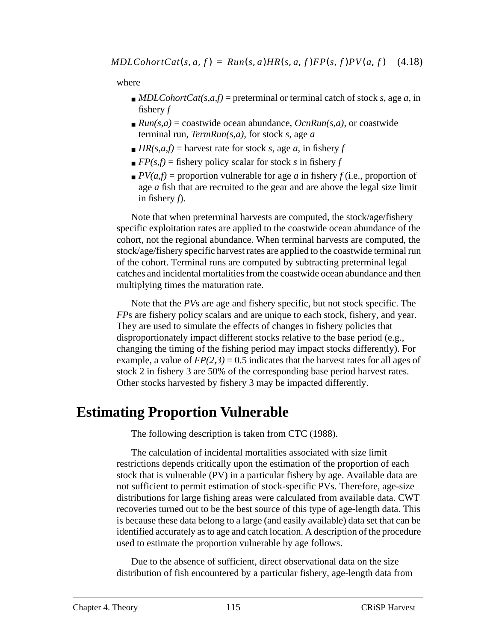where

- $\blacksquare$  *MDLCohortCat(s,a,f)* = preterminal or terminal catch of stock *s*, age *a*, in fishery *f*
- $\blacksquare$  *Run(s,a)* = coastwide ocean abundance, *OcnRun(s,a)*, or coastwide terminal run, *TermRun(s,a),* for stock *s*, age *a*
- $H R(s, a, f) =$  harvest rate for stock *s*, age *a*, in fishery *f*
- $\blacksquare$  *FP(s,f)* = fishery policy scalar for stock *s* in fishery *f*
- $\blacksquare$  *PV(a,f)* = proportion vulnerable for age *a* in fishery *f* (i.e., proportion of age *a* fish that are recruited to the gear and are above the legal size limit in fishery *f*).

Note that when preterminal harvests are computed, the stock/age/fishery specific exploitation rates are applied to the coastwide ocean abundance of the cohort, not the regional abundance. When terminal harvests are computed, the stock/age/fishery specific harvest rates are applied to the coastwide terminal run of the cohort. Terminal runs are computed by subtracting preterminal legal catches and incidental mortalities from the coastwide ocean abundance and then multiplying times the maturation rate.

Note that the *PV*s are age and fishery specific, but not stock specific. The *FPs* are fishery policy scalars and are unique to each stock, fishery, and year. They are used to simulate the effects of changes in fishery policies that disproportionately impact different stocks relative to the base period (e.g., changing the timing of the fishing period may impact stocks differently). For example, a value of  $FP(2,3) = 0.5$  indicates that the harvest rates for all ages of stock 2 in fishery 3 are 50% of the corresponding base period harvest rates. Other stocks harvested by fishery 3 may be impacted differently.

# **Estimating Proportion Vulnerable**

The following description is taken from CTC (1988).

The calculation of incidental mortalities associated with size limit restrictions depends critically upon the estimation of the proportion of each stock that is vulnerable (PV) in a particular fishery by age. Available data are not sufficient to permit estimation of stock-specific PVs. Therefore, age-size distributions for large fishing areas were calculated from available data. CWT recoveries turned out to be the best source of this type of age-length data. This is because these data belong to a large (and easily available) data set that can be identified accurately as to age and catch location. A description of the procedure used to estimate the proportion vulnerable by age follows.

Due to the absence of sufficient, direct observational data on the size distribution of fish encountered by a particular fishery, age-length data from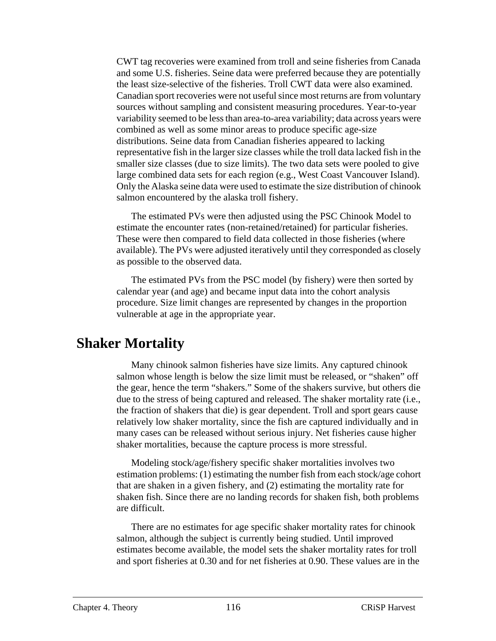CWT tag recoveries were examined from troll and seine fisheries from Canada and some U.S. fisheries. Seine data were preferred because they are potentially the least size-selective of the fisheries. Troll CWT data were also examined. Canadian sport recoveries were not useful since most returns are from voluntary sources without sampling and consistent measuring procedures. Year-to-year variability seemed to be less than area-to-area variability; data across years were combined as well as some minor areas to produce specific age-size distributions. Seine data from Canadian fisheries appeared to lacking representative fish in the larger size classes while the troll data lacked fish in the smaller size classes (due to size limits). The two data sets were pooled to give large combined data sets for each region (e.g., West Coast Vancouver Island). Only the Alaska seine data were used to estimate the size distribution of chinook salmon encountered by the alaska troll fishery.

The estimated PVs were then adjusted using the PSC Chinook Model to estimate the encounter rates (non-retained/retained) for particular fisheries. These were then compared to field data collected in those fisheries (where available). The PVs were adjusted iteratively until they corresponded as closely as possible to the observed data.

The estimated PVs from the PSC model (by fishery) were then sorted by calendar year (and age) and became input data into the cohort analysis procedure. Size limit changes are represented by changes in the proportion vulnerable at age in the appropriate year.

## **Shaker Mortality**

Many chinook salmon fisheries have size limits. Any captured chinook salmon whose length is below the size limit must be released, or "shaken" off the gear, hence the term "shakers." Some of the shakers survive, but others die due to the stress of being captured and released. The shaker mortality rate (i.e., the fraction of shakers that die) is gear dependent. Troll and sport gears cause relatively low shaker mortality, since the fish are captured individually and in many cases can be released without serious injury. Net fisheries cause higher shaker mortalities, because the capture process is more stressful.

Modeling stock/age/fishery specific shaker mortalities involves two estimation problems: (1) estimating the number fish from each stock/age cohort that are shaken in a given fishery, and (2) estimating the mortality rate for shaken fish. Since there are no landing records for shaken fish, both problems are difficult.

There are no estimates for age specific shaker mortality rates for chinook salmon, although the subject is currently being studied. Until improved estimates become available, the model sets the shaker mortality rates for troll and sport fisheries at 0.30 and for net fisheries at 0.90. These values are in the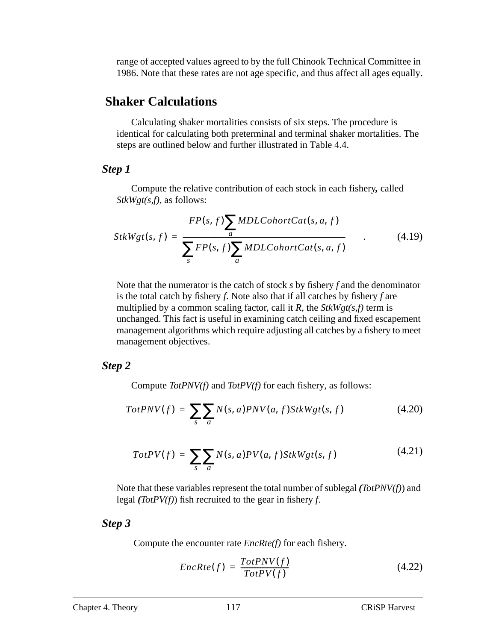range of accepted values agreed to by the full Chinook Technical Committee in 1986. Note that these rates are not age specific, and thus affect all ages equally.

### **Shaker Calculations**

Calculating shaker mortalities consists of six steps. The procedure is identical for calculating both preterminal and terminal shaker mortalities. The steps are outlined below and further illustrated in [Table 4.4.](#page-118-0)

#### *Step 1*

Compute the relative contribution of each stock in each fishery*,* called *StkWgt(s,f)*, as follows:

$$
StkWgt(s, f) = \frac{FP(s, f) \sum_{a} MDLColorCat(s, a, f)}{\sum_{s} FP(s, f) \sum_{a} MDLColorCat(s, a, f)}
$$
(4.19)

Note that the numerator is the catch of stock *s* by fishery *f* and the denominator is the total catch by fishery *f*. Note also that if all catches by fishery *f* are multiplied by a common scaling factor, call it *R*, the *StkWgt(s,f)* term is unchanged. This fact is useful in examining catch ceiling and fixed escapement management algorithms which require adjusting all catches by a fishery to meet management objectives.

#### *Step 2*

Compute *TotPNV(f)* and *TotPV(f)* for each fishery, as follows:

$$
TotPNV(f) = \sum_{s} \sum_{a} N(s, a)PNV(a, f)StkWgt(s, f)
$$
\n(4.20)

$$
TotPV(f) = \sum_{s} \sum_{a} N(s, a) PV(a, f) StkWgt(s, f)
$$
\n(4.21)

Note that these variables represent the total number of sublegal *(TotPNV(f)*) and legal *(TotPV(f)*) fish recruited to the gear in fishery *f*.

#### *Step 3*

Compute the encounter rate *EncRte(f)* for each fishery.

$$
EncRte(f) = \frac{TotPNV(f)}{TotPV(f)}
$$
(4.22)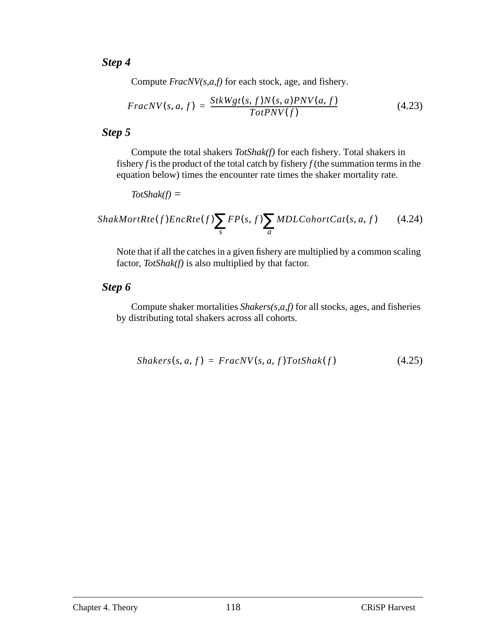### *Step 4*

Compute *FracNV(s,a,f)* for each stock, age, and fishery.

$$
FracNV(s, a, f) = \frac{StkWgt(s, f)N(s, a)PNV(a, f)}{TotPNV(f)}
$$
(4.23)

### *Step 5*

Compute the total shakers *TotShak(f)* for each fishery. Total shakers in fishery *f* is the product of the total catch by fishery *f* (the summation terms in the equation below) times the encounter rate times the shaker mortality rate.

$$
TotShak(f) =
$$

$$
ShakMortRte(f)EncRte(f) \sum_{s} FP(s, f) \sum_{a} MDLCohortCat(s, a, f)
$$
 (4.24)

Note that if all the catches in a given fishery are multiplied by a common scaling factor, *TotShak(f)* is also multiplied by that factor.

### *Step 6*

Compute shaker mortalities *Shakers(s,a,f)* for all stocks, ages, and fisheries by distributing total shakers across all cohorts.

$$
Shakers(s, a, f) = FracNV(s, a, f)TotShak(f)
$$
\n(4.25)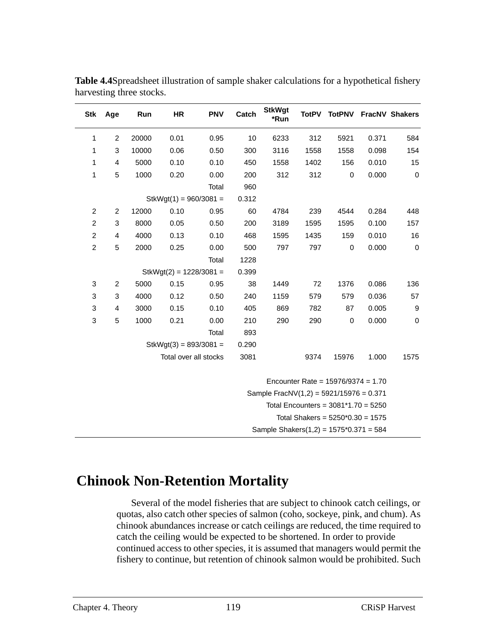| <b>Stk</b>     | Age                                     | Run   | HR                        | <b>PNV</b> | Catch | <b>StkWgt</b><br>*Run                     | <b>TotPV</b>                         | <b>TotPNV</b> |       | FracNV Shakers   |
|----------------|-----------------------------------------|-------|---------------------------|------------|-------|-------------------------------------------|--------------------------------------|---------------|-------|------------------|
| 1              | $\overline{c}$                          | 20000 | 0.01                      | 0.95       | 10    | 6233                                      | 312                                  | 5921          | 0.371 | 584              |
| 1              | 3                                       | 10000 | 0.06                      | 0.50       | 300   | 3116                                      | 1558                                 | 1558          | 0.098 | 154              |
| 1              | 4                                       | 5000  | 0.10                      | 0.10       | 450   | 1558                                      | 1402                                 | 156           | 0.010 | 15               |
| 1              | 5                                       | 1000  | 0.20                      | 0.00       | 200   | 312                                       | 312                                  | $\mathbf 0$   | 0.000 | $\mathbf 0$      |
|                |                                         |       |                           | Total      | 960   |                                           |                                      |               |       |                  |
|                |                                         |       | $StkWgt(1) = 960/3081 =$  |            | 0.312 |                                           |                                      |               |       |                  |
| $\overline{c}$ | $\overline{c}$                          | 12000 | 0.10                      | 0.95       | 60    | 4784                                      | 239                                  | 4544          | 0.284 | 448              |
| $\overline{c}$ | 3                                       | 8000  | 0.05                      | 0.50       | 200   | 3189                                      | 1595                                 | 1595          | 0.100 | 157              |
| $\overline{c}$ | 4                                       | 4000  | 0.13                      | 0.10       | 468   | 1595                                      | 1435                                 | 159           | 0.010 | 16               |
| $\overline{c}$ | 5                                       | 2000  | 0.25                      | 0.00       | 500   | 797                                       | 797                                  | $\mathbf 0$   | 0.000 | $\mathbf 0$      |
|                |                                         |       |                           | Total      | 1228  |                                           |                                      |               |       |                  |
|                |                                         |       | StkWgt(2) = $1228/3081$ = |            | 0.399 |                                           |                                      |               |       |                  |
| 3              | 2                                       | 5000  | 0.15                      | 0.95       | 38    | 1449                                      | 72                                   | 1376          | 0.086 | 136              |
| 3              | 3                                       | 4000  | 0.12                      | 0.50       | 240   | 1159                                      | 579                                  | 579           | 0.036 | 57               |
| 3              | 4                                       | 3000  | 0.15                      | 0.10       | 405   | 869                                       | 782                                  | 87            | 0.005 | $\boldsymbol{9}$ |
| 3              | 5                                       | 1000  | 0.21                      | 0.00       | 210   | 290                                       | 290                                  | $\mathbf 0$   | 0.000 | $\mathbf 0$      |
|                |                                         |       |                           | Total      | 893   |                                           |                                      |               |       |                  |
|                |                                         |       | $StkWgt(3) = 893/3081 =$  |            | 0.290 |                                           |                                      |               |       |                  |
|                |                                         |       | Total over all stocks     |            | 3081  |                                           | 9374                                 | 15976         | 1.000 | 1575             |
|                |                                         |       |                           |            |       |                                           | Encounter Rate = $15976/9374 = 1.70$ |               |       |                  |
|                | Sample FracNV(1,2) = 5921/15976 = 0.371 |       |                           |            |       |                                           |                                      |               |       |                  |
|                | Total Encounters = $3081*1.70 = 5250$   |       |                           |            |       |                                           |                                      |               |       |                  |
|                | Total Shakers = $5250*0.30 = 1575$      |       |                           |            |       |                                           |                                      |               |       |                  |
|                |                                         |       |                           |            |       | Sample Shakers $(1,2) = 1575*0.371 = 584$ |                                      |               |       |                  |

<span id="page-118-0"></span>**Table 4.4**Spreadsheet illustration of sample shaker calculations for a hypothetical fishery harvesting three stocks.

# **Chinook Non-Retention Mortality**

Several of the model fisheries that are subject to chinook catch ceilings, or quotas, also catch other species of salmon (coho, sockeye, pink, and chum). As chinook abundances increase or catch ceilings are reduced, the time required to catch the ceiling would be expected to be shortened. In order to provide continued access to other species, it is assumed that managers would permit the fishery to continue, but retention of chinook salmon would be prohibited. Such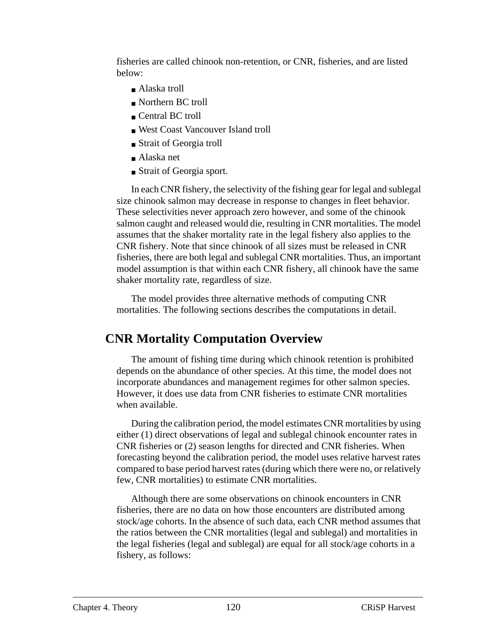fisheries are called chinook non-retention, or CNR, fisheries, and are listed below:

- Alaska troll
- Northern BC troll
- Central BC troll
- West Coast Vancouver Island troll
- Strait of Georgia troll
- Alaska net
- Strait of Georgia sport.

In each CNR fishery, the selectivity of the fishing gear for legal and sublegal size chinook salmon may decrease in response to changes in fleet behavior. These selectivities never approach zero however, and some of the chinook salmon caught and released would die, resulting in CNR mortalities. The model assumes that the shaker mortality rate in the legal fishery also applies to the CNR fishery. Note that since chinook of all sizes must be released in CNR fisheries, there are both legal and sublegal CNR mortalities. Thus, an important model assumption is that within each CNR fishery, all chinook have the same shaker mortality rate, regardless of size.

The model provides three alternative methods of computing CNR mortalities. The following sections describes the computations in detail.

### **CNR Mortality Computation Overview**

The amount of fishing time during which chinook retention is prohibited depends on the abundance of other species. At this time, the model does not incorporate abundances and management regimes for other salmon species. However, it does use data from CNR fisheries to estimate CNR mortalities when available.

During the calibration period, the model estimates CNR mortalities by using either (1) direct observations of legal and sublegal chinook encounter rates in CNR fisheries or (2) season lengths for directed and CNR fisheries. When forecasting beyond the calibration period, the model uses relative harvest rates compared to base period harvest rates (during which there were no, or relatively few, CNR mortalities) to estimate CNR mortalities.

Although there are some observations on chinook encounters in CNR fisheries, there are no data on how those encounters are distributed among stock/age cohorts. In the absence of such data, each CNR method assumes that the ratios between the CNR mortalities (legal and sublegal) and mortalities in the legal fisheries (legal and sublegal) are equal for all stock/age cohorts in a fishery, as follows: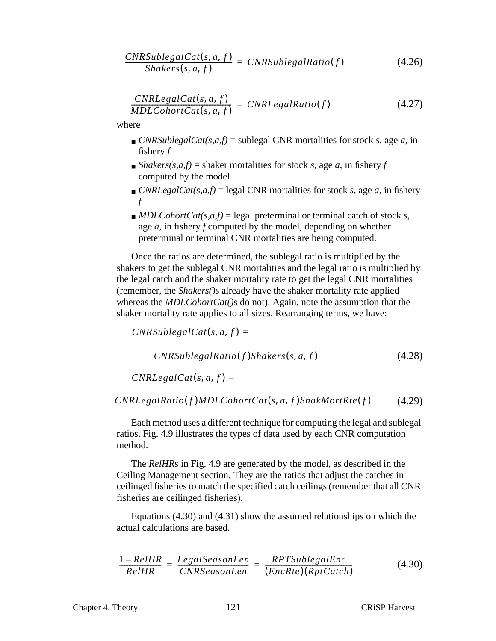$$
\frac{CNRSublegalCat(s, a, f)}{Shakers(s, a, f)} = CNRSublegalRatio(f)
$$
\n(4.26)

$$
\frac{CNRLegendt(s, a, f)}{MDLCohortCat(s, a, f)} = CNRLegendt(s, a, f) \qquad (4.27)
$$

where

- *CNRSublegalCat(s,a,f)* = sublegal CNR mortalities for stock *s*, age *a*, in fishery *f*
- $\blacksquare$  *Shakers(s,a,f)* = shaker mortalities for stock *s*, age *a*, in fishery *f* computed by the model
- *CNRLegalCat(s,a,f)* = legal CNR mortalities for stock *s*, age *a*, in fishery *f*
- $\blacksquare$  *MDLCohortCat(s,a,f)* = legal preterminal or terminal catch of stock *s*, age *a*, in fishery *f* computed by the model, depending on whether preterminal or terminal CNR mortalities are being computed.

Once the ratios are determined, the sublegal ratio is multiplied by the shakers to get the sublegal CNR mortalities and the legal ratio is multiplied by the legal catch and the shaker mortality rate to get the legal CNR mortalities (remember, the *Shakers()*s already have the shaker mortality rate applied whereas the *MDLCohortCat()*s do not). Again, note the assumption that the shaker mortality rate applies to all sizes. Rearranging terms, we have:

```
CNRSublegalCat(s, a, f) =(4.28)
    CNRSuble galRatio(f) Shakespeare(s, a, f)
```
 $CNRLegalCat(s, a, f) =$ 

(4.29)  $CNRLegalRatio (f) MDLCohortCat(s, a, f) ShakMortRte (f)$ 

Each method uses a different technique for computing the legal and sublegal ratios. [Fig. 4.9](#page-121-0) illustrates the types of data used by each CNR computation method.

The *RelHR*s in [Fig. 4.9](#page-121-0) are generated by the model, as described in the Ceiling Management section. They are the ratios that adjust the catches in ceilinged fisheries to match the specified catch ceilings (remember that all CNR fisheries are ceilinged fisheries).

Equations (4.30) and [\(4.31\)](#page-121-0) show the assumed relationships on which the actual calculations are based.

$$
\frac{1 - RelHR}{RelHR} = \frac{LegalSeasonLen}{CNRSeasonLen} = \frac{RPTSublegalEnc}{(EncRte)(RptCatch)}
$$
(4.30)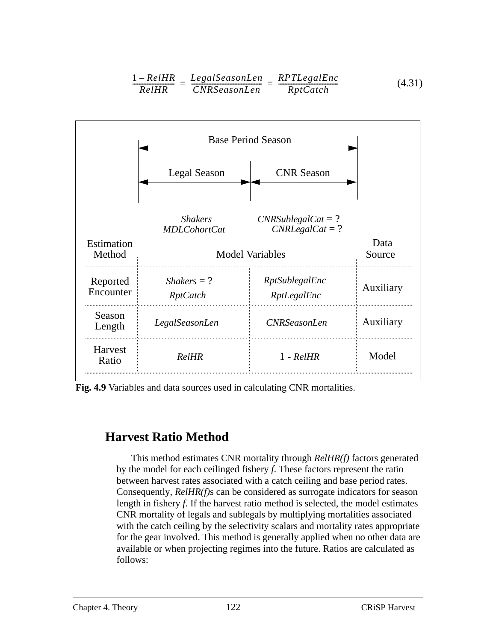$$
\frac{1 - RelHR}{RelHR} = \frac{LegalSeasonLen}{CNRSeasonLen} = \frac{RPTLegalEnc}{RptCatch}
$$
(4.31)

<span id="page-121-0"></span>

**Fig. 4.9** Variables and data sources used in calculating CNR mortalities.

### **Harvest Ratio Method**

This method estimates CNR mortality through *RelHR(f)* factors generated by the model for each ceilinged fishery *f*. These factors represent the ratio between harvest rates associated with a catch ceiling and base period rates. Consequently, *RelHR(f)*s can be considered as surrogate indicators for season length in fishery *f*. If the harvest ratio method is selected, the model estimates CNR mortality of legals and sublegals by multiplying mortalities associated with the catch ceiling by the selectivity scalars and mortality rates appropriate for the gear involved. This method is generally applied when no other data are available or when projecting regimes into the future. Ratios are calculated as follows: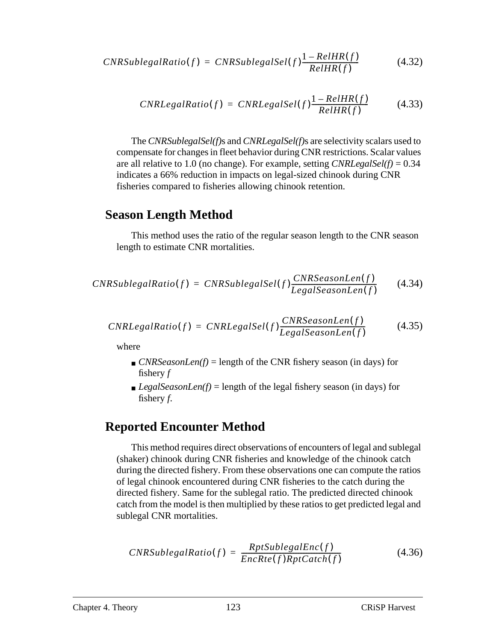$$
CNRSuble galRatio(f) = CNRSuble galSel(f) \frac{1-RelHR(f)}{RelHR(f)}
$$
(4.32)

$$
CNRLegalRatio(f) = CNRLegalSel(f) \frac{1-RelHR(f)}{RelHR(f)}
$$
(4.33)

The *CNRSublegalSel(f)*s and *CNRLegalSel(f)*s are selectivity scalars used to compensate for changes in fleet behavior during CNR restrictions. Scalar values are all relative to 1.0 (no change). For example, setting *CNRLegalSel(f)* = 0.34 indicates a 66% reduction in impacts on legal-sized chinook during CNR fisheries compared to fisheries allowing chinook retention.

### **Season Length Method**

This method uses the ratio of the regular season length to the CNR season length to estimate CNR mortalities.

$$
CNRSublegalRatio(f) = CNRSublegalSel(f) \frac{CNRSeasonLen(f)}{LegalSeasonLen(f)}
$$
(4.34)

$$
CNRLegalRatio(f) = CNRLegalSel(f) \frac{CNRSeasonLen(f)}{LegalSeasonLen(f)}
$$
(4.35)

where

- $\blacksquare$  *CNRSeasonLen(f)* = length of the CNR fishery season (in days) for fishery *f*
- *LegalSeasonLen(f)* = length of the legal fishery season (in days) for fishery *f*.

### **Reported Encounter Method**

This method requires direct observations of encounters of legal and sublegal (shaker) chinook during CNR fisheries and knowledge of the chinook catch during the directed fishery. From these observations one can compute the ratios of legal chinook encountered during CNR fisheries to the catch during the directed fishery. Same for the sublegal ratio. The predicted directed chinook catch from the model is then multiplied by these ratios to get predicted legal and sublegal CNR mortalities.

$$
CNRSublegalRatio(f) = \frac{RptSublegalEnc(f)}{EncRet(f)RptCatch(f)}
$$
(4.36)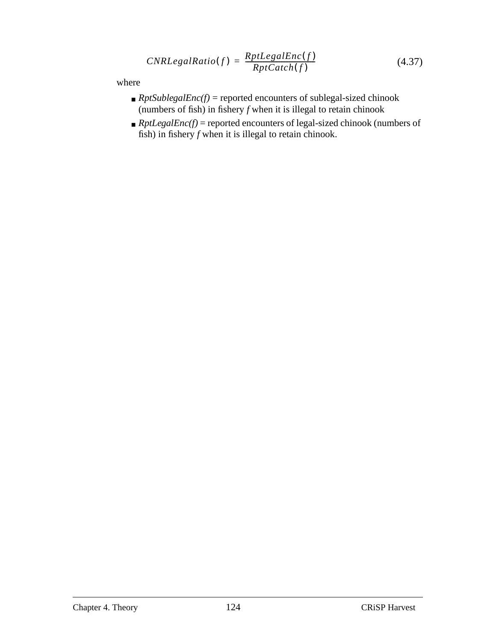$$
CNRLegalRatio(f) = \frac{RptLegalEnc(f)}{Rpt Catch(f)}
$$
\n(4.37)

where

- $\blacksquare$  *RptSublegalEnc(f)* = reported encounters of sublegal-sized chinook (numbers of fish) in fishery  $f$  when it is illegal to retain chinook
- $\blacksquare$  *RptLegalEnc(f)* = reported encounters of legal-sized chinook (numbers of fish) in fishery *f* when it is illegal to retain chinook.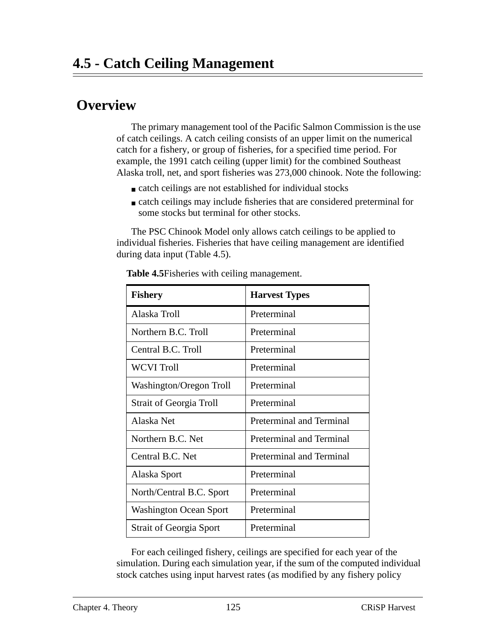# **Overview**

The primary management tool of the Pacific Salmon Commission is the use of catch ceilings. A catch ceiling consists of an upper limit on the numerical catch for a fishery, or group of fisheries, for a specified time period. For example, the 1991 catch ceiling (upper limit) for the combined Southeast Alaska troll, net, and sport fisheries was 273,000 chinook. Note the following:

- catch ceilings are not established for individual stocks
- catch ceilings may include fisheries that are considered preterminal for some stocks but terminal for other stocks.

The PSC Chinook Model only allows catch ceilings to be applied to individual fisheries. Fisheries that have ceiling management are identified during data input (Table 4.5).

| <b>Fishery</b>                 | <b>Harvest Types</b>            |
|--------------------------------|---------------------------------|
| Alaska Troll                   | Preterminal                     |
| Northern B.C. Troll            | Preterminal                     |
| Central B.C. Troll             | Preterminal                     |
| <b>WCVI Troll</b>              | Preterminal                     |
| Washington/Oregon Troll        | Preterminal                     |
| <b>Strait of Georgia Troll</b> | Preterminal                     |
| Alaska Net                     | <b>Preterminal and Terminal</b> |
| Northern B.C. Net              | Preterminal and Terminal        |
| Central B.C. Net               | Preterminal and Terminal        |
| Alaska Sport                   | Preterminal                     |
| North/Central B.C. Sport       | Preterminal                     |
| <b>Washington Ocean Sport</b>  | Preterminal                     |
| <b>Strait of Georgia Sport</b> | Preterminal                     |

**Table 4.5**Fisheries with ceiling management.

For each ceilinged fishery, ceilings are specified for each year of the simulation. During each simulation year, if the sum of the computed individual stock catches using input harvest rates (as modified by any fishery policy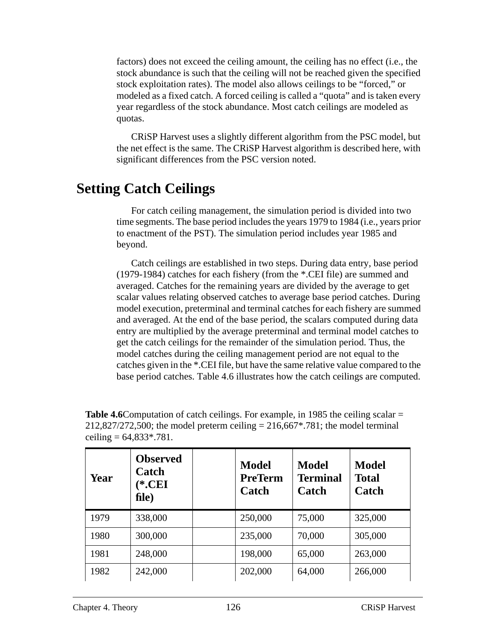factors) does not exceed the ceiling amount, the ceiling has no effect (i.e., the stock abundance is such that the ceiling will not be reached given the specified stock exploitation rates). The model also allows ceilings to be "forced," or modeled as a fixed catch. A forced ceiling is called a "quota" and is taken every year regardless of the stock abundance. Most catch ceilings are modeled as quotas.

CRiSP Harvest uses a slightly different algorithm from the PSC model, but the net effect is the same. The CRiSP Harvest algorithm is described here, with significant differences from the PSC version noted.

## **Setting Catch Ceilings**

For catch ceiling management, the simulation period is divided into two time segments. The base period includes the years 1979 to 1984 (i.e., years prior to enactment of the PST). The simulation period includes year 1985 and beyond.

Catch ceilings are established in two steps. During data entry, base period (1979-1984) catches for each fishery (from the \*.CEI file) are summed and averaged. Catches for the remaining years are divided by the average to get scalar values relating observed catches to average base period catches. During model execution, preterminal and terminal catches for each fishery are summed and averaged. At the end of the base period, the scalars computed during data entry are multiplied by the average preterminal and terminal model catches to get the catch ceilings for the remainder of the simulation period. Thus, the model catches during the ceiling management period are not equal to the catches given in the \*.CEI file, but have the same relative value compared to the base period catches. Table 4.6 illustrates how the catch ceilings are computed.

| <b>Table 4.6</b> Computation of catch ceilings. For example, in 1985 the ceiling scalar $=$ |
|---------------------------------------------------------------------------------------------|
| $212,827/272,500$ ; the model preterm ceiling = 216,667*.781; the model terminal            |
| ceiling = $64,833*.781.$                                                                    |

| Year | <b>Observed</b><br>Catch<br>$(*.CEI]$<br>file) | <b>Model</b><br><b>PreTerm</b><br>Catch | <b>Model</b><br><b>Terminal</b><br>Catch | <b>Model</b><br><b>Total</b><br>Catch |
|------|------------------------------------------------|-----------------------------------------|------------------------------------------|---------------------------------------|
| 1979 | 338,000                                        | 250,000                                 | 75,000                                   | 325,000                               |
| 1980 | 300,000                                        | 235,000                                 | 70,000                                   | 305,000                               |
| 1981 | 248,000                                        | 198,000                                 | 65,000                                   | 263,000                               |
| 1982 | 242,000                                        | 202,000                                 | 64,000                                   | 266,000                               |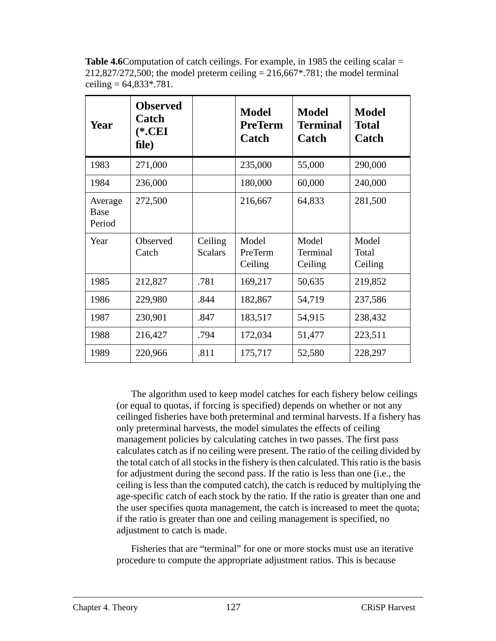Table 4.6Computation of catch ceilings. For example, in 1985 the ceiling scalar = 212,827/272,500; the model preterm ceiling  $= 216,667^*$ .781; the model terminal ceiling  $= 64,833,8781$ .

| <b>Year</b>               | <b>Observed</b><br>Catch<br>$(*.CEI$<br>file) |                           | <b>Model</b><br><b>PreTerm</b><br>Catch | <b>Model</b><br><b>Terminal</b><br>Catch | <b>Model</b><br><b>Total</b><br>Catch |
|---------------------------|-----------------------------------------------|---------------------------|-----------------------------------------|------------------------------------------|---------------------------------------|
| 1983                      | 271,000                                       |                           | 235,000                                 | 55,000                                   | 290,000                               |
| 1984                      | 236,000                                       |                           | 180,000                                 | 60,000                                   | 240,000                               |
| Average<br>Base<br>Period | 272,500                                       |                           | 216,667                                 | 64,833                                   | 281,500                               |
| Year                      | Observed<br>Catch                             | Ceiling<br><b>Scalars</b> | Model<br>PreTerm<br>Ceiling             | Model<br>Terminal<br>Ceiling             | Model<br>Total<br>Ceiling             |
| 1985                      | 212,827                                       | .781                      | 169,217                                 | 50,635                                   | 219,852                               |
| 1986                      | 229,980                                       | .844                      | 182,867                                 | 54,719                                   | 237,586                               |
| 1987                      | 230,901                                       | .847                      | 183,517                                 | 54,915                                   | 238,432                               |
| 1988                      | 216,427                                       | .794                      | 172,034                                 | 51,477                                   | 223,511                               |
| 1989                      | 220,966                                       | .811                      | 175,717                                 | 52,580                                   | 228,297                               |

The algorithm used to keep model catches for each fishery below ceilings (or equal to quotas, if forcing is specified) depends on whether or not any ceilinged fisheries have both preterminal and terminal harvests. If a fishery has only preterminal harvests, the model simulates the effects of ceiling management policies by calculating catches in two passes. The first pass calculates catch as if no ceiling were present. The ratio of the ceiling divided by the total catch of all stocks in the fishery is then calculated. This ratio is the basis for adjustment during the second pass. If the ratio is less than one (i.e., the ceiling is less than the computed catch), the catch is reduced by multiplying the age-specific catch of each stock by the ratio. If the ratio is greater than one and the user specifies quota management, the catch is increased to meet the quota; if the ratio is greater than one and ceiling management is specified, no adjustment to catch is made.

Fisheries that are "terminal" for one or more stocks must use an iterative procedure to compute the appropriate adjustment ratios. This is because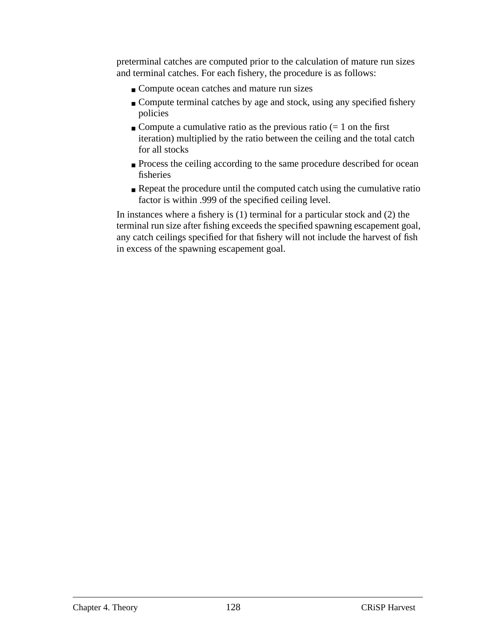preterminal catches are computed prior to the calculation of mature run sizes and terminal catches. For each fishery, the procedure is as follows:

- Compute ocean catches and mature run sizes
- Compute terminal catches by age and stock, using any specified fishery policies
- Compute a cumulative ratio as the previous ratio  $(= 1 \text{ on the first})$ iteration) multiplied by the ratio between the ceiling and the total catch for all stocks
- Process the ceiling according to the same procedure described for ocean fisheries
- Repeat the procedure until the computed catch using the cumulative ratio factor is within .999 of the specified ceiling level.

In instances where a fishery is (1) terminal for a particular stock and (2) the terminal run size after fishing exceeds the specified spawning escapement goal, any catch ceilings specified for that fishery will not include the harvest of fish in excess of the spawning escapement goal.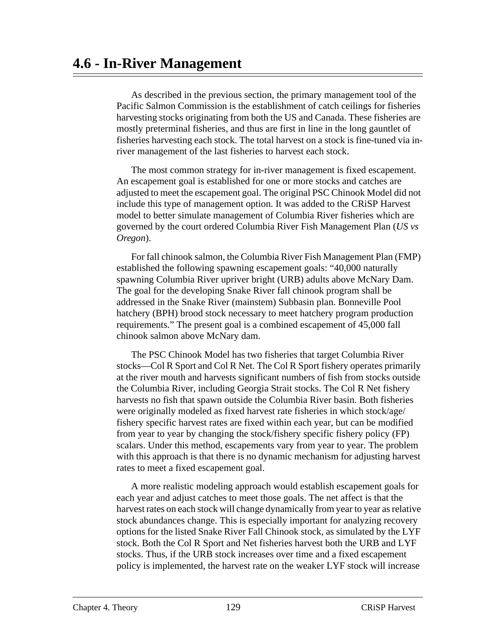As described in the previous section, the primary management tool of the Pacific Salmon Commission is the establishment of catch ceilings for fisheries harvesting stocks originating from both the US and Canada. These fisheries are mostly preterminal fisheries, and thus are first in line in the long gauntlet of fisheries harvesting each stock. The total harvest on a stock is fine-tuned via inriver management of the last fisheries to harvest each stock.

The most common strategy for in-river management is fixed escapement. An escapement goal is established for one or more stocks and catches are adjusted to meet the escapement goal. The original PSC Chinook Model did not include this type of management option. It was added to the CRiSP Harvest model to better simulate management of Columbia River fisheries which are governed by the court ordered Columbia River Fish Management Plan (*US vs Oregon*).

For fall chinook salmon, the Columbia River Fish Management Plan (FMP) established the following spawning escapement goals: "40,000 naturally spawning Columbia River upriver bright (URB) adults above McNary Dam. The goal for the developing Snake River fall chinook program shall be addressed in the Snake River (mainstem) Subbasin plan. Bonneville Pool hatchery (BPH) brood stock necessary to meet hatchery program production requirements." The present goal is a combined escapement of 45,000 fall chinook salmon above McNary dam.

The PSC Chinook Model has two fisheries that target Columbia River stocks—Col R Sport and Col R Net. The Col R Sport fishery operates primarily at the river mouth and harvests significant numbers of fish from stocks outside the Columbia River, including Georgia Strait stocks. The Col R Net fishery harvests no fish that spawn outside the Columbia River basin. Both fisheries were originally modeled as fixed harvest rate fisheries in which stock/age/ fishery specific harvest rates are fixed within each year, but can be modified from year to year by changing the stock/fishery specific fishery policy (FP) scalars. Under this method, escapements vary from year to year. The problem with this approach is that there is no dynamic mechanism for adjusting harvest rates to meet a fixed escapement goal.

A more realistic modeling approach would establish escapement goals for each year and adjust catches to meet those goals. The net affect is that the harvest rates on each stock will change dynamically from year to year as relative stock abundances change. This is especially important for analyzing recovery options for the listed Snake River Fall Chinook stock, as simulated by the LYF stock. Both the Col R Sport and Net fisheries harvest both the URB and LYF stocks. Thus, if the URB stock increases over time and a fixed escapement policy is implemented, the harvest rate on the weaker LYF stock will increase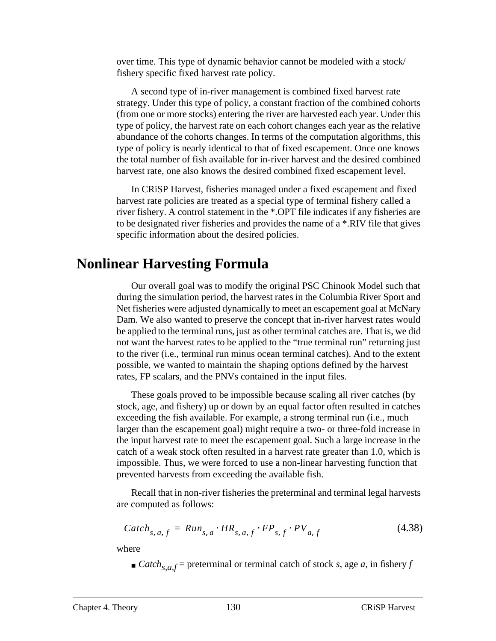over time. This type of dynamic behavior cannot be modeled with a stock/ fishery specific fixed harvest rate policy.

A second type of in-river management is combined fixed harvest rate strategy. Under this type of policy, a constant fraction of the combined cohorts (from one or more stocks) entering the river are harvested each year. Under this type of policy, the harvest rate on each cohort changes each year as the relative abundance of the cohorts changes. In terms of the computation algorithms, this type of policy is nearly identical to that of fixed escapement. Once one knows the total number of fish available for in-river harvest and the desired combined harvest rate, one also knows the desired combined fixed escapement level.

In CRiSP Harvest, fisheries managed under a fixed escapement and fixed harvest rate policies are treated as a special type of terminal fishery called a river fishery. A control statement in the \*.OPT file indicates if any fisheries are to be designated river fisheries and provides the name of a \*.RIV file that gives specific information about the desired policies.

## **Nonlinear Harvesting Formula**

Our overall goal was to modify the original PSC Chinook Model such that during the simulation period, the harvest rates in the Columbia River Sport and Net fisheries were adjusted dynamically to meet an escapement goal at McNary Dam. We also wanted to preserve the concept that in-river harvest rates would be applied to the terminal runs, just as other terminal catches are. That is, we did not want the harvest rates to be applied to the "true terminal run" returning just to the river (i.e., terminal run minus ocean terminal catches). And to the extent possible, we wanted to maintain the shaping options defined by the harvest rates, FP scalars, and the PNVs contained in the input files.

These goals proved to be impossible because scaling all river catches (by stock, age, and fishery) up or down by an equal factor often resulted in catches exceeding the fish available. For example, a strong terminal run (i.e., much larger than the escapement goal) might require a two- or three-fold increase in the input harvest rate to meet the escapement goal. Such a large increase in the catch of a weak stock often resulted in a harvest rate greater than 1.0, which is impossible. Thus, we were forced to use a non-linear harvesting function that prevented harvests from exceeding the available fish.

Recall that in non-river fisheries the preterminal and terminal legal harvests are computed as follows:

$$
Catch_{s, a, f} = Run_{s, a} \cdot HR_{s, a, f} \cdot FP_{s, f} \cdot PV_{a, f}
$$
\n
$$
(4.38)
$$

where

 $\blacksquare$  *Catch*<sub>s,a,f</sub> = preterminal or terminal catch of stock *s*, age *a*, in fishery *f*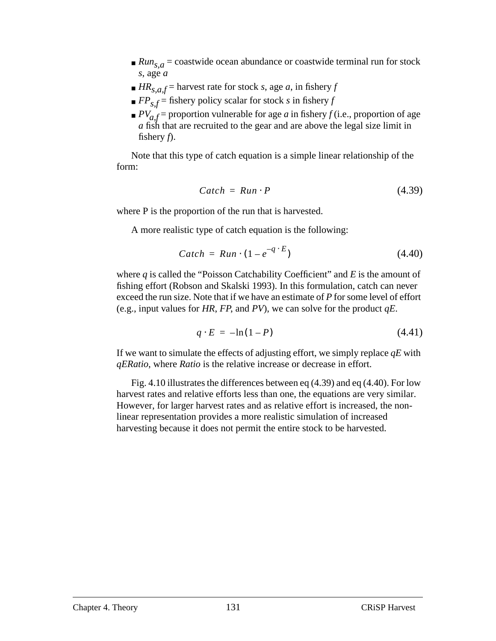- <span id="page-130-0"></span> $\blacksquare$  *Run<sub>s, a</sub>* = coastwide ocean abundance or coastwide terminal run for stock *s*, age *a*
- $H R_{s,a,f}$  = harvest rate for stock *s*, age *a*, in fishery *f*
- $\mathbb{P}F_{s,f}$  = fishery policy scalar for stock *s* in fishery *f*
- $P_{a,f}$  = proportion vulnerable for age *a* in fishery *f* (i.e., proportion of age *a* fish that are recruited to the gear and are above the legal size limit in fishery *f*).

Note that this type of catch equation is a simple linear relationship of the form:

$$
Cartch = Run \cdot P \tag{4.39}
$$

where P is the proportion of the run that is harvested.

A more realistic type of catch equation is the following:

$$
Cartch = Run \cdot (1 - e^{-q \cdot E}) \tag{4.40}
$$

where *q* is called the "Poisson Catchability Coefficient" and *E* is the amount of fishing effort (Robson and Skalski 1993). In this formulation, catch can never exceed the run size. Note that if we have an estimate of *P* for some level of effort (e.g., input values for *HR*, *FP*, and *PV*), we can solve for the product *qE*.

$$
q \cdot E = -\ln(1 - P) \tag{4.41}
$$

If we want to simulate the effects of adjusting effort, we simply replace *qE* with *qERatio*, where *Ratio* is the relative increase or decrease in effort.

[Fig. 4.10](#page-131-0) illustrates the differences between eq (4.39) and eq (4.40). For low harvest rates and relative efforts less than one, the equations are very similar. However, for larger harvest rates and as relative effort is increased, the nonlinear representation provides a more realistic simulation of increased harvesting because it does not permit the entire stock to be harvested.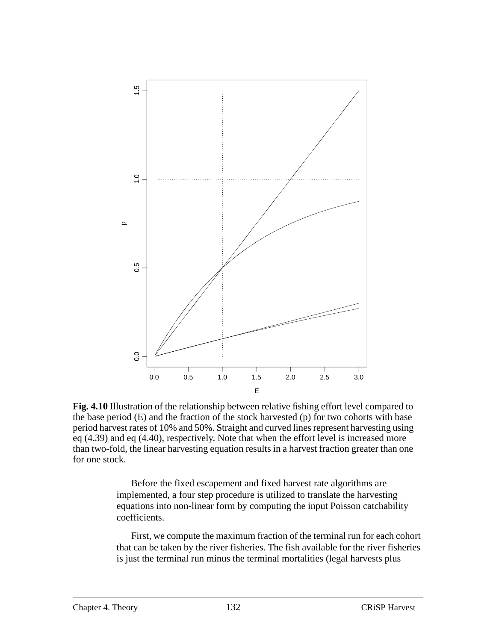<span id="page-131-0"></span>

**Fig. 4.10** Illustration of the relationship between relative fishing effort level compared to the base period (E) and the fraction of the stock harvested (p) for two cohorts with base period harvest rates of 10% and 50%. Straight and curved lines represent harvesting using [eq \(4.39\)](#page-130-0) and [eq \(4.40\),](#page-130-0) respectively. Note that when the effort level is increased more than two-fold, the linear harvesting equation results in a harvest fraction greater than one for one stock.

Before the fixed escapement and fixed harvest rate algorithms are implemented, a four step procedure is utilized to translate the harvesting equations into non-linear form by computing the input Poisson catchability coefficients.

First, we compute the maximum fraction of the terminal run for each cohort that can be taken by the river fisheries. The fish available for the river fisheries is just the terminal run minus the terminal mortalities (legal harvests plus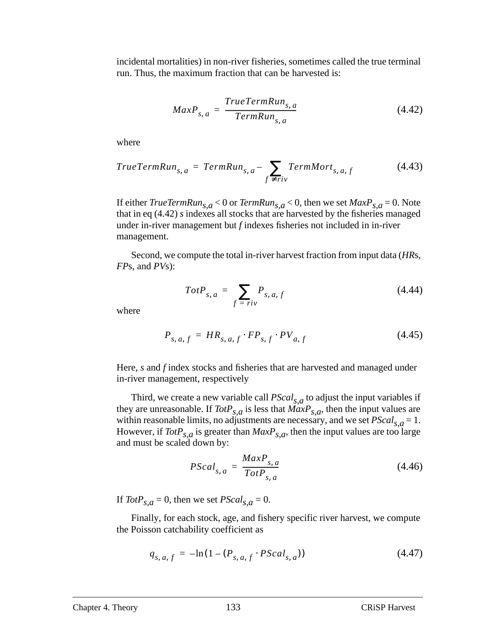incidental mortalities) in non-river fisheries, sometimes called the true terminal run. Thus, the maximum fraction that can be harvested is:

$$
MaxP_{s, a} = \frac{TrueTermRun_{s, a}}{TermRun_{s, a}}
$$
(4.42)

where

$$
TrueTermRun_{s, a} = TermRun_{s, a} - \sum_{f \neq riv} TermMort_{s, a, f}
$$
 (4.43)

If either *TrueTermRun*<sub>s,  $a$ </sub> < 0 or *TermRun*<sub>s,  $a$ </sub> < 0, then we set  $MaxP_{s,a}$  = 0. Note that in eq (4.42) *s* indexes all stocks that are harvested by the fisheries managed under in-river management but *f* indexes fisheries not included in in-river management.

Second, we compute the total in-river harvest fraction from input data (*HR*s, *FP*s, and *PV*s):

$$
TotP_{s,a} = \sum_{f = riv} P_{s,a,f} \tag{4.44}
$$

where

$$
P_{s, a, f} = HR_{s, a, f} \cdot FP_{s, f} \cdot PV_{a, f} \tag{4.45}
$$

Here, *s* and *f* index stocks and fisheries that are harvested and managed under in-river management, respectively

Third, we create a new variable call  $PScal_{s,a}$  to adjust the input variables if they are unreasonable. If  $TotP_{s,a}$  is less that  $MaxP_{s,a}$ , then the input values are within reasonable limits, no adjustments are necessary, and we set  $PScal_{s,a} = 1$ . However, if  $TotP_{s,a}$  is greater than  $MaxP_{s,a}$ , then the input values are too large and must be scaled down by:

$$
PScal_{s, a} = \frac{MaxP_{s, a}}{TotP_{s, a}}
$$
(4.46)

If  $TotP_{s,a} = 0$ , then we set  $PScal_{s,a} = 0$ .

Finally, for each stock, age, and fishery specific river harvest, we compute the Poisson catchability coefficient as

$$
q_{s, a, f} = -\ln(1 - (P_{s, a, f} \cdot PScal_{s, a})) \tag{4.47}
$$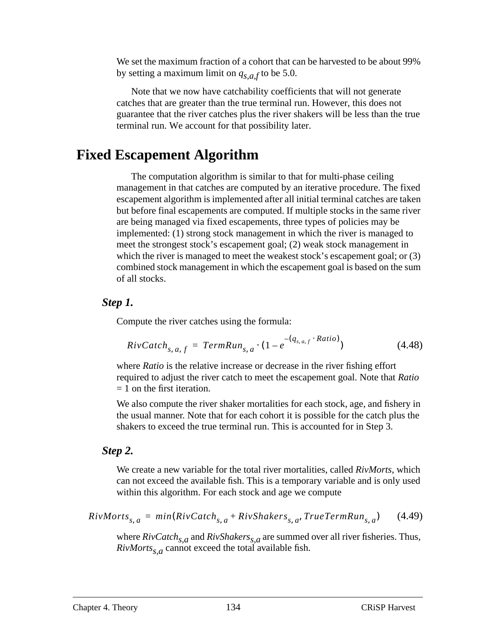We set the maximum fraction of a cohort that can be harvested to be about 99% by setting a maximum limit on  $q_{s,a,f}$  to be 5.0.

Note that we now have catchability coefficients that will not generate catches that are greater than the true terminal run. However, this does not guarantee that the river catches plus the river shakers will be less than the true terminal run. We account for that possibility later.

### **Fixed Escapement Algorithm**

The computation algorithm is similar to that for multi-phase ceiling management in that catches are computed by an iterative procedure. The fixed escapement algorithm is implemented after all initial terminal catches are taken but before final escapements are computed. If multiple stocks in the same river are being managed via fixed escapements, three types of policies may be implemented: (1) strong stock management in which the river is managed to meet the strongest stock's escapement goal; (2) weak stock management in which the river is managed to meet the weakest stock's escapement goal; or  $(3)$ combined stock management in which the escapement goal is based on the sum of all stocks.

#### *Step 1.*

Compute the river catches using the formula:

$$
Riv\,(t_{s,\,a,\,f} = TermRun_{s,\,a} \cdot (1 - e^{-(q_{s,\,a,\,f} \cdot Ratio)}) \tag{4.48}
$$

where *Ratio* is the relative increase or decrease in the river fishing effort required to adjust the river catch to meet the escapement goal. Note that *Ratio*  $= 1$  on the first iteration.

We also compute the river shaker mortalities for each stock, age, and fishery in the usual manner. Note that for each cohort it is possible for the catch plus the shakers to exceed the true terminal run. This is accounted for in Step 3.

#### *Step 2.*

We create a new variable for the total river mortalities, called *RivMorts*, which can not exceed the available fish. This is a temporary variable and is only used within this algorithm. For each stock and age we compute

$$
RivMorts_{s,a} = min(RivCatch_{s,a} + RivShakers_{s,a}, TrueTermRun_{s,a}) \qquad (4.49)
$$

where  $RivCatch_{s,a}$  and  $RivShakers_{s,a}$  are summed over all river fisheries. Thus,  $RivMorts_{s,a}$  cannot exceed the total available fish.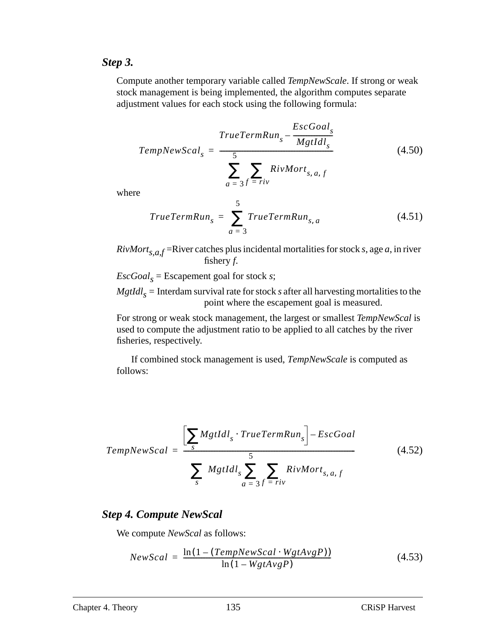#### *Step 3.*

Compute another temporary variable called *TempNewScale*. If strong or weak stock management is being implemented, the algorithm computes separate adjustment values for each stock using the following formula:

$$
TempNewScal_s = \frac{TrueTermRun_s - \frac{EscGoal_s}{Mgtdl_s}}{\sum_{a = 3}^{5} \sum_{i = riv} RivMort_{s, a, f}}
$$
(4.50)

where

$$
TrueTermRun_s = \sum_{a=3}^{5} TrueTermRun_{s,a}
$$
 (4.51)

 $RivMort_{s,a,f}$ =River catches plus incidental mortalities for stock *s*, age *a*, in river fishery *f*.

 $EscGoal_s = Escapement goal for stock s;$ 

 $Mgtdl_s$  = Interdam survival rate for stock *s* after all harvesting mortalities to the point where the escapement goal is measured.

For strong or weak stock management, the largest or smallest *TempNewScal* is used to compute the adjustment ratio to be applied to all catches by the river fisheries, respectively.

If combined stock management is used, *TempNewScale* is computed as follows:

$$
TempNewScal = \frac{\left[\sum_{s} Mgtldl_{s} \cdot TrueTermRun_{s}\right] - EscGoal}{\sum_{s} \left(Mgtldl_{s} \sum_{a=3}^{5} \sum_{f=riv} RivMort_{s,a,f}\right)}
$$
(4.52)

### *Step 4. Compute NewScal*

We compute *NewScal* as follows:

$$
NewScal = \frac{\ln(1 - (TempNewScal \cdot WgtAvgP))}{\ln(1 - WgtAvgP)}
$$
(4.53)